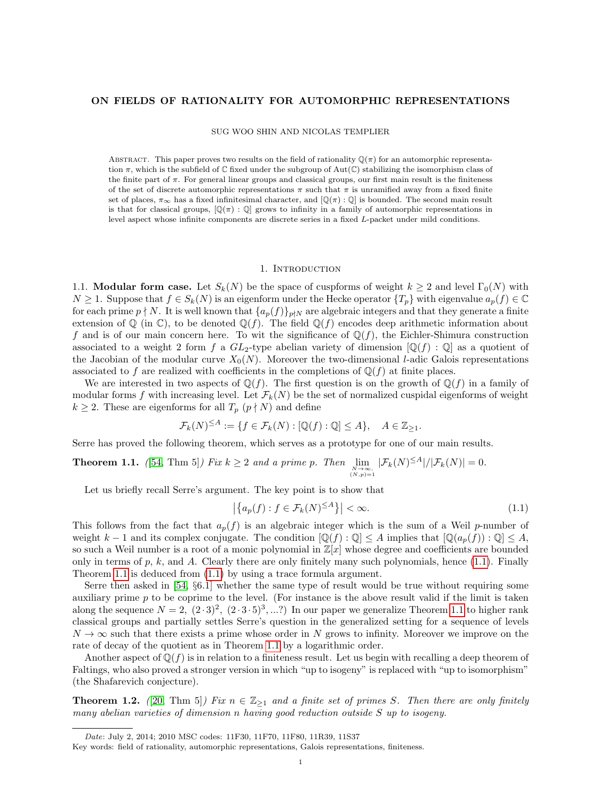### ON FIELDS OF RATIONALITY FOR AUTOMORPHIC REPRESENTATIONS

SUG WOO SHIN AND NICOLAS TEMPLIER

ABSTRACT. This paper proves two results on the field of rationality  $\mathbb{Q}(\pi)$  for an automorphic representation  $\pi$ , which is the subfield of  $\mathbb C$  fixed under the subgroup of Aut $(\mathbb C)$  stabilizing the isomorphism class of the finite part of  $\pi$ . For general linear groups and classical groups, our first main result is the finiteness of the set of discrete automorphic representations  $\pi$  such that  $\pi$  is unramified away from a fixed finite set of places,  $\pi_{\infty}$  has a fixed infinitesimal character, and  $[\mathbb{Q}(\pi):\mathbb{Q}]$  is bounded. The second main result is that for classical groups,  $[\mathbb{Q}(\pi) : \mathbb{Q}]$  grows to infinity in a family of automorphic representations in level aspect whose infinite components are discrete series in a fixed L-packet under mild conditions.

### 1. Introduction

<span id="page-0-2"></span>1.1. **Modular form case.** Let  $S_k(N)$  be the space of cuspforms of weight  $k \geq 2$  and level  $\Gamma_0(N)$  with  $N \geq 1$ . Suppose that  $f \in S_k(N)$  is an eigenform under the Hecke operator  $\{T_p\}$  with eigenvalue  $a_p(f) \in \mathbb{C}$ for each prime  $p \nmid N$ . It is well known that  $\{a_p(f)\}_{p\nmid N}$  are algebraic integers and that they generate a finite extension of  $\mathbb Q$  (in  $\mathbb C$ ), to be denoted  $\mathbb Q(f)$ . The field  $\mathbb Q(f)$  encodes deep arithmetic information about f and is of our main concern here. To wit the significance of  $\mathbb{Q}(f)$ , the Eichler-Shimura construction associated to a weight 2 form f a  $GL_2$ -type abelian variety of dimension  $[Q(f):Q]$  as a quotient of the Jacobian of the modular curve  $X_0(N)$ . Moreover the two-dimensional *l*-adic Galois representations associated to f are realized with coefficients in the completions of  $\mathbb{Q}(f)$  at finite places.

We are interested in two aspects of  $\mathbb{Q}(f)$ . The first question is on the growth of  $\mathbb{Q}(f)$  in a family of modular forms f with increasing level. Let  $\mathcal{F}_k(N)$  be the set of normalized cuspidal eigenforms of weight  $k \geq 2$ . These are eigenforms for all  $T_p$   $(p \nmid N)$  and define

$$
\mathcal{F}_k(N)^{\leq A} := \{ f \in \mathcal{F}_k(N) : [\mathbb{Q}(f) : \mathbb{Q}] \leq A \}, \quad A \in \mathbb{Z}_{\geq 1}.
$$

Serre has proved the following theorem, which serves as a prototype for one of our main results.

<span id="page-0-1"></span>**Theorem 1.1.** ([54, Thm 5]) Fix 
$$
k \geq 2
$$
 and a prime p. Then  $\lim_{\substack{N \to \infty \\ (N,p)=1}} |\mathcal{F}_k(N)| \leq A |\mathcal{F}_k(N)| = 0$ .

Let us briefly recall Serre's argument. The key point is to show that

<span id="page-0-0"></span>
$$
\left| \left\{ a_p(f) : f \in \mathcal{F}_k(N)^{\leq A} \right\} \right| < \infty. \tag{1.1}
$$

This follows from the fact that  $a_p(f)$  is an algebraic integer which is the sum of a Weil p-number of weight k – 1 and its complex conjugate. The condition  $[\mathbb{Q}(f) : \mathbb{Q}] \leq A$  implies that  $[\mathbb{Q}(a_n(f)) : \mathbb{Q}] \leq A$ , so such a Weil number is a root of a monic polynomial in  $\mathbb{Z}[x]$  whose degree and coefficients are bounded only in terms of p, k, and A. Clearly there are only finitely many such polynomials, hence  $(1.1)$ . Finally Theorem [1.1](#page-0-1) is deduced from [\(1.1\)](#page-0-1) by using a trace formula argument.

Serre then asked in [\[54,](#page-37-0) §6.1] whether the same type of result would be true without requiring some auxiliary prime  $p$  to be coprime to the level. (For instance is the above result valid if the limit is taken along the sequence  $N = 2, (2 \cdot 3)^2, (2 \cdot 3 \cdot 5)^3, ...$ ?) In our paper we generalize Theorem [1.1](#page-0-1) to higher rank classical groups and partially settles Serre's question in the generalized setting for a sequence of levels  $N \to \infty$  such that there exists a prime whose order in N grows to infinity. Moreover we improve on the rate of decay of the quotient as in Theorem [1.1](#page-0-1) by a logarithmic order.

Another aspect of  $\mathbb{Q}(f)$  is in relation to a finiteness result. Let us begin with recalling a deep theorem of Faltings, who also proved a stronger version in which "up to isogeny" is replaced with "up to isomorphism" (the Shafarevich conjecture).

<span id="page-0-3"></span>**Theorem 1.2.** ([\[20,](#page-36-0) Thm 5]) Fix  $n \in \mathbb{Z}_{\geq 1}$  and a finite set of primes S. Then there are only finitely many abelian varieties of dimension n having good reduction outside S up to isogeny.

Date: July 2, 2014; 2010 MSC codes: 11F30, 11F70, 11F80, 11R39, 11S37

Key words: field of rationality, automorphic representations, Galois representations, finiteness.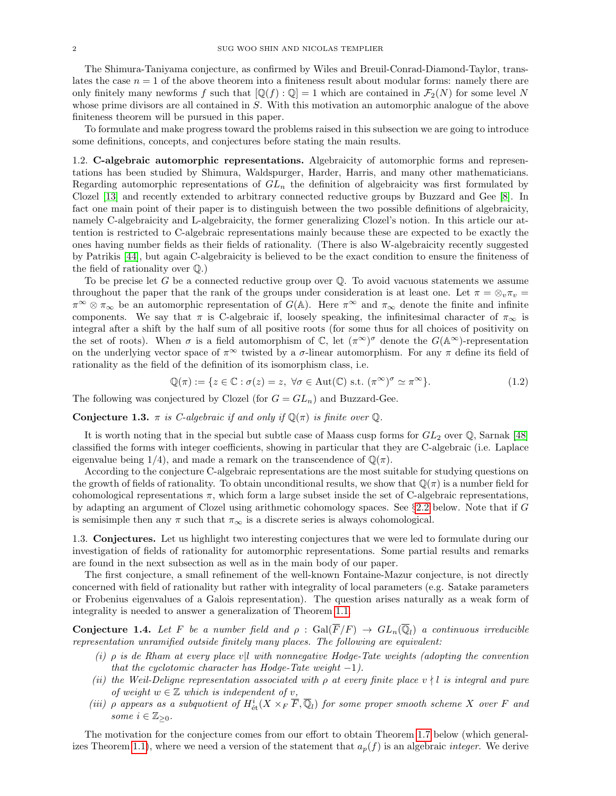The Shimura-Taniyama conjecture, as confirmed by Wiles and Breuil-Conrad-Diamond-Taylor, translates the case  $n = 1$  of the above theorem into a finiteness result about modular forms: namely there are only finitely many newforms f such that  $[\mathbb{Q}(f) : \mathbb{Q}] = 1$  which are contained in  $\mathcal{F}_2(N)$  for some level N whose prime divisors are all contained in S. With this motivation an automorphic analogue of the above finiteness theorem will be pursued in this paper.

To formulate and make progress toward the problems raised in this subsection we are going to introduce some definitions, concepts, and conjectures before stating the main results.

1.2. C-algebraic automorphic representations. Algebraicity of automorphic forms and representations has been studied by Shimura, Waldspurger, Harder, Harris, and many other mathematicians. Regarding automorphic representations of  $GL_n$  the definition of algebraicity was first formulated by Clozel [\[13\]](#page-36-1) and recently extended to arbitrary connected reductive groups by Buzzard and Gee [\[8\]](#page-35-0). In fact one main point of their paper is to distinguish between the two possible definitions of algebraicity, namely C-algebraicity and L-algebraicity, the former generalizing Clozel's notion. In this article our attention is restricted to C-algebraic representations mainly because these are expected to be exactly the ones having number fields as their fields of rationality. (There is also W-algebraicity recently suggested by Patrikis [\[44\]](#page-36-2), but again C-algebraicity is believed to be the exact condition to ensure the finiteness of the field of rationality over Q.)

To be precise let G be a connected reductive group over  $\mathbb Q$ . To avoid vacuous statements we assume throughout the paper that the rank of the groups under consideration is at least one. Let  $\pi = \otimes_v \pi_v =$  $\pi^{\infty} \otimes \pi_{\infty}$  be an automorphic representation of  $G(\mathbb{A})$ . Here  $\pi^{\infty}$  and  $\pi_{\infty}$  denote the finite and infinite components. We say that  $\pi$  is C-algebraic if, loosely speaking, the infinitesimal character of  $\pi_{\infty}$  is integral after a shift by the half sum of all positive roots (for some thus for all choices of positivity on the set of roots). When  $\sigma$  is a field automorphism of  $\mathbb{C}$ , let  $(\pi^{\infty})^{\sigma}$  denote the  $G(\mathbb{A}^{\infty})$ -representation on the underlying vector space of  $\pi^{\infty}$  twisted by a  $\sigma$ -linear automorphism. For any  $\pi$  define its field of rationality as the field of the definition of its isomorphism class, i.e.

<span id="page-1-2"></span>
$$
\mathbb{Q}(\pi) := \{ z \in \mathbb{C} : \sigma(z) = z, \ \forall \sigma \in \text{Aut}(\mathbb{C}) \text{ s.t. } (\pi^{\infty})^{\sigma} \simeq \pi^{\infty} \}. \tag{1.2}
$$

The following was conjectured by Clozel (for  $G = GL_n$ ) and Buzzard-Gee.

<span id="page-1-1"></span>**Conjecture 1.3.**  $\pi$  is *C*-algebraic if and only if  $\mathbb{Q}(\pi)$  is finite over  $\mathbb{Q}$ .

It is worth noting that in the special but subtle case of Maass cusp forms for  $GL_2$  over  $\mathbb{Q}$ , Sarnak [\[48\]](#page-36-3) classified the forms with integer coefficients, showing in particular that they are C-algebraic (i.e. Laplace eigenvalue being  $1/4$ , and made a remark on the transcendence of  $\mathbb{Q}(\pi)$ .

According to the conjecture C-algebraic representations are the most suitable for studying questions on the growth of fields of rationality. To obtain unconditional results, we show that  $\mathbb{Q}(\pi)$  is a number field for cohomological representations  $\pi$ , which form a large subset inside the set of C-algebraic representations, by adapting an argument of Clozel using arithmetic cohomology spaces. See §[2.2](#page-6-0) below. Note that if G is semisimple then any  $\pi$  such that  $\pi_{\infty}$  is a discrete series is always cohomological.

1.3. Conjectures. Let us highlight two interesting conjectures that we were led to formulate during our investigation of fields of rationality for automorphic representations. Some partial results and remarks are found in the next subsection as well as in the main body of our paper.

The first conjecture, a small refinement of the well-known Fontaine-Mazur conjecture, is not directly concerned with field of rationality but rather with integrality of local parameters (e.g. Satake parameters or Frobenius eigenvalues of a Galois representation). The question arises naturally as a weak form of integrality is needed to answer a generalization of Theorem [1.1.](#page-0-1)

<span id="page-1-0"></span>**Conjecture 1.4.** Let F be a number field and  $\rho$  :  $Gal(\overline{F}/F) \rightarrow GL_n(\overline{\mathbb{Q}}_l)$  a continuous irreducible representation unramified outside finitely many places. The following are equivalent:

- (i)  $\rho$  is de Rham at every place v|l with nonnegative Hodge-Tate weights (adopting the convention that the cyclotomic character has Hodge-Tate weight  $-1$ ).
- (ii) the Weil-Deligne representation associated with  $\rho$  at every finite place  $v \nmid l$  is integral and pure of weight  $w \in \mathbb{Z}$  which is independent of v,
- (iii)  $\rho$  appears as a subquotient of  $H^i_{\text{\'et}}(X\times_F\overline{F},\overline{\mathbb{Q}}_l)$  for some proper smooth scheme X over F and some  $i \in \mathbb{Z}_{\geq 0}$ .

The motivation for the conjecture comes from our effort to obtain Theorem [1.7](#page-3-0) below (which general-izes Theorem [1.1\)](#page-0-1), where we need a version of the statement that  $a_p(f)$  is an algebraic *integer*. We derive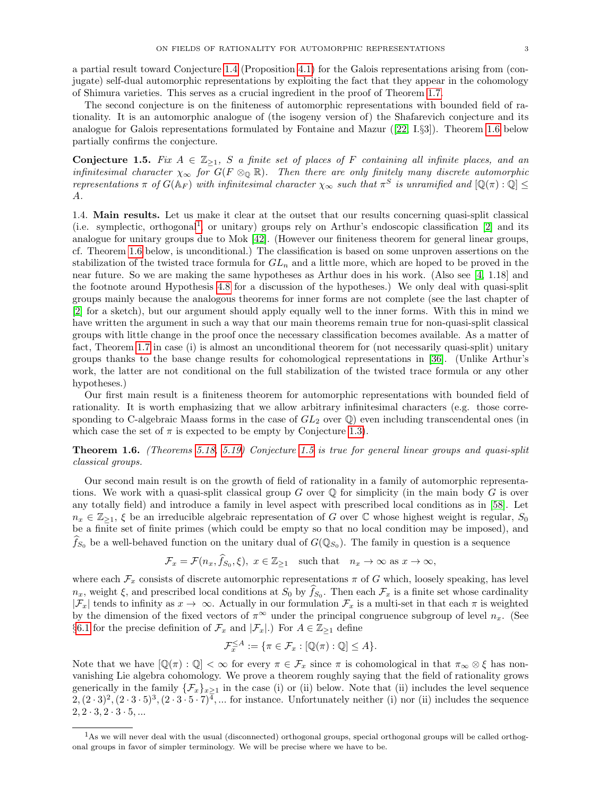a partial result toward Conjecture [1.4](#page-1-0) (Proposition [4.1\)](#page-17-0) for the Galois representations arising from (conjugate) self-dual automorphic representations by exploiting the fact that they appear in the cohomology of Shimura varieties. This serves as a crucial ingredient in the proof of Theorem [1.7.](#page-3-0)

The second conjecture is on the finiteness of automorphic representations with bounded field of rationality. It is an automorphic analogue of (the isogeny version of) the Shafarevich conjecture and its analogue for Galois representations formulated by Fontaine and Mazur([\[22,](#page-36-4) I.§3]). Theorem [1.6](#page-2-0) below partially confirms the conjecture.

<span id="page-2-2"></span>Conjecture 1.5. Fix  $A \in \mathbb{Z}_{\geq 1}$ , S a finite set of places of F containing all infinite places, and an infinitesimal character  $\chi_{\infty}$  for  $G(F \otimes_{\mathbb{Q}} \mathbb{R})$ . Then there are only finitely many discrete automorphic representations  $\pi$  of  $G(\mathbb{A}_F)$  with infinitesimal character  $\chi_{\infty}$  such that  $\pi^S$  is unramified and  $[\mathbb{Q}(\pi):\mathbb{Q}] \leq$ A.

1.4. Main results. Let us make it clear at the outset that our results concerning quasi-split classical (i.e. symplectic, orthogonal<sup>[1](#page-2-1)</sup>, or unitary) groups rely on Arthur's endoscopic classification  $[2]$  and its analogue for unitary groups due to Mok [\[42\]](#page-36-5). (However our finiteness theorem for general linear groups, cf. Theorem [1.6](#page-2-0) below, is unconditional.) The classification is based on some unproven assertions on the stabilization of the twisted trace formula for  $GL_n$  and a little more, which are hoped to be proved in the near future. So we are making the same hypotheses as Arthur does in his work. (Also see [\[4,](#page-35-2) 1.18] and the footnote around Hypothesis [4.8](#page-21-0) for a discussion of the hypotheses.) We only deal with quasi-split groups mainly because the analogous theorems for inner forms are not complete (see the last chapter of [\[2\]](#page-35-1) for a sketch), but our argument should apply equally well to the inner forms. With this in mind we have written the argument in such a way that our main theorems remain true for non-quasi-split classical groups with little change in the proof once the necessary classification becomes available. As a matter of fact, Theorem [1.7](#page-3-0) in case (i) is almost an unconditional theorem for (not necessarily quasi-split) unitary groups thanks to the base change results for cohomological representations in [\[36\]](#page-36-6). (Unlike Arthur's work, the latter are not conditional on the full stabilization of the twisted trace formula or any other hypotheses.)

Our first main result is a finiteness theorem for automorphic representations with bounded field of rationality. It is worth emphasizing that we allow arbitrary infinitesimal characters (e.g. those corresponding to C-algebraic Maass forms in the case of  $GL_2$  over  $\mathbb Q$ ) even including transcendental ones (in which case the set of  $\pi$  is expected to be empty by Conjecture [1.3\)](#page-1-1).

<span id="page-2-0"></span>Theorem 1.6. (Theorems [5.18,](#page-27-0) [5.19\)](#page-27-1) Conjecture [1.5](#page-2-2) is true for general linear groups and quasi-split classical groups.

Our second main result is on the growth of field of rationality in a family of automorphic representations. We work with a quasi-split classical group  $G$  over  $\mathbb Q$  for simplicity (in the main body  $G$  is over any totally field) and introduce a family in level aspect with prescribed local conditions as in [\[58\]](#page-37-1). Let  $n_x \in \mathbb{Z}_{\geq 1}$ ,  $\xi$  be an irreducible algebraic representation of G over C whose highest weight is regular,  $S_0$ be a finite set of finite primes (which could be empty so that no local condition may be imposed), and  $\widehat{f}_{S_0}$  be a well-behaved function on the unitary dual of  $G(\mathbb{Q}_{S_0})$ . The family in question is a sequence

$$
\mathcal{F}_x = \mathcal{F}(n_x, \hat{f}_{S_0}, \xi), \ x \in \mathbb{Z}_{\ge 1} \quad \text{such that} \quad n_x \to \infty \text{ as } x \to \infty,
$$

where each  $\mathcal{F}_x$  consists of discrete automorphic representations  $\pi$  of G which, loosely speaking, has level  $n_x$ , weight  $\xi$ , and prescribed local conditions at  $S_0$  by  $f_{S_0}$ . Then each  $\mathcal{F}_x$  is a finite set whose cardinality  $|\mathcal{F}_x|$  tends to infinity as  $x \to \infty$ . Actually in our formulation  $\mathcal{F}_x$  is a multi-set in that each  $\pi$  is weighted by the dimension of the fixed vectors of  $\pi^{\infty}$  under the principal congruence subgroup of level  $n_x$ . (See §[6.1](#page-28-0) for the precise definition of  $\mathcal{F}_x$  and  $|\mathcal{F}_x|$ .) For  $A \in \mathbb{Z}_{\geq 1}$  define

$$
\mathcal{F}_x^{\leq A} := \{ \pi \in \mathcal{F}_x : [\mathbb{Q}(\pi) : \mathbb{Q}] \leq A \}.
$$

Note that we have  $[\mathbb{Q}(\pi):\mathbb{Q}]<\infty$  for every  $\pi\in\mathcal{F}_x$  since  $\pi$  is cohomological in that  $\pi_\infty\otimes\xi$  has nonvanishing Lie algebra cohomology. We prove a theorem roughly saying that the field of rationality grows generically in the family  $\{\mathcal{F}_x\}_{x>1}$  in the case (i) or (ii) below. Note that (ii) includes the level sequence  $2, (2 \cdot 3)^2, (2 \cdot 3 \cdot 5)^3, (2 \cdot 3 \cdot 5 \cdot 7)^{\overline{4}}, \dots$  for instance. Unfortunately neither (i) nor (ii) includes the sequence  $2, 2 \cdot 3, 2 \cdot 3 \cdot 5, ...$ 

<span id="page-2-1"></span><sup>&</sup>lt;sup>1</sup>As we will never deal with the usual (disconnected) orthogonal groups, special orthogonal groups will be called orthogonal groups in favor of simpler terminology. We will be precise where we have to be.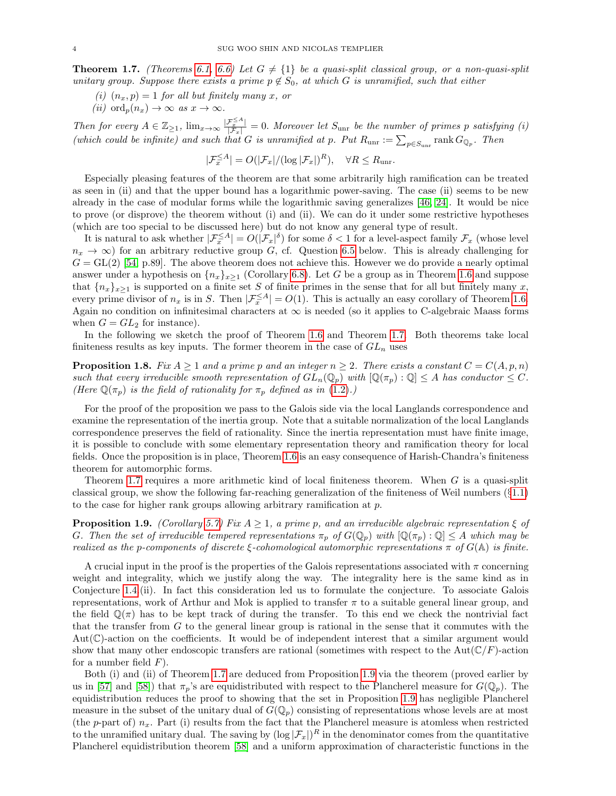<span id="page-3-0"></span>**Theorem 1.7.** (Theorems [6.1,](#page-29-0) [6.6\)](#page-30-0) Let  $G \neq \{1\}$  be a quasi-split classical group, or a non-quasi-split unitary group. Suppose there exists a prime  $p \notin S_0$ , at which G is unramified, such that either

- (i)  $(n_x, p) = 1$  for all but finitely many x, or
- (ii) ord<sub>n</sub> $(n_x) \rightarrow \infty$  as  $x \rightarrow \infty$ .

Then for every  $A \in \mathbb{Z}_{\geq 1}$ ,  $\lim_{x\to\infty} \frac{|\mathcal{F}_x^{\leq A}|}{|\mathcal{F}_x|} = 0$ . Moreover let  $S_{\text{unr}}$  be the number of primes p satisfying (i) (which could be infinite) and such that G is unramified at p. Put  $R_{\text{unr}} := \sum_{p \in S_{\text{unr}}} \text{rank } G_{\mathbb{Q}_p}$ . Then

$$
|\mathcal{F}_x^{\leq A}| = O(|\mathcal{F}_x|/(\log |\mathcal{F}_x|)^R), \quad \forall R \leq R_{\text{unr}}.
$$

Especially pleasing features of the theorem are that some arbitrarily high ramification can be treated as seen in (ii) and that the upper bound has a logarithmic power-saving. The case (ii) seems to be new already in the case of modular forms while the logarithmic saving generalizes [\[46,](#page-36-7) [24\]](#page-36-8). It would be nice to prove (or disprove) the theorem without (i) and (ii). We can do it under some restrictive hypotheses (which are too special to be discussed here) but do not know any general type of result.

It is natural to ask whether  $|\mathcal{F}_{x}^{\leq A}| = O(|\mathcal{F}_{x}|^{\delta})$  for some  $\delta < 1$  for a level-aspect family  $\mathcal{F}_{x}$  (whose level  $n_x \to \infty$ ) for an arbitrary reductive group G, cf. Question [6.5](#page-30-1) below. This is already challenging for  $G = GL(2)$  [\[54,](#page-37-0) p.89]. The above theorem does not achieve this. However we do provide a nearly optimal answer under a hypothesis on  $\{n_x\}_{x\geq 1}$  (Corollary [6.8\)](#page-31-0). Let G be a group as in Theorem [1.6](#page-2-0) and suppose that  ${n_x}_{x\geq 1}$  is supported on a finite set S of finite primes in the sense that for all but finitely many x, every prime divisor of  $n_x$  is in S. Then  $|\mathcal{F}_x^{\leq A}| = O(1)$ . This is actually an easy corollary of Theorem [1.6.](#page-2-0) Again no condition on infinitesimal characters at  $\infty$  is needed (so it applies to C-algebraic Maass forms when  $G = GL<sub>2</sub>$  for instance).

In the following we sketch the proof of Theorem [1.6](#page-2-0) and Theorem [1.7.](#page-3-0) Both theorems take local finiteness results as key inputs. The former theorem in the case of  $GL_n$  uses

**Proposition 1.8.** Fix  $A \geq 1$  and a prime p and an integer  $n \geq 2$ . There exists a constant  $C = C(A, p, n)$ such that every irreducible smooth representation of  $GL_n(\mathbb{Q}_p)$  with  $[\mathbb{Q}(\pi_p) : \mathbb{Q}] \leq A$  has conductor  $\leq C$ . (Here  $\mathbb{Q}(\pi_p)$  is the field of rationality for  $\pi_p$  defined as in [\(1.2\)](#page-1-2).)

For the proof of the proposition we pass to the Galois side via the local Langlands correspondence and examine the representation of the inertia group. Note that a suitable normalization of the local Langlands correspondence preserves the field of rationality. Since the inertia representation must have finite image, it is possible to conclude with some elementary representation theory and ramification theory for local fields. Once the proposition is in place, Theorem [1.6](#page-2-0) is an easy consequence of Harish-Chandra's finiteness theorem for automorphic forms.

Theorem [1.7](#page-3-0) requires a more arithmetic kind of local finiteness theorem. When G is a quasi-split classical group, we show the following far-reaching generalization of the finiteness of Weil numbers  $(\S1.1)$  $(\S1.1)$ to the case for higher rank groups allowing arbitrary ramification at p.

<span id="page-3-1"></span>**Proposition 1.9.** (Corollary [5.7\)](#page-26-0) Fix  $A \geq 1$ , a prime p, and an irreducible algebraic representation  $\xi$  of G. Then the set of irreducible tempered representations  $\pi_p$  of  $G(\mathbb{Q}_p)$  with  $[\mathbb{Q}(\pi_p) : \mathbb{Q}] \leq A$  which may be realized as the p-components of discrete  $\xi$ -cohomological automorphic representations  $\pi$  of  $G(\mathbb{A})$  is finite.

A crucial input in the proof is the properties of the Galois representations associated with  $\pi$  concerning weight and integrality, which we justify along the way. The integrality here is the same kind as in Conjecture [1.4.](#page-1-0)(ii). In fact this consideration led us to formulate the conjecture. To associate Galois representations, work of Arthur and Mok is applied to transfer  $\pi$  to a suitable general linear group, and the field  $\mathbb{Q}(\pi)$  has to be kept track of during the transfer. To this end we check the nontrivial fact that the transfer from  $G$  to the general linear group is rational in the sense that it commutes with the  $Aut(\mathbb{C})$ -action on the coefficients. It would be of independent interest that a similar argument would show that many other endoscopic transfers are rational (sometimes with respect to the Aut $(\mathbb{C}/F)$ -action for a number field  $F$ ).

Both (i) and (ii) of Theorem [1.7](#page-3-0) are deduced from Proposition [1.9](#page-3-1) via the theorem (proved earlier by us in [\[57\]](#page-37-2) and [\[58\]](#page-37-1)) that  $\pi_p$ 's are equidistributed with respect to the Plancherel measure for  $G(\mathbb{Q}_p)$ . The equidistribution reduces the proof to showing that the set in Proposition [1.9](#page-3-1) has negligible Plancherel measure in the subset of the unitary dual of  $G(\mathbb{Q}_p)$  consisting of representations whose levels are at most (the p-part of)  $n_x$ . Part (i) results from the fact that the Plancherel measure is atomless when restricted to the unramified unitary dual. The saving by  $(\log |\mathcal{F}_x|)^R$  in the denominator comes from the quantitative Plancherel equidistribution theorem [\[58\]](#page-37-1) and a uniform approximation of characteristic functions in the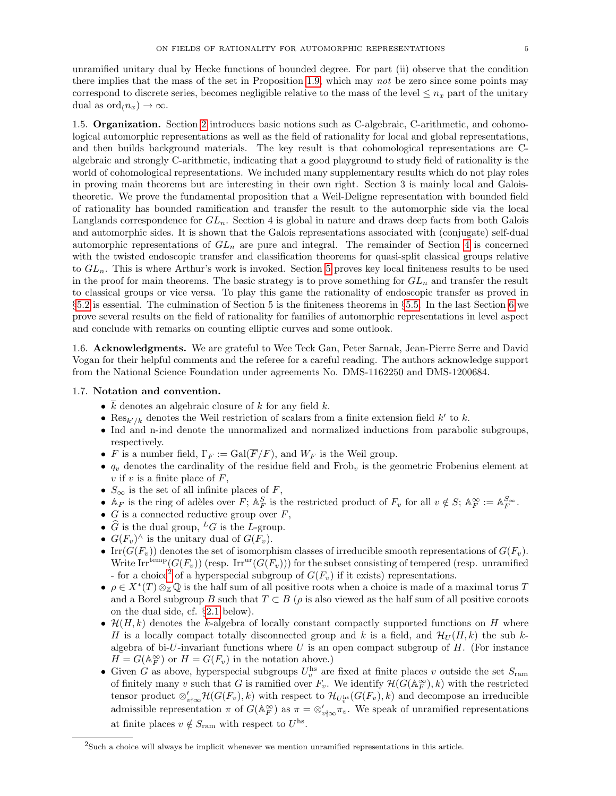unramified unitary dual by Hecke functions of bounded degree. For part (ii) observe that the condition there implies that the mass of the set in Proposition [1.9,](#page-3-1) which may not be zero since some points may correspond to discrete series, becomes negligible relative to the mass of the level  $\leq n_x$  part of the unitary dual as  $\text{ord}_n(n_x) \to \infty$ .

1.5. Organization. Section [2](#page-5-0) introduces basic notions such as C-algebraic, C-arithmetic, and cohomological automorphic representations as well as the field of rationality for local and global representations, and then builds background materials. The key result is that cohomological representations are Calgebraic and strongly C-arithmetic, indicating that a good playground to study field of rationality is the world of cohomological representations. We included many supplementary results which do not play roles in proving main theorems but are interesting in their own right. Section 3 is mainly local and Galoistheoretic. We prove the fundamental proposition that a Weil-Deligne representation with bounded field of rationality has bounded ramification and transfer the result to the automorphic side via the local Langlands correspondence for  $GL_n$ . Section 4 is global in nature and draws deep facts from both Galois and automorphic sides. It is shown that the Galois representations associated with (conjugate) self-dual automorphic representations of  $GL_n$  are pure and integral. The remainder of Section [4](#page-16-0) is concerned with the twisted endoscopic transfer and classification theorems for quasi-split classical groups relative to  $GL_n$ . This is where Arthur's work is invoked. Section [5](#page-24-0) proves key local finiteness results to be used in the proof for main theorems. The basic strategy is to prove something for  $GL_n$  and transfer the result to classical groups or vice versa. To play this game the rationality of endoscopic transfer as proved in §[5.2](#page-24-1) is essential. The culmination of Section 5 is the finiteness theorems in §[5.5.](#page-27-2) In the last Section [6](#page-28-1) we prove several results on the field of rationality for families of automorphic representations in level aspect and conclude with remarks on counting elliptic curves and some outlook.

1.6. Acknowledgments. We are grateful to Wee Teck Gan, Peter Sarnak, Jean-Pierre Serre and David Vogan for their helpful comments and the referee for a careful reading. The authors acknowledge support from the National Science Foundation under agreements No. DMS-1162250 and DMS-1200684.

# <span id="page-4-1"></span>1.7. Notation and convention.

- $\overline{k}$  denotes an algebraic closure of k for any field k.
- Res<sub>k'/k</sub> denotes the Weil restriction of scalars from a finite extension field k' to k.
- Ind and n-ind denote the unnormalized and normalized inductions from parabolic subgroups, respectively.
- F is a number field,  $\Gamma_F := \text{Gal}(\overline{F}/F)$ , and  $W_F$  is the Weil group.
- $q_v$  denotes the cardinality of the residue field and Frob<sub>v</sub> is the geometric Frobenius element at  $v$  if  $v$  is a finite place of  $F$ ,
- $S_{\infty}$  is the set of all infinite places of  $F$ ,
- A<sub>F</sub> is the ring of adèles over F;  $A_F^S$  is the restricted product of  $F_v$  for all  $v \notin S$ ;  $A_F^{\infty} := A_F^{S_{\infty}}$ .
- $G$  is a connected reductive group over  $F$ ,
- $\widehat{G}$  is the dual group, <sup>L</sup>G is the L-group.
- $G(F_v)^\wedge$  is the unitary dual of  $G(F_v)$ .
- Irr $(G(F_v))$  denotes the set of isomorphism classes of irreducible smooth representations of  $G(F_v)$ . Write Irr<sup>temp</sup>( $G(F_v)$ ) (resp. Irr<sup>ur</sup>( $G(F_v)$ )) for the subset consisting of tempered (resp. unramified - for a choice<sup>[2](#page-4-0)</sup> of a hyperspecial subgroup of  $G(F_v)$  if it exists) representations.
- $\rho \in X^*(T) \otimes_{\mathbb{Z}} \mathbb{Q}$  is the half sum of all positive roots when a choice is made of a maximal torus T and a Borel subgroup B such that  $T \subset B$  ( $\rho$  is also viewed as the half sum of all positive coroots on the dual side, cf. §[2.1](#page-5-1) below).
- $\mathcal{H}(H, k)$  denotes the k-algebra of locally constant compactly supported functions on H where H is a locally compact totally disconnected group and k is a field, and  $\mathcal{H}_U(H, k)$  the sub kalgebra of bi-U-invariant functions where  $U$  is an open compact subgroup of  $H$ . (For instance  $H = G(\mathbb{A}_F^{\infty})$  or  $H = G(F_v)$  in the notation above.)
- Given G as above, hyperspecial subgroups  $U_v^{\text{hs}}$  are fixed at finite places v outside the set  $S_{\text{ram}}$ of finitely many v such that G is ramified over  $F_v$ . We identify  $\mathcal{H}(G(\mathbb{A}_F^{\infty}), k)$  with the restricted tensor product  $\otimes'_{v \nmid \infty} \mathcal{H}(G(F_v), k)$  with respect to  $\mathcal{H}_{U_v^{\text{hs}}}(G(F_v), k)$  and decompose an irreducible admissible representation  $\pi$  of  $G(\mathbb{A}_F^{\infty})$  as  $\pi = \otimes_{v \nmid \infty}^{\prime} \pi_v$ . We speak of unramified representations at finite places  $v \notin S_{\text{ram}}$  with respect to  $U^{\text{hs}}$ .

<span id="page-4-0"></span><sup>2</sup>Such a choice will always be implicit whenever we mention unramified representations in this article.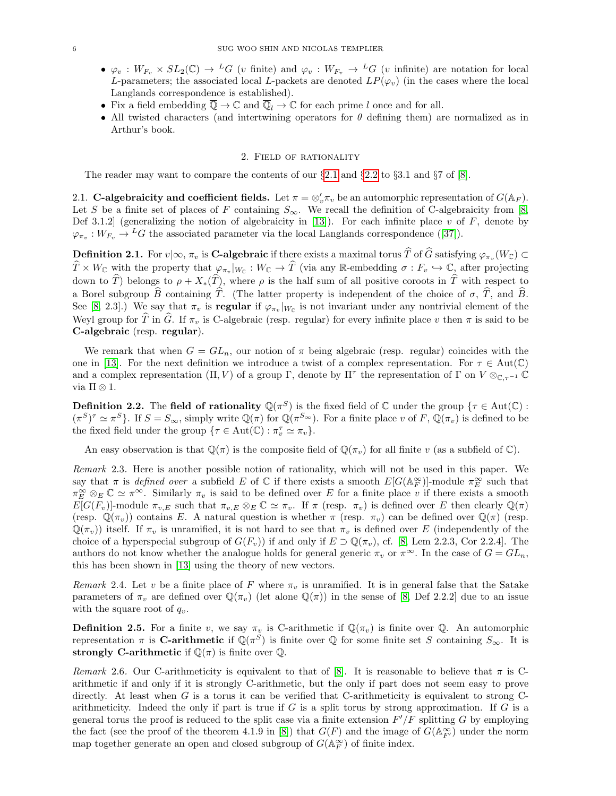- $\varphi_v : W_{F_v} \times SL_2(\mathbb{C}) \to {}^L G$  (v finite) and  $\varphi_v : W_{F_v} \to {}^L G$  (v infinite) are notation for local L-parameters; the associated local L-packets are denoted  $LP(\varphi_v)$  (in the cases where the local Langlands correspondence is established).
- Fix a field embedding  $\overline{\mathbb{Q}} \to \mathbb{C}$  and  $\overline{\mathbb{Q}}_l \to \mathbb{C}$  for each prime l once and for all.
- All twisted characters (and intertwining operators for  $\theta$  defining them) are normalized as in Arthur's book.

### 2. Field of rationality

<span id="page-5-0"></span>The reader may want to compare the contents of our  $\S 2.1$  $\S 2.1$  and  $\S 2.2$  $\S 2.2$  to  $\S 3.1$  and  $\S 7$  of  $[8]$ .

<span id="page-5-1"></span>2.1. C-algebraicity and coefficient fields. Let  $\pi = \otimes_v' \pi_v$  be an automorphic representation of  $G(\mathbb{A}_F)$ . Let S be a finite set of places of F containing  $S_{\infty}$ . We recall the definition of C-algebraicity from [\[8,](#page-35-0) Def 3.1.2] (generalizing the notion of algebraicity in [\[13\]](#page-36-1)). For each infinite place v of  $F$ , denote by  $\varphi_{\pi_v}: W_{F_v} \to {}^L G$  $\varphi_{\pi_v}: W_{F_v} \to {}^L G$  $\varphi_{\pi_v}: W_{F_v} \to {}^L G$  the associated parameter via the local Langlands correspondence ([\[37\]](#page-36-9)).

<span id="page-5-3"></span>**Definition 2.1.** For  $v | \infty, \pi_v$  is **C-algebraic** if there exists a maximal torus T of G satisfying  $\varphi_{\pi_v}(W_{\mathbb{C}}) \subset$  $\widehat{T} \times W_{\mathbb{C}}$  with the property that  $\varphi_{\pi_v}|_{W_{\mathbb{C}}} : W_{\mathbb{C}} \to \widehat{T}$  (via any R-embedding  $\sigma : F_v \hookrightarrow \mathbb{C}$ , after projecting down to  $\hat{T}$ ) belongs to  $\rho + X_*(\hat{T})$ , where  $\rho$  is the half sum of all positive coroots in  $\hat{T}$  with respect to a Borel subgroup  $\widehat{B}$  containing  $\widehat{T}$ . (The latter property is independent of the choice of  $\sigma$ ,  $\widehat{T}$ , and  $\widehat{B}$ . See [\[8,](#page-35-0) 2.3].) We say that  $\pi_v$  is **regular** if  $\varphi_{\pi_v}|_{W_{\mathbb{C}}}$  is not invariant under any nontrivial element of the Weyl group for T in G. If  $\pi_v$  is C-algebraic (resp. regular) for every infinite place v then  $\pi$  is said to be C-algebraic (resp. regular).

We remark that when  $G = GL_n$ , our notion of  $\pi$  being algebraic (resp. regular) coincides with the one in [\[13\]](#page-36-1). For the next definition we introduce a twist of a complex representation. For  $\tau \in Aut(\mathbb{C})$ and a complex representation  $(\Pi, V)$  of a group  $\Gamma$ , denote by  $\Pi^{\tau}$  the representation of  $\Gamma$  on  $V \otimes_{\mathbb{C}, \tau^{-1}} \mathbb{C}$ via  $\Pi \otimes 1$ .

**Definition 2.2.** The field of rationality  $\mathbb{Q}(\pi^S)$  is the fixed field of  $\mathbb{C}$  under the group  $\{\tau \in \text{Aut}(\mathbb{C}) :$  $({\pi}^S)^{\tau} \simeq {\pi}^S$ . If  $S = S_{\infty}$ , simply write  $\mathbb{Q}(\pi)$  for  $\mathbb{Q}({\pi}^{S_{\infty}})$ . For a finite place v of F,  $\mathbb{Q}(\pi_v)$  is defined to be the fixed field under the group  $\{\tau \in \text{Aut}(\mathbb{C}) : \pi_v^{\tau} \simeq \pi_v\}.$ 

An easy observation is that  $\mathbb{Q}(\pi)$  is the composite field of  $\mathbb{Q}(\pi_v)$  for all finite v (as a subfield of  $\mathbb{C}$ ).

Remark 2.3. Here is another possible notion of rationality, which will not be used in this paper. We say that  $\pi$  is *defined over* a subfield E of C if there exists a smooth  $E[G(\mathbb{A}_F^\infty)]$ -module  $\pi_E^\infty$  such that  $\pi_E^{\infty} \otimes_E \mathbb{C} \simeq \pi^{\infty}$ . Similarly  $\pi_v$  is said to be defined over E for a finite place v if there exists a smooth  $E[G(F_v)]$ -module  $\pi_{v,E}$  such that  $\pi_{v,E} \otimes_E \mathbb{C} \simeq \pi_v$ . If  $\pi$  (resp.  $\pi_v$ ) is defined over E then clearly  $\mathbb{Q}(\pi)$ (resp.  $\mathbb{Q}(\pi_v)$ ) contains E. A natural question is whether  $\pi$  (resp.  $\pi_v$ ) can be defined over  $\mathbb{Q}(\pi)$  (resp.  $\mathbb{Q}(\pi_v)$ ) itself. If  $\pi_v$  is unramified, it is not hard to see that  $\pi_v$  is defined over E (independently of the choice of a hyperspecial subgroup of  $G(F_v)$ ) if and only if  $E \supset \mathbb{Q}(\pi_v)$ , cf. [\[8,](#page-35-0) Lem 2.2.3, Cor 2.2.4]. The authors do not know whether the analogue holds for general generic  $\pi_n$  or  $\pi^{\infty}$ . In the case of  $G = GL_n$ , this has been shown in [\[13\]](#page-36-1) using the theory of new vectors.

Remark 2.4. Let v be a finite place of F where  $\pi_v$  is unramified. It is in general false that the Satake parameters of  $\pi_v$  are defined over  $\mathbb{Q}(\pi_v)$  (let alone  $\mathbb{Q}(\pi)$ ) in the sense of [\[8,](#page-35-0) Def 2.2.2] due to an issue with the square root of  $q_v$ .

**Definition 2.5.** For a finite v, we say  $\pi_v$  is C-arithmetic if  $\mathbb{Q}(\pi_v)$  is finite over  $\mathbb{Q}$ . An automorphic representation  $\pi$  is **C-arithmetic** if  $\mathbb{Q}(\pi^S)$  is finite over  $\mathbb{Q}$  for some finite set S containing  $S_{\infty}$ . It is strongly C-arithmetic if  $\mathbb{Q}(\pi)$  is finite over  $\mathbb{Q}$ .

<span id="page-5-2"></span>Remark 2.6. Our C-arithmeticity is equivalent to that of [\[8\]](#page-35-0). It is reasonable to believe that  $\pi$  is Carithmetic if and only if it is strongly C-arithmetic, but the only if part does not seem easy to prove directly. At least when G is a torus it can be verified that C-arithmeticity is equivalent to strong Carithmeticity. Indeed the only if part is true if  $G$  is a split torus by strong approximation. If  $G$  is a general torus the proof is reduced to the split case via a finite extension  $F'/F$  splitting G by employing the fact (see the proof of the theorem 4.1.9 in [\[8\]](#page-35-0)) that  $G(F)$  and the image of  $G(\mathbb{A}_{F'}^{\infty})$  under the norm map together generate an open and closed subgroup of  $G(\mathbb{A}_F^{\infty})$  of finite index.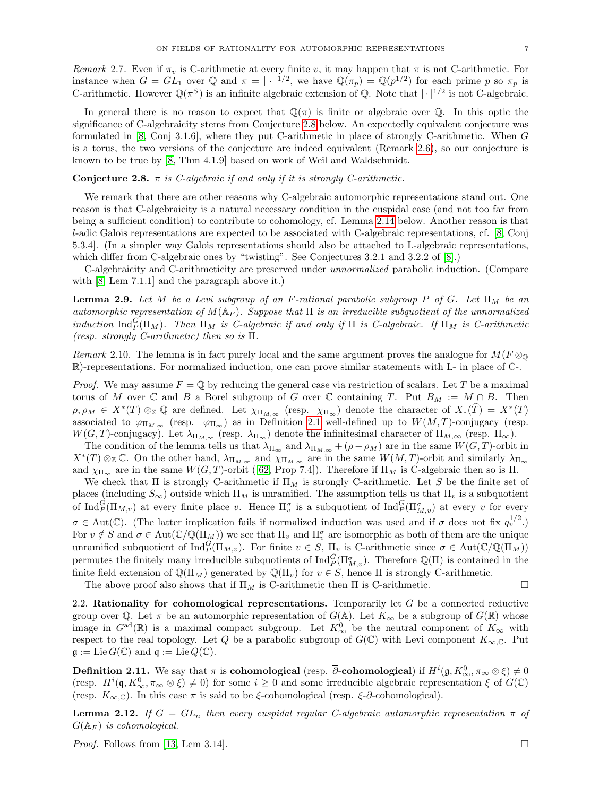Remark 2.7. Even if  $\pi_v$  is C-arithmetic at every finite v, it may happen that  $\pi$  is not C-arithmetic. For instance when  $G = GL_1$  over Q and  $\pi = |\cdot|^{1/2}$ , we have  $\mathbb{Q}(\pi_p) = \mathbb{Q}(p^{1/2})$  for each prime p so  $\pi_p$  is C-arithmetic. However  $\mathbb{Q}(\pi^S)$  is an infinite algebraic extension of  $\mathbb{Q}$ . Note that  $|\cdot|^{1/2}$  is not C-algebraic.

In general there is no reason to expect that  $\mathbb{Q}(\pi)$  is finite or algebraic over  $\mathbb{Q}$ . In this optic the significance of C-algebraicity stems from Conjecture [2.8](#page-6-1) below. An expectedly equivalent conjecture was formulated in [\[8,](#page-35-0) Conj 3.1.6], where they put C-arithmetic in place of strongly C-arithmetic. When G is a torus, the two versions of the conjecture are indeed equivalent (Remark [2.6\)](#page-5-2), so our conjecture is known to be true by [\[8,](#page-35-0) Thm 4.1.9] based on work of Weil and Waldschmidt.

## <span id="page-6-1"></span>**Conjecture 2.8.**  $\pi$  is *C*-algebraic if and only if it is strongly *C*-arithmetic.

We remark that there are other reasons why C-algebraic automorphic representations stand out. One reason is that C-algebraicity is a natural necessary condition in the cuspidal case (and not too far from being a sufficient condition) to contribute to cohomology, cf. Lemma [2.14](#page-7-0) below. Another reason is that l-adic Galois representations are expected to be associated with C-algebraic representations, cf. [\[8,](#page-35-0) Conj 5.3.4]. (In a simpler way Galois representations should also be attached to L-algebraic representations, which differ from C-algebraic ones by "twisting". See Conjectures 3.2.1 and 3.2.2 of [\[8\]](#page-35-0).)

C-algebraicity and C-arithmeticity are preserved under unnormalized parabolic induction. (Compare with [\[8,](#page-35-0) Lem 7.1.1] and the paragraph above it.)

<span id="page-6-4"></span>**Lemma 2.9.** Let M be a Levi subgroup of an F-rational parabolic subgroup P of G. Let  $\Pi_M$  be an automorphic representation of  $M(\mathbb{A}_F)$ . Suppose that  $\Pi$  is an irreducible subquotient of the unnormalized induction  $\text{Ind}_{P}^{G}(\Pi_M)$ . Then  $\Pi_M$  is C-algebraic if and only if  $\Pi$  is C-algebraic. If  $\Pi_M$  is C-arithmetic (resp. strongly C-arithmetic) then so is  $\Pi$ .

Remark 2.10. The lemma is in fact purely local and the same argument proves the analogue for  $M(F \otimes_{\mathbb{Q}}$ R)-representations. For normalized induction, one can prove similar statements with L- in place of C-.

*Proof.* We may assume  $F = \mathbb{Q}$  by reducing the general case via restriction of scalars. Let T be a maximal torus of M over C and B a Borel subgroup of G over C containing T. Put  $B_M := M \cap B$ . Then  $\rho, \rho_M \in X^*(T) \otimes_{\mathbb{Z}} \mathbb{Q}$  are defined. Let  $\chi_{\Pi_{M,\infty}}$  (resp.  $\chi_{\Pi_{\infty}}$ ) denote the character of  $X_*(\widehat{T}) = X^*(T)$ associated to  $\varphi_{\Pi_{M,\infty}}$  (resp.  $\varphi_{\Pi_{\infty}}$ ) as in Definition [2.1](#page-5-3) well-defined up to  $W(M,T)$ -conjugacy (resp.  $W(G, T)$ -conjugacy). Let  $\lambda_{\Pi_{M, \infty}}$  (resp.  $\lambda_{\Pi_{\infty}}$ ) denote the infinitesimal character of  $\Pi_{M, \infty}$  (resp.  $\Pi_{\infty}$ ).

The condition of the lemma tells us that  $\lambda_{\Pi_{\infty}}$  and  $\lambda_{\Pi_{M,\infty}} + (\rho - \rho_M)$  are in the same  $W(G,T)$ -orbit in  $X^*(T) \otimes_{\mathbb{Z}} \mathbb{C}$ . On the other hand,  $\lambda_{\Pi_{M,\infty}}$  and  $\chi_{\Pi_{M,\infty}}$  are in the same  $W(M,T)$ -orbit and similarly  $\lambda_{\Pi_{\infty}}$ and $\chi_{\Pi_{\infty}}$  are in the same  $W(G, T)$ -orbit ([\[62,](#page-37-3) Prop 7.4]). Therefore if  $\Pi_M$  is C-algebraic then so is  $\Pi$ .

We check that  $\Pi$  is strongly C-arithmetic if  $\Pi_M$  is strongly C-arithmetic. Let S be the finite set of places (including  $S_{\infty}$ ) outside which  $\Pi_M$  is unramified. The assumption tells us that  $\Pi_v$  is a subquotient of  $\text{Ind}_P^G(\Pi_{M,v})$  at every finite place v. Hence  $\Pi_v^{\sigma}$  is a subquotient of  $\text{Ind}_P^G(\Pi_{M,v}^{\sigma})$  at every v for every  $\sigma \in \text{Aut}(\mathbb{C})$ . (The latter implication fails if normalized induction was used and if  $\sigma$  does not fix  $q_v^{1/2}$ .) For  $v \notin S$  and  $\sigma \in Aut(\mathbb{C}/\mathbb{Q}(\Pi_M))$  we see that  $\Pi_v$  and  $\Pi_v^{\sigma}$  are isomorphic as both of them are the unique unramified subquotient of  $\text{Ind}_P^G(\Pi_{M,v})$ . For finite  $v \in S$ ,  $\Pi_v$  is C-arithmetic since  $\sigma \in \text{Aut}(\mathbb{C}/\mathbb{Q}(\Pi_M))$ permutes the finitely many irreducible subquotients of  $\text{Ind}_{P}^{G}(\Pi_{M,v}^{\sigma})$ . Therefore  $\mathbb{Q}(\Pi)$  is contained in the finite field extension of  $\mathbb{Q}(\Pi_M)$  generated by  $\mathbb{Q}(\Pi_v)$  for  $v \in S$ , hence  $\Pi$  is strongly C-arithmetic.

The above proof also shows that if  $\Pi_M$  is C-arithmetic then  $\Pi$  is C-arithmetic.  $\Box$ 

<span id="page-6-0"></span>2.2. Rationality for cohomological representations. Temporarily let  $G$  be a connected reductive group over Q. Let  $\pi$  be an automorphic representation of  $G(\mathbb{A})$ . Let  $K_{\infty}$  be a subgroup of  $G(\mathbb{R})$  whose image in  $G^{\text{ad}}(\mathbb{R})$  is a maximal compact subgroup. Let  $K^0_{\infty}$  be the neutral component of  $K_{\infty}$  with respect to the real topology. Let Q be a parabolic subgroup of  $G(\mathbb{C})$  with Levi component  $K_{\infty,\mathbb{C}}$ . Put  $\mathfrak{g} := \mathrm{Lie}\, G(\mathbb{C})$  and  $\mathfrak{q} := \mathrm{Lie}\, Q(\mathbb{C})$ .

<span id="page-6-2"></span>**Definition 2.11.** We say that  $\pi$  is **cohomological** (resp.  $\overline{\partial}$ -**cohomological**) if  $H^i(\mathfrak{g}, K^0_\infty, \pi_\infty \otimes \xi) \neq 0$ (resp.  $H^i(\mathfrak{q}, K^0_\infty, \pi_\infty \otimes \xi) \neq 0$ ) for some  $i \geq 0$  and some irreducible algebraic representation  $\xi$  of  $G(\mathbb{C})$ (resp.  $K_{\infty,\mathbb{C}}$ ). In this case  $\pi$  is said to be  $\xi$ -cohomological (resp.  $\xi$ - $\overline{\partial}$ -cohomological).

<span id="page-6-3"></span>**Lemma 2.12.** If  $G = GL_n$  then every cuspidal regular C-algebraic automorphic representation  $\pi$  of  $G(\mathbb{A}_F)$  is cohomological.

*Proof.* Follows from [\[13,](#page-36-1) Lem 3.14].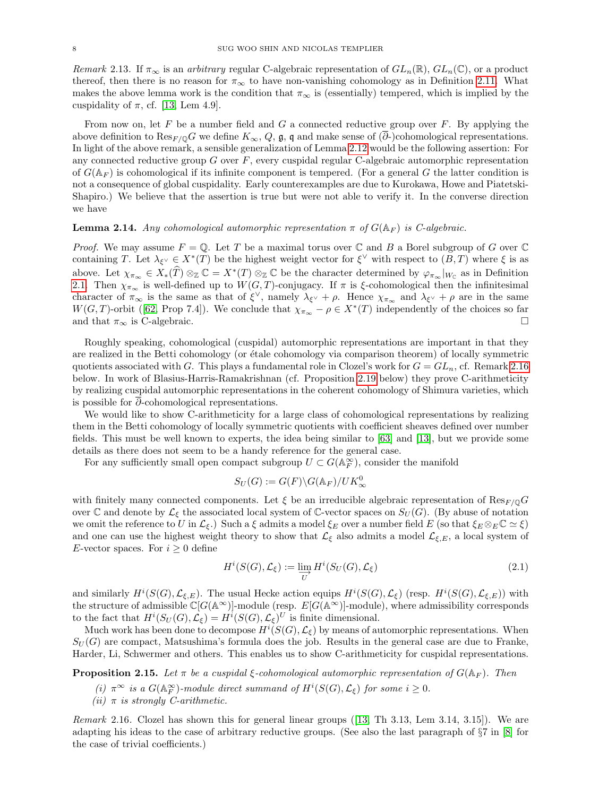Remark 2.13. If  $\pi_{\infty}$  is an arbitrary regular C-algebraic representation of  $GL_n(\mathbb{R})$ ,  $GL_n(\mathbb{C})$ , or a product thereof, then there is no reason for  $\pi_{\infty}$  to have non-vanishing cohomology as in Definition [2.11.](#page-6-2) What makes the above lemma work is the condition that  $\pi_{\infty}$  is (essentially) tempered, which is implied by the cuspidality of  $\pi$ , cf. [\[13,](#page-36-1) Lem 4.9].

From now on, let F be a number field and G a connected reductive group over  $F$ . By applying the above definition to  $\text{Res}_{F/\mathbb{Q}}G$  we define  $K_{\infty}$ , Q,  $\mathfrak{g}$ , q and make sense of  $(\overline{\partial})$ -cohomological representations. In light of the above remark, a sensible generalization of Lemma [2.12](#page-6-3) would be the following assertion: For any connected reductive group  $G$  over  $F$ , every cuspidal regular C-algebraic automorphic representation of  $G(\mathbb{A}_F)$  is cohomological if its infinite component is tempered. (For a general G the latter condition is not a consequence of global cuspidality. Early counterexamples are due to Kurokawa, Howe and Piatetski-Shapiro.) We believe that the assertion is true but were not able to verify it. In the converse direction we have

# <span id="page-7-0"></span>**Lemma 2.14.** Any cohomological automorphic representation  $\pi$  of  $G(\mathbb{A}_F)$  is C-algebraic.

*Proof.* We may assume  $F = \mathbb{Q}$ . Let T be a maximal torus over  $\mathbb{C}$  and B a Borel subgroup of G over  $\mathbb{C}$ containing T. Let  $\lambda_{\xi} \in X^*(T)$  be the highest weight vector for  $\xi^{\vee}$  with respect to  $(B,T)$  where  $\xi$  is as above. Let  $\chi_{\pi_{\infty}} \in X_*(\widehat{T}) \otimes_{\mathbb{Z}} \mathbb{C} = X^*(T) \otimes_{\mathbb{Z}} \mathbb{C}$  be the character determined by  $\varphi_{\pi_{\infty}}|_{W_{\mathbb{C}}}$  as in Definition [2.1.](#page-5-3) Then  $\chi_{\pi_{\infty}}$  is well-defined up to  $W(G, T)$ -conjugacy. If  $\pi$  is  $\xi$ -cohomological then the infinitesimal character of  $\pi_{\infty}$  is the same as that of  $\xi^{\vee}$ , namely  $\lambda_{\xi^{\vee}} + \rho$ . Hence  $\chi_{\pi_{\infty}}$  and  $\lambda_{\xi^{\vee}} + \rho$  are in the same  $W(G, T)$  $W(G, T)$  $W(G, T)$ -orbit ([\[62,](#page-37-3) Prop 7.4]). We conclude that  $\chi_{\pi_{\infty}} - \rho \in X^*(T)$  independently of the choices so far and that  $\pi_{\infty}$  is C-algebraic.

Roughly speaking, cohomological (cuspidal) automorphic representations are important in that they are realized in the Betti cohomology (or étale cohomology via comparison theorem) of locally symmetric quotients associated with G. This plays a fundamental role in Clozel's work for  $G = GL_n$ , cf. Remark [2.16](#page-7-1) below. In work of Blasius-Harris-Ramakrishnan (cf. Proposition [2.19](#page-8-0) below) they prove C-arithmeticity by realizing cuspidal automorphic representations in the coherent cohomology of Shimura varieties, which is possible for  $\overline{\partial}$ -cohomological representations.

We would like to show C-arithmeticity for a large class of cohomological representations by realizing them in the Betti cohomology of locally symmetric quotients with coefficient sheaves defined over number fields. This must be well known to experts, the idea being similar to [\[63\]](#page-37-4) and [\[13\]](#page-36-1), but we provide some details as there does not seem to be a handy reference for the general case.

For any sufficiently small open compact subgroup  $U \subset G(\mathbb{A}_F^{\infty})$ , consider the manifold

$$
S_U(G) := G(F) \backslash G(\mathbb{A}_F) / UK_\infty^0
$$

with finitely many connected components. Let  $\xi$  be an irreducible algebraic representation of  $\text{Res}_{F/\mathbb{Q}}G$ over C and denote by  $\mathcal{L}_{\xi}$  the associated local system of C-vector spaces on  $S_U(G)$ . (By abuse of notation we omit the reference to U in  $\mathcal{L}_{\xi}$ .) Such a  $\xi$  admits a model  $\xi_E$  over a number field E (so that  $\xi_E \otimes_E \mathbb{C} \simeq \xi$ ) and one can use the highest weight theory to show that  $\mathcal{L}_{\xi}$  also admits a model  $\mathcal{L}_{\xi,E}$ , a local system of E-vector spaces. For  $i \geq 0$  define

$$
H^{i}(S(G), \mathcal{L}_{\xi}) := \varinjlim_{U} H^{i}(S_{U}(G), \mathcal{L}_{\xi})
$$
\n(2.1)

and similarly  $H^i(S(G), \mathcal{L}_{\xi,E})$ . The usual Hecke action equips  $H^i(S(G), \mathcal{L}_{\xi})$  (resp.  $H^i(S(G), \mathcal{L}_{\xi,E})$ ) with the structure of admissible  $\mathbb{C}[G(\mathbb{A}^{\infty})]$ -module (resp.  $E[G(\mathbb{A}^{\infty})]$ -module), where admissibility corresponds to the fact that  $H^i(S_U(G), \mathcal{L}_{\xi}) = H^i(S(G), \mathcal{L}_{\xi})^U$  is finite dimensional.

Much work has been done to decompose  $H^i(S(G), \mathcal{L}_{\xi})$  by means of automorphic representations. When  $S_U(G)$  are compact, Matsushima's formula does the job. Results in the general case are due to Franke, Harder, Li, Schwermer and others. This enables us to show C-arithmeticity for cuspidal representations.

<span id="page-7-2"></span>**Proposition 2.15.** Let  $\pi$  be a cuspidal  $\xi$ -cohomological automorphic representation of  $G(\mathbb{A}_F)$ . Then

- (i)  $\pi^{\infty}$  is a  $G(\mathbb{A}_F^{\infty})$ -module direct summand of  $H^i(S(G), \mathcal{L}_{\xi})$  for some  $i \geq 0$ .
- (ii)  $\pi$  is strongly C-arithmetic.

<span id="page-7-1"></span>Remark 2.16. Clozel has shown this for general linear groups([\[13,](#page-36-1) Th 3.13, Lem 3.14, 3.15]). We are adapting his ideas to the case of arbitrary reductive groups. (See also the last paragraph of §7 in [\[8\]](#page-35-0) for the case of trivial coefficients.)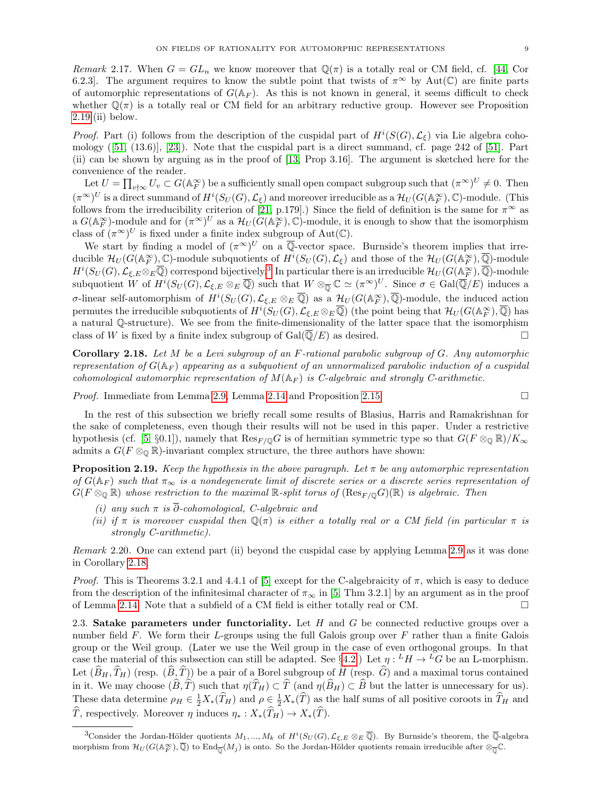Remark 2.17. When  $G = GL_n$  we know moreover that  $\mathbb{Q}(\pi)$  is a totally real or CM field, cf. [\[44,](#page-36-2) Cor 6.2.3]. The argument requires to know the subtle point that twists of  $\pi^{\infty}$  by Aut(C) are finite parts of automorphic representations of  $G(\mathbb{A}_F)$ . As this is not known in general, it seems difficult to check whether  $\mathbb{Q}(\pi)$  is a totally real or CM field for an arbitrary reductive group. However see Proposition  $2.19$ .(ii) below.

*Proof.* Part (i) follows from the description of the cuspidal part of  $H^i(S(G), \mathcal{L}_{\xi})$  via Lie algebra cohomology([\[51,](#page-37-5) (13.6)], [\[23\]](#page-36-10)). Note that the cuspidal part is a direct summand, cf. page 242 of [\[51\]](#page-37-5). Part (ii) can be shown by arguing as in the proof of [\[13,](#page-36-1) Prop 3.16]. The argument is sketched here for the convenience of the reader.

Let  $U = \prod_{v \nmid \infty} U_v \subset G(\mathbb{A}_F^\infty)$  be a sufficiently small open compact subgroup such that  $(\pi^\infty)^U \neq 0$ . Then  $(\pi^{\infty})^U$  is a direct summand of  $H^i(S_U(G), \mathcal{L}_{\xi})$  and moreover irreducible as a  $\mathcal{H}_U(G(\mathbb{A}_F^{\infty}), \mathbb{C})$ -module. (This follows from the irreducibility criterion of [\[21,](#page-36-11) p.179].) Since the field of definition is the same for  $\pi^{\infty}$  as a  $G(\mathbb{A}_F^{\infty})$ -module and for  $({\pi}^{\infty})^U$  as a  $\mathcal{H}_U(\widetilde{G}(\mathbb{A}_F^{\infty}), \mathbb{C})$ -module, it is enough to show that the isomorphism class of  $(\pi^{\infty})^U$  is fixed under a finite index subgroup of Aut( $\mathbb{C}$ ).

We start by finding a model of  $(\pi^{\infty})^U$  on a  $\overline{\mathbb{Q}}$ -vector space. Burnside's theorem implies that irreducible  $\mathcal{H}_U(G(\mathbb{A}_F^{\infty}), \mathbb{C})$ -module subquotients of  $H^i(S_U(G), \mathcal{L}_{\xi})$  and those of the  $\mathcal{H}_U(G(\mathbb{A}_F^{\infty}), \overline{\mathbb{Q}})$ -module  $H^i(S_U(G), \mathcal{L}_{\xi, E} \otimes_E \overline{\mathbb{Q}})$  correspond bijectively.<sup>[3](#page-8-1)</sup> In particular there is an irreducible  $\mathcal{H}_U(G(\mathbb{A}_F^\infty), \overline{\mathbb{Q}})$ -module subquotient W of  $H^i(S_U(G), \mathcal{L}_{\xi,E} \otimes_E \overline{\mathbb{Q}})$  such that  $W \otimes_{\overline{\mathbb{Q}}} \mathbb{C} \simeq (\pi^{\infty})^U$ . Since  $\sigma \in \text{Gal}(\overline{\mathbb{Q}}/E)$  induces a *σ*-linear self-automorphism of  $H^i(S_U(G), \mathcal{L}_{\xi,E} \otimes_E \overline{\mathbb{Q}})$  as a  $\mathcal{H}_U(G(\mathbb{A}_F^\infty), \overline{\mathbb{Q}})$ -module, the induced action permutes the irreducible subquotients of  $H^i(S_U(G), \mathcal{L}_{\xi,E} \otimes_E \overline{\mathbb{Q}})$  (the point being that  $\mathcal{H}_U(G(\mathbb{A}_F^\infty), \overline{\mathbb{Q}})$  has a natural Q-structure). We see from the finite-dimensionality of the latter space that the isomorphism class of W is fixed by a finite index subgroup of  $Gal(\overline{\mathbb{Q}}/E)$  as desired.

<span id="page-8-2"></span>Corollary 2.18. Let M be a Levi subgroup of an F-rational parabolic subgroup of G. Any automorphic representation of  $G(\mathbb{A}_F)$  appearing as a subguotient of an unnormalized parabolic induction of a cuspidal cohomological automorphic representation of  $M(\mathbb{A}_F)$  is C-algebraic and strongly C-arithmetic.

*Proof.* Immediate from Lemma [2.9,](#page-6-4) Lemma [2.14](#page-7-0) and Proposition [2.15.](#page-7-2)

In the rest of this subsection we briefly recall some results of Blasius, Harris and Ramakrishnan for the sake of completeness, even though their results will not be used in this paper. Under a restrictive hypothesis (cf. [\[5,](#page-35-3) §0.1]), namely that  $\text{Res}_{F/\mathbb{Q}}G$  is of hermitian symmetric type so that  $G(F \otimes_{\mathbb{Q}} \mathbb{R})/K_{\infty}$ admits a  $G(F \otimes_{\mathbb{Q}} \mathbb{R})$ -invariant complex structure, the three authors have shown:

<span id="page-8-0"></span>**Proposition 2.19.** Keep the hypothesis in the above paragraph. Let  $\pi$  be any automorphic representation of  $G(\mathbb{A}_F)$  such that  $\pi_{\infty}$  is a nondegenerate limit of discrete series or a discrete series representation of  $G(F \otimes_{\mathbb{Q}} \mathbb{R})$  whose restriction to the maximal  $\mathbb{R}$ -split torus of  $(Res_{F/\mathbb{Q}}G)(\mathbb{R})$  is algebraic. Then

- (i) any such  $\pi$  is  $\overline{\partial}$ -cohomological, C-algebraic and
- (ii) if  $\pi$  is moreover cuspidal then  $\mathbb{Q}(\pi)$  is either a totally real or a CM field (in particular  $\pi$  is strongly C-arithmetic).

Remark 2.20. One can extend part (ii) beyond the cuspidal case by applying Lemma [2.9](#page-6-4) as it was done in Corollary [2.18.](#page-8-2)

*Proof.* This is Theorems 3.2.1 and 4.4.1 of [\[5\]](#page-35-3) except for the C-algebraicity of  $\pi$ , which is easy to deduce from the description of the infinitesimal character of  $\pi_{\infty}$  in [\[5,](#page-35-3) Thm 3.2.1] by an argument as in the proof of Lemma [2.14.](#page-7-0) Note that a subfield of a CM field is either totally real or CM.

2.3. Satake parameters under functoriality. Let  $H$  and  $G$  be connected reductive groups over a number field  $F$ . We form their L-groups using the full Galois group over  $F$  rather than a finite Galois group or the Weil group. (Later we use the Weil group in the case of even orthogonal groups. In that case the material of this subsection can still be adapted. See §[4.2.](#page-19-0)) Let  $\eta: {}^L H \to {}^L G$  be an L-morphism. Let  $(\widehat{B}_H, \widehat{T}_H)$  (resp.  $(\widehat{B}, \widehat{T})$ ) be a pair of a Borel subgroup of  $\widehat{H}$  (resp.  $\widehat{G}$ ) and a maximal torus contained in it. We may choose  $(\widehat{B}, \widehat{T})$  such that  $\eta(\widehat{T}_H) \subset \widehat{T}$  (and  $\eta(\widehat{B}_H) \subset \widehat{B}$  but the latter is unnecessary for us). These data determine  $\rho_H \in \frac{1}{2}X_*(\widehat{T}_H)$  and  $\rho \in \frac{1}{2}X_*(\widehat{T})$  as the half sums of all positive coroots in  $\widehat{T}_H$  and  $\widehat{T}$ , respectively. Moreover  $\eta$  induces  $\eta_* : X_*(\widehat{T}_H) \to X_*(\widehat{T})$ .

<span id="page-8-1"></span><sup>&</sup>lt;sup>3</sup>Consider the Jordan-Hölder quotients  $M_1, ..., M_k$  of  $H^i(S_U(G), \mathcal{L}_{\xi, E} \otimes_E \overline{\mathbb{Q}})$ . By Burnside's theorem, the  $\overline{\mathbb{Q}}$ -algebra morphism from  $\mathcal{H}_U(G(\mathbb{A}_F^{\infty}), \overline{\mathbb{Q}})$  to  $\text{End}_{\overline{\mathbb{Q}}}(M_j)$  is onto. So the Jordan-Hölder quotients remain irreducible after  $\otimes_{\overline{\mathbb{Q}}} \mathbb{C}$ .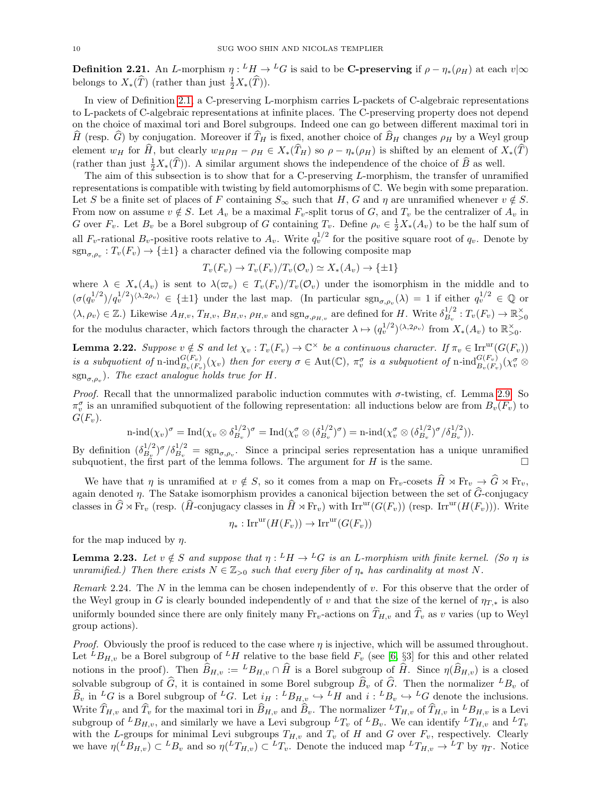<span id="page-9-2"></span>**Definition 2.21.** An L-morphism  $\eta: {}^L H \to {}^L G$  is said to be C-preserving if  $\rho - \eta_*(\rho_H)$  at each  $v | \infty$ belongs to  $X_*(\widehat{T})$  (rather than just  $\frac{1}{2}X_*(\widehat{T})$ ).

In view of Definition [2.1,](#page-5-3) a C-preserving L-morphism carries L-packets of C-algebraic representations to L-packets of C-algebraic representations at infinite places. The C-preserving property does not depend on the choice of maximal tori and Borel subgroups. Indeed one can go between different maximal tori in  $\widehat{H}$  (resp.  $\widehat{G}$ ) by conjugation. Moreover if  $\widehat{T}_H$  is fixed, another choice of  $\widehat{B}_H$  changes  $\rho_H$  by a Weyl group element  $w_H$  for  $\widehat{H}$ , but clearly  $w_H \rho_H - \rho_H \in X_*(\widehat{T}_H)$  so  $\rho - \eta_*(\rho_H)$  is shifted by an element of  $X_*(\widehat{T})$ (rather than just  $\frac{1}{2}X_*(\widehat{T})$ ). A similar argument shows the independence of the choice of  $\widehat{B}$  as well.

The aim of this subsection is to show that for a C-preserving  $L$ -morphism, the transfer of unramified representations is compatible with twisting by field automorphisms of C. We begin with some preparation. Let S be a finite set of places of F containing  $S_{\infty}$  such that H, G and  $\eta$  are unramified whenever  $v \notin S$ . From now on assume  $v \notin S$ . Let  $A_v$  be a maximal  $F_v$ -split torus of G, and  $T_v$  be the centralizer of  $A_v$  in G over  $F_v$ . Let  $B_v$  be a Borel subgroup of G containing  $T_v$ . Define  $\rho_v \in \frac{1}{2}X_*(A_v)$  to be the half sum of all  $F_v$ -rational  $B_v$ -positive roots relative to  $A_v$ . Write  $q_v^{1/2}$  for the positive square root of  $q_v$ . Denote by  $\text{sgn}_{\sigma,\rho_v}: T_v(F_v) \to \{\pm 1\}$  a character defined via the following composite map

$$
T_v(F_v) \to T_v(F_v)/T_v(\mathcal{O}_v) \simeq X_*(A_v) \to \{\pm 1\}
$$

where  $\lambda \in X_*(A_v)$  is sent to  $\lambda(\varpi_v) \in T_v(F_v)/T_v(\mathcal{O}_v)$  under the isomorphism in the middle and to  $(\sigma(q_v^{1/2})/q_v^{1/2})^{\langle \lambda, 2\rho_v \rangle} \in {\pm 1}$  under the last map. (In particular  $sgn_{\sigma,\rho_v}(\lambda) = 1$  if either  $q_v^{1/2} \in \mathbb{Q}$  or  $\langle \lambda, \rho_v \rangle \in \mathbb{Z}$ .) Likewise  $A_{H,v}, T_{H,v}, B_{H,v}, \rho_{H,v}$  and  $\text{sgn}_{\sigma, \rho_{H,v}}$  are defined for H. Write  $\delta_{B_v}^{1/2}$  $B_v^{1/2}: T_v(F_v) \to \mathbb{R}_{>0}^{\times}$ for the modulus character, which factors through the character  $\lambda \mapsto (q_v^{1/2})^{\langle \lambda, 2\rho_v \rangle}$  from  $X_*(A_v)$  to  $\mathbb{R}_{>0}^{\times}$ .

<span id="page-9-1"></span>**Lemma 2.22.** Suppose  $v \notin S$  and let  $\chi_v : T_v(F_v) \to \mathbb{C}^\times$  be a continuous character. If  $\pi_v \in \text{Irr}^{\text{ur}}(G(F_v))$ is a subquotient of n-ind ${}_{B_v(F_v)}^{G(F_v)}(\chi_v)$  then for every  $\sigma \in \text{Aut}(\mathbb{C})$ ,  $\pi_v^{\sigma}$  is a subquotient of n-ind ${}_{B_v(F_v)}^{G(F_v)}(\chi_v^{\sigma} \otimes$  $\text{sgn}_{\sigma,\rho_v}$ ). The exact analogue holds true for H.

*Proof.* Recall that the unnormalized parabolic induction commutes with  $\sigma$ -twisting, cf. Lemma [2.9.](#page-6-4) So  $\pi_v^{\sigma}$  is an unramified subquotient of the following representation: all inductions below are from  $B_v(F_v)$  to  $G(F_v).$ 

$$
\operatorname{n-ind}(\chi_v)^\sigma = \operatorname{Ind}(\chi_v \otimes \delta_{B_v}^{1/2})^\sigma = \operatorname{Ind}(\chi_v^\sigma \otimes (\delta_{B_v}^{1/2})^\sigma) = \operatorname{n-ind}(\chi_v^\sigma \otimes (\delta_{B_v}^{1/2})^\sigma / \delta_{B_v}^{1/2})).
$$

By definition  $(\delta_{B}^{1/2})$  $B_v^{1/2}$   $\sigma/\delta_{B_v}^{1/2} = \text{sgn}_{\sigma,\rho_v}$ . Since a principal series representation has a unique unramified subquotient, the first part of the lemma follows. The argument for H is the same.

We have that  $\eta$  is unramified at  $v \notin S$ , so it comes from a map on  $\text{Fr}_v$ -cosets  $\widehat{H} \rtimes \text{Fr}_v \to \widehat{G} \rtimes \text{Fr}_v$ , again denoted  $\eta$ . The Satake isomorphism provides a canonical bijection between the set of  $\widehat{G}$ -conjugacy classes in  $\hat{G} \rtimes \text{Fr}_v$  (resp.  $(\hat{H}\text{-conjugacy classes in }\hat{H} \rtimes \text{Fr}_v)$  with Irr<sup>ur</sup>( $G(F_v)$ ) (resp. Irr<sup>ur</sup>( $H(F_v)$ )). Write

$$
\eta_* : \mathrm{Irr}^{\mathrm{ur}}(H(F_v)) \to \mathrm{Irr}^{\mathrm{ur}}(G(F_v))
$$

for the map induced by  $\eta$ .

<span id="page-9-0"></span>**Lemma 2.23.** Let  $v \notin S$  and suppose that  $\eta : {}^L H \to {}^L G$  is an L-morphism with finite kernel. (So  $\eta$  is unramified.) Then there exists  $N \in \mathbb{Z}_{\geq 0}$  such that every fiber of  $\eta_*$  has cardinality at most N.

Remark 2.24. The N in the lemma can be chosen independently of v. For this observe that the order of the Weyl group in G is clearly bounded independently of v and that the size of the kernel of  $\eta_{T,*}$  is also uniformly bounded since there are only finitely many  $Fr_v$ -actions on  $T_{H,v}$  and  $T_v$  as v varies (up to Weyl group actions).

*Proof.* Obviously the proof is reduced to the case where  $\eta$  is injective, which will be assumed throughout. Let  ${}^L B_{H,v}$  be a Borel subgroup of  ${}^L H$  relative to the base field  $F_v$  (see [\[6,](#page-35-4) §3] for this and other related notions in the proof). Then  $\widehat{B}_{H,v} := {}^L B_{H,v} \cap \widehat{H}$  is a Borel subgroup of  $\widehat{H}$ . Since  $\eta(\widehat{B}_{H,v})$  is a closed solvable subgroup of  $\widehat{G}$ , it is contained in some Borel subgroup  $\widehat{B}_v$  of  $\widehat{G}$ . Then the normalizer  ${}^L B_v$  of  $\widehat{B}_v$  in  ${}^L G$  is a Borel subgroup of <sup>L</sup>G. Let  $i_H : {}^L B_{H,v} \hookrightarrow {}^L H$  and  $i : {}^L B_v \hookrightarrow {}^L G$  denote the inclusions. Write  $\widehat{T}_{H,v}$  and  $\widehat{T}_v$  for the maximal tori in  $\widehat{B}_{H,v}$  and  $\widehat{B}_v$ . The normalizer  ${}^L T_{H,v}$  of  $\widehat{T}_{H,v}$  in  ${}^L B_{H,v}$  is a Levi subgroup of  ${}^L B_{H,v}$ , and similarly we have a Levi subgroup  ${}^L T_v$  of  ${}^L B_v$ . We can identify  ${}^L T_{H,v}$  and  ${}^L T_v$ with the L-groups for minimal Levi subgroups  $T_{H,v}$  and  $T_v$  of H and G over  $F_v$ , respectively. Clearly we have  $\eta({^L}B_{H,v}) \subset {^L}B_v$  and so  $\eta({^L}T_{H,v}) \subset {^L}T_v$ . Denote the induced map  ${^L}T_{H,v} \to {^L}T$  by  $\eta_T$ . Notice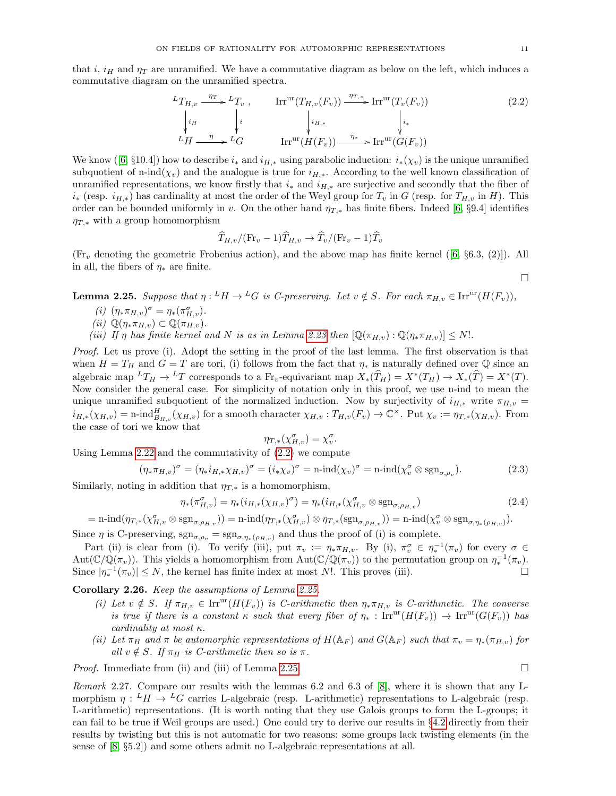that i, i<sub>H</sub> and  $\eta_T$  are unramified. We have a commutative diagram as below on the left, which induces a commutative diagram on the unramified spectra.

<span id="page-10-0"></span>
$$
{}^{L}T_{H,v} \xrightarrow{\eta_{T}} {}^{L}T_{v} , \qquad \text{Irr}^{\text{ur}}(T_{H,v}(F_{v})) \xrightarrow{\eta_{T,*}} \text{Irr}^{\text{ur}}(T_{v}(F_{v}))
$$
\n
$$
\downarrow_{i_{H}} \qquad \qquad \downarrow_{i_{H,*}} \qquad \qquad \downarrow_{i_{*}} \qquad \qquad \downarrow_{i_{*}}
$$
\n
$$
{}^{L}H \xrightarrow{\eta} {}^{L}G \qquad \text{Irr}^{\text{ur}}(H(F_{v})) \xrightarrow{\eta_{*}} \text{Irr}^{\text{ur}}(G(F_{v}))
$$
\n
$$
(2.2)
$$

Weknow ([\[6,](#page-35-4) §10.4]) how to describe  $i_*$  and  $i_{H,*}$  using parabolic induction:  $i_*(\chi_v)$  is the unique unramified subquotient of n-ind( $\chi_v$ ) and the analogue is true for  $i_{H,*}$ . According to the well known classification of unramified representations, we know firstly that  $i_*$  and  $i_{H,*}$  are surjective and secondly that the fiber of  $i_∗$  (resp.  $i_{H,*}$ ) has cardinality at most the order of the Weyl group for  $T_v$  in G (resp. for  $T_{H,v}$  in H). This order can be bounded uniformly in v. On the other hand  $\eta_{T,*}$  has finite fibers. Indeed [\[6,](#page-35-4) §9.4] identifies  $\eta_{T,*}$  with a group homomorphism

$$
\widehat{T}_{H,v}/(\mathrm{Fr}_v-1)\widehat{T}_{H,v}\to \widehat{T}_v/(\mathrm{Fr}_v-1)\widehat{T}_v
$$

 $(\mathrm{Fr}_v$ denoting the geometric Frobenius action), and the above map has finite kernel  $([6, §6.3, (2)])$  $([6, §6.3, (2)])$  $([6, §6.3, (2)])$ . All in all, the fibers of  $\eta_*$  are finite.

<span id="page-10-1"></span>**Lemma 2.25.** Suppose that  $\eta: {}^L H \to {}^L G$  is C-preserving. Let  $v \notin S$ . For each  $\pi_{H,v} \in \text{Irr}^{\text{ur}}(H(F_v)),$ 

- (*i*)  $(\eta_* \pi_{H,v})^{\sigma} = \eta_* (\pi_{H,v}^{\sigma}).$
- (ii)  $\mathbb{Q}(\eta_* \pi_{H,v}) \subset \mathbb{Q}(\pi_{H,v}).$
- (iii) If  $\eta$  has finite kernel and N is as in Lemma [2.23](#page-9-0) then  $[\mathbb{Q}(\pi_{H,v}) : \mathbb{Q}(\eta_* \pi_{H,v})] \leq N!$ .

Proof. Let us prove (i). Adopt the setting in the proof of the last lemma. The first observation is that when  $H = T_H$  and  $G = T$  are tori, (i) follows from the fact that  $\eta_*$  is naturally defined over  $\mathbb Q$  since an algebraic map  ${}^L T_H \to {}^L T$  corresponds to a  $\text{Fr}_v$ -equivariant map  $X_*(\widehat{T}_H) = X^*(T_H) \to X_*(\widehat{T}) = X^*(T)$ . Now consider the general case. For simplicity of notation only in this proof, we use n-ind to mean the unique unramified subquotient of the normalized induction. Now by surjectivity of  $i_{H,*}$  write  $\pi_{H,v}$  =  $i_{H,*}(\chi_{H,v}) = \text{n-ind}_{B_{H,v}}^H(\chi_{H,v})$  for a smooth character  $\chi_{H,v} : T_{H,v}(F_v) \to \mathbb{C}^{\times}$ . Put  $\chi_v := \eta_{T,*}(\chi_{H,v})$ . From the case of tori we know that

$$
\eta_{T,*}(\chi_{H,v}^{\sigma}) = \chi_v^{\sigma}.
$$

Using Lemma [2.22](#page-9-1) and the commutativity of [\(2.2\)](#page-10-0) we compute

$$
(\eta_* \pi_{H,v})^{\sigma} = (\eta_* i_{H,*} \chi_{H,v})^{\sigma} = (i_* \chi_v)^{\sigma} = \mathrm{n}\text{-}\mathrm{ind}(\chi_v)^{\sigma} = \mathrm{n}\text{-}\mathrm{ind}(\chi_v^{\sigma} \otimes \mathrm{sgn}_{\sigma,\rho_v}).\tag{2.3}
$$

Similarly, noting in addition that  $\eta_{T,*}$  is a homomorphism,

$$
\eta_*(\pi_{H,v}^{\sigma}) = \eta_*(i_{H,*}(\chi_{H,v})^{\sigma}) = \eta_*(i_{H,*}(\chi_{H,v}^{\sigma} \otimes \text{sgn}_{\sigma,\rho_{H,v}}))
$$
\n(2.4)

 $= \text{n-ind}(\eta_{T,*}(\chi^{\sigma}_{H,v} \otimes \text{sgn}_{\sigma,\rho_{H,v}})) = \text{n-ind}(\eta_{T,*}(\chi^{\sigma}_{H,v}) \otimes \eta_{T,*}(\text{sgn}_{\sigma,\rho_{H,v}})) = \text{n-ind}(\chi^{\sigma}_{v} \otimes \text{sgn}_{\sigma,\eta_{*}(\rho_{H,v})}).$ Since  $\eta$  is C-preserving,  $sgn_{\sigma,\rho_v} = sgn_{\sigma,\eta_*(\rho_{H,v})}$  and thus the proof of (i) is complete.

Part (ii) is clear from (i). To verify (iii), put  $\pi_v := \eta_* \pi_{H,v}$ . By (i),  $\pi_v \in \eta_*^{-1}(\pi_v)$  for every  $\sigma \in$  $Aut(\mathbb{C}/\mathbb{Q}(\pi_v))$ . This yields a homomorphism from  $Aut(\mathbb{C}/\mathbb{Q}(\pi_v))$  to the permutation group on  $\eta_*^{-1}(\pi_v)$ . Since  $|\eta_*^{-1}(\pi_v)| \leq N$ , the kernel has finite index at most N!. This proves (iii).

Corollary 2.26. Keep the assumptions of Lemma [2.25.](#page-10-1)

- (i) Let  $v \notin S$ . If  $\pi_{H,v} \in \text{Irr}^{\text{ur}}(H(F_v))$  is C-arithmetic then  $\eta_* \pi_{H,v}$  is C-arithmetic. The converse is true if there is a constant  $\kappa$  such that every fiber of  $\eta_* : \text{Irr}^{\text{ur}}(H(F_v)) \to \text{Irr}^{\text{ur}}(G(F_v))$  has cardinality at most  $\kappa$ .
- (ii) Let  $\pi_H$  and  $\pi$  be automorphic representations of  $H(\mathbb{A}_F)$  and  $G(\mathbb{A}_F)$  such that  $\pi_v = \eta_*(\pi_{H,v})$  for all  $v \notin S$ . If  $\pi_H$  is C-arithmetic then so is  $\pi$ .

*Proof.* Immediate from (ii) and (iii) of Lemma [2.25.](#page-10-1)

Remark 2.27. Compare our results with the lemmas 6.2 and 6.3 of [\[8\]](#page-35-0), where it is shown that any Lmorphism  $\eta: {}^L H \to {}^L G$  carries L-algebraic (resp. L-arithmetic) representations to L-algebraic (resp. L-arithmetic) representations. (It is worth noting that they use Galois groups to form the L-groups; it can fail to be true if Weil groups are used.) One could try to derive our results in §[4.2](#page-19-0) directly from their results by twisting but this is not automatic for two reasons: some groups lack twisting elements (in the sense of [\[8,](#page-35-0) §5.2]) and some others admit no L-algebraic representations at all.

 $\Box$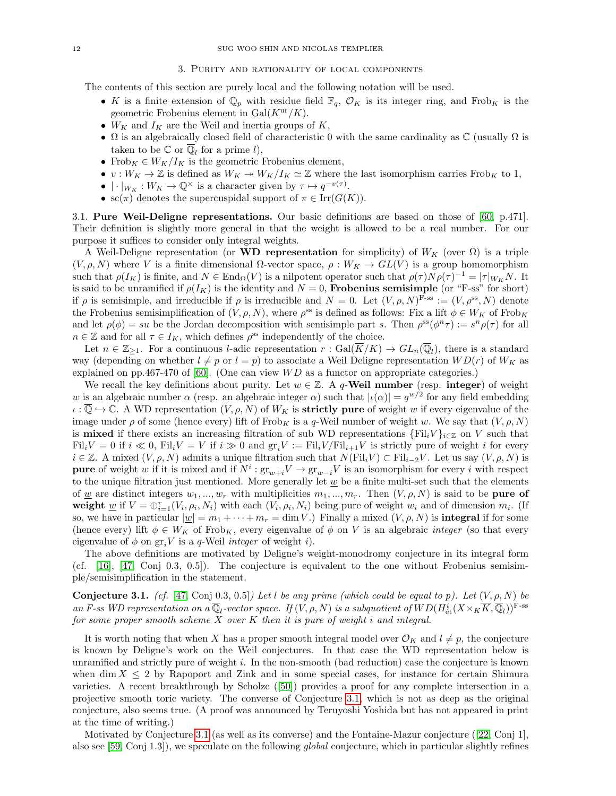### 3. Purity and rationality of local components

The contents of this section are purely local and the following notation will be used.

- K is a finite extension of  $\mathbb{Q}_p$  with residue field  $\mathbb{F}_q$ ,  $\mathcal{O}_K$  is its integer ring, and Frob<sub>K</sub> is the geometric Frobenius element in  $Gal(K^{\text{ur}}/K))$ .
- $W_K$  and  $I_K$  are the Weil and inertia groups of  $K$ ,
- $\Omega$  is an algebraically closed field of characteristic 0 with the same cardinality as  $\mathbb C$  (usually  $\Omega$  is taken to be  $\mathbb C$  or  $\overline{\mathbb Q}_l$  for a prime l),
- Frob $K \in W_K/I_K$  is the geometric Frobenius element,
- $v: W_K \to \mathbb{Z}$  is defined as  $W_K \twoheadrightarrow W_K/I_K \simeq \mathbb{Z}$  where the last isomorphism carries Frob<sub>K</sub> to 1,
- $|\cdot|_{W_K}: W_K \to \mathbb{Q}^{\times}$  is a character given by  $\tau \mapsto q^{-v(\tau)}$ .
- sc( $\pi$ ) denotes the supercuspidal support of  $\pi \in \text{Irr}(G(K))$ .

<span id="page-11-1"></span>3.1. Pure Weil-Deligne representations. Our basic definitions are based on those of [\[60,](#page-37-6) p.471]. Their definition is slightly more general in that the weight is allowed to be a real number. For our purpose it suffices to consider only integral weights.

A Weil-Deligne representation (or WD representation for simplicity) of  $W_K$  (over  $\Omega$ ) is a triple  $(V, \rho, N)$  where V is a finite dimensional  $\Omega$ -vector space,  $\rho: W_K \to GL(V)$  is a group homomorphism such that  $\rho(I_K)$  is finite, and  $N \in \text{End}_{\Omega}(V)$  is a nilpotent operator such that  $\rho(\tau)N\rho(\tau)^{-1} = |\tau|_{W_K}N$ . It is said to be unramified if  $\rho(I_K)$  is the identity and  $N = 0$ , **Frobenius semisimple** (or "F-ss" for short) if  $\rho$  is semisimple, and irreducible if  $\rho$  is irreducible and  $N = 0$ . Let  $(V, \rho, N)^{F\text{-ss}} := (V, \rho^{\text{ss}}, N)$  denote the Frobenius semisimplification of  $(V, \rho, N)$ , where  $\rho^{\text{ss}}$  is defined as follows: Fix a lift  $\phi \in W_K$  of Frob<sub>K</sub> and let  $\rho(\phi) = su$  be the Jordan decomposition with semisimple part s. Then  $\rho^{ss}(\phi^n \tau) := s^n \rho(\tau)$  for all  $n \in \mathbb{Z}$  and for all  $\tau \in I_K$ , which defines  $\rho^{\text{ss}}$  independently of the choice.

Let  $n \in \mathbb{Z}_{\geq 1}$ . For a continuous *l*-adic representation  $r : \text{Gal}(\overline{K}/K) \to GL_n(\overline{\mathbb{Q}}_l)$ , there is a standard way (depending on whether  $l \neq p$  or  $l = p$ ) to associate a Weil Deligne representation  $WD(r)$  of  $W_K$  as explained on pp.467-470 of [\[60\]](#page-37-6). (One can view  $WD$  as a functor on appropriate categories.)

We recall the key definitions about purity. Let  $w \in \mathbb{Z}$ . A q-Weil number (resp. integer) of weight w is an algebraic number  $\alpha$  (resp. an algebraic integer  $\alpha$ ) such that  $|\iota(\alpha)| = q^{w/2}$  for any field embedding  $\iota : \overline{\mathbb{Q}} \to \mathbb{C}$ . A WD representation  $(V, \rho, N)$  of  $W_K$  is **strictly pure** of weight w if every eigenvalue of the image under  $\rho$  of some (hence every) lift of Frob<sub>K</sub> is a q-Weil number of weight w. We say that  $(V, \rho, N)$ is **mixed** if there exists an increasing filtration of sub WD representations  $\{Fil_iV\}_{i\in\mathbb{Z}}$  on V such that  $\text{Fil}_i V = 0$  if  $i \ll 0$ ,  $\text{Fil}_i V = V$  if  $i \gg 0$  and  $\text{gr}_i V := \text{Fil}_i V / \text{Fil}_{i+1} V$  is strictly pure of weight i for every  $i \in \mathbb{Z}$ . A mixed  $(V, \rho, N)$  admits a unique filtration such that  $N(\mathrm{Fil}_i V) \subset \mathrm{Fil}_{i-2}V$ . Let us say  $(V, \rho, N)$  is **pure** of weight w if it is mixed and if  $N^i$ :  $gr_{w+i}V \to gr_{w-i}V$  is an isomorphism for every i with respect to the unique filtration just mentioned. More generally let  $\psi$  be a finite multi-set such that the elements of w are distinct integers  $w_1, ..., w_r$  with multiplicities  $m_1, ..., m_r$ . Then  $(V, \rho, N)$  is said to be **pure of** weight  $\underline{w}$  if  $V = \bigoplus_{i=1}^{r} (V_i, \rho_i, N_i)$  with each  $(V_i, \rho_i, N_i)$  being pure of weight  $w_i$  and of dimension  $m_i$ . (If so, we have in particular  $|\underline{w}| = m_1 + \cdots + m_r = \dim V$ .) Finally a mixed  $(V, \rho, N)$  is **integral** if for some (hence every) lift  $\phi \in W_K$  of Frob<sub>K</sub>, every eigenvalue of  $\phi$  on V is an algebraic *integer* (so that every eigenvalue of  $\phi$  on  $gr_iV$  is a q-Weil *integer* of weight *i*).

The above definitions are motivated by Deligne's weight-monodromy conjecture in its integral form (cf. [\[16\]](#page-36-12), [\[47,](#page-36-13) Conj 0.3, 0.5]). The conjecture is equivalent to the one without Frobenius semisimple/semisimplification in the statement.

<span id="page-11-0"></span>**Conjecture 3.1.** (cf. [\[47,](#page-36-13) Conj 0.3, 0.5]) Let l be any prime (which could be equal to p). Let  $(V, \rho, N)$  be an F-ss WD representation on a  $\overline{\mathbb{Q}}_l$ -vector space. If  $(V, \rho, N)$  is a subquotient of  $WD(H^i_{\text{\'et}}(X\times_K\overline{K}, \overline{\mathbb{Q}}_l))^{\text{F-ss}}$ for some proper smooth scheme  $X$  over  $K$  then it is pure of weight i and integral.

It is worth noting that when X has a proper smooth integral model over  $\mathcal{O}_K$  and  $l \neq p$ , the conjecture is known by Deligne's work on the Weil conjectures. In that case the WD representation below is unramified and strictly pure of weight i. In the non-smooth (bad reduction) case the conjecture is known when dim  $X \leq 2$  by Rapoport and Zink and in some special cases, for instance for certain Shimura varieties. A recent breakthrough by Scholze([\[50\]](#page-36-14)) provides a proof for any complete intersection in a projective smooth toric variety. The converse of Conjecture [3.1,](#page-11-0) which is not as deep as the original conjecture, also seems true. (A proof was announced by Teruyoshi Yoshida but has not appeared in print at the time of writing.)

Motivated by Conjecture [3.1](#page-11-0) (as well as its converse) and the Fontaine-Mazur conjecture ([\[22,](#page-36-4) Conj 1], also see [\[59,](#page-37-7) Conj 1.3]), we speculate on the following global conjecture, which in particular slightly refines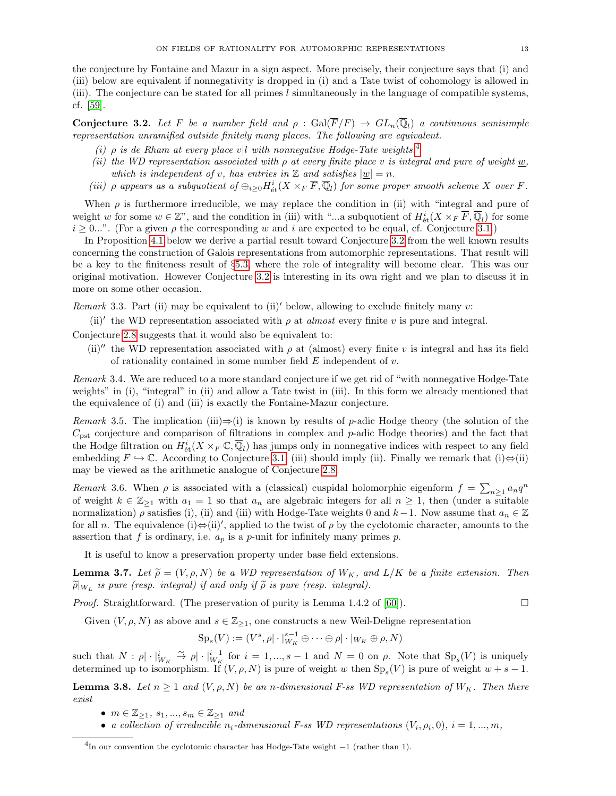the conjecture by Fontaine and Mazur in a sign aspect. More precisely, their conjecture says that (i) and (iii) below are equivalent if nonnegativity is dropped in (i) and a Tate twist of cohomology is allowed in (iii). The conjecture can be stated for all primes  $l$  simultaneously in the language of compatible systems, cf. [\[59\]](#page-37-7).

<span id="page-12-1"></span>**Conjecture 3.2.** Let F be a number field and  $\rho$ :  $Gal(\overline{F}/F) \rightarrow GL_n(\overline{\mathbb{Q}}_l)$  a continuous semisimple representation unramified outside finitely many places. The following are equivalent.

- (i)  $\rho$  is de Rham at every place v|l with nonnegative Hodge-Tate weights.<sup>[4](#page-12-0)</sup>
- (ii) the WD representation associated with  $\rho$  at every finite place v is integral and pure of weight w, which is independent of v, has entries in  $\mathbb Z$  and satisfies  $|w|=n$ .
- (iii)  $\rho$  appears as a subquotient of  $\oplus_{i\geq 0} H^i_{\text{\'et}}(X\times_F \overline{F},\overline{\mathbb{Q}}_l)$  for some proper smooth scheme X over F.

When  $\rho$  is furthermore irreducible, we may replace the condition in (ii) with "integral and pure of weight w for some  $w \in \mathbb{Z}^n$ , and the condition in (iii) with "...a subquotient of  $H^i_{\text{\'et}}(X \times_F \overline{F}, \overline{\mathbb{Q}}_l)$  for some  $i \geq 0...$ ". (For a given  $\rho$  the corresponding w and i are expected to be equal, cf. Conjecture [3.1.](#page-11-0))

In Proposition [4.1](#page-17-0) below we derive a partial result toward Conjecture [3.2](#page-12-1) from the well known results concerning the construction of Galois representations from automorphic representations. That result will be a key to the finiteness result of §[5.3,](#page-25-0) where the role of integrality will become clear. This was our original motivation. However Conjecture [3.2](#page-12-1) is interesting in its own right and we plan to discuss it in more on some other occasion.

Remark 3.3. Part (ii) may be equivalent to (ii)' below, allowing to exclude finitely many v:

(ii)' the WD representation associated with  $\rho$  at almost every finite v is pure and integral.

Conjecture [2.8](#page-6-1) suggests that it would also be equivalent to:

(ii)<sup>n</sup> the WD representation associated with  $\rho$  at (almost) every finite v is integral and has its field of rationality contained in some number field  $E$  independent of  $v$ .

Remark 3.4. We are reduced to a more standard conjecture if we get rid of "with nonnegative Hodge-Tate weights" in (i), "integral" in (ii) and allow a Tate twist in (iii). In this form we already mentioned that the equivalence of (i) and (iii) is exactly the Fontaine-Mazur conjecture.

Remark 3.5. The implication (iii) $\Rightarrow$ (i) is known by results of p-adic Hodge theory (the solution of the  $C_{\text{pst}}$  conjecture and comparison of filtrations in complex and p-adic Hodge theories) and the fact that the Hodge filtration on  $H^i_{\text{\'et}}(X\times_F \mathbb{C},\overline{\mathbb{Q}}_l)$  has jumps only in nonnegative indices with respect to any field embedding  $F \hookrightarrow \mathbb{C}$ . According to Conjecture [3.1,](#page-11-0) (iii) should imply (ii). Finally we remark that (i) $\Leftrightarrow$ (ii) may be viewed as the arithmetic analogue of Conjecture [2.8.](#page-6-1)

Remark 3.6. When  $\rho$  is associated with a (classical) cuspidal holomorphic eigenform  $f = \sum_{n\geq 1} a_n q^n$ of weight  $k \in \mathbb{Z}_{\geq 1}$  with  $a_1 = 1$  so that  $a_n$  are algebraic integers for all  $n \geq 1$ , then (under a suitable normalization)  $\rho$  satisfies (i), (ii) and (iii) with Hodge-Tate weights 0 and  $k-1$ . Now assume that  $a_n \in \mathbb{Z}$ for all *n*. The equivalence (i) $\Leftrightarrow$ (ii)', applied to the twist of  $\rho$  by the cyclotomic character, amounts to the assertion that f is ordinary, i.e.  $a_p$  is a p-unit for infinitely many primes p.

It is useful to know a preservation property under base field extensions.

<span id="page-12-3"></span>**Lemma 3.7.** Let  $\widetilde{\rho} = (V, \rho, N)$  be a WD representation of  $W_K$ , and  $L/K$  be a finite extension. Then  $\widetilde{\rho}|_{W_L}$  is pure (resp. integral) if and only if  $\widetilde{\rho}$  is pure (resp. integral).

*Proof.* Straightforward. (The preservation of purity is Lemma 1.4.2 of [\[60\]](#page-37-6)).

Given  $(V, \rho, N)$  as above and  $s \in \mathbb{Z}_{\geq 1}$ , one constructs a new Weil-Deligne representation

$$
\mathrm{Sp}_s(V) := (V^s, \rho | \cdot |_{W_K}^{s-1} \oplus \cdots \oplus \rho | \cdot |_{W_K} \oplus \rho, N)
$$

such that  $N: \rho | \cdot |_{W_K}^i \stackrel{\sim}{\to} \rho | \cdot |_{W_K}^{i-1}$  for  $i = 1, ..., s-1$  and  $N = 0$  on  $\rho$ . Note that  $Sp_s(V)$  is uniquely determined up to isomorphism. If  $(V, \rho, N)$  is pure of weight w then  $Sp_s(V)$  is pure of weight  $w + s - 1$ .

<span id="page-12-2"></span>**Lemma 3.8.** Let  $n \geq 1$  and  $(V, \rho, N)$  be an n-dimensional F-ss WD representation of  $W_K$ . Then there exist

- $m \in \mathbb{Z}_{\geq 1}, s_1, ..., s_m \in \mathbb{Z}_{\geq 1}$  and
- a collection of irreducible  $n_i$ -dimensional F-ss WD representations  $(V_i, \rho_i, 0), i = 1, ..., m$ ,

<span id="page-12-0"></span><sup>4</sup> In our convention the cyclotomic character has Hodge-Tate weight −1 (rather than 1).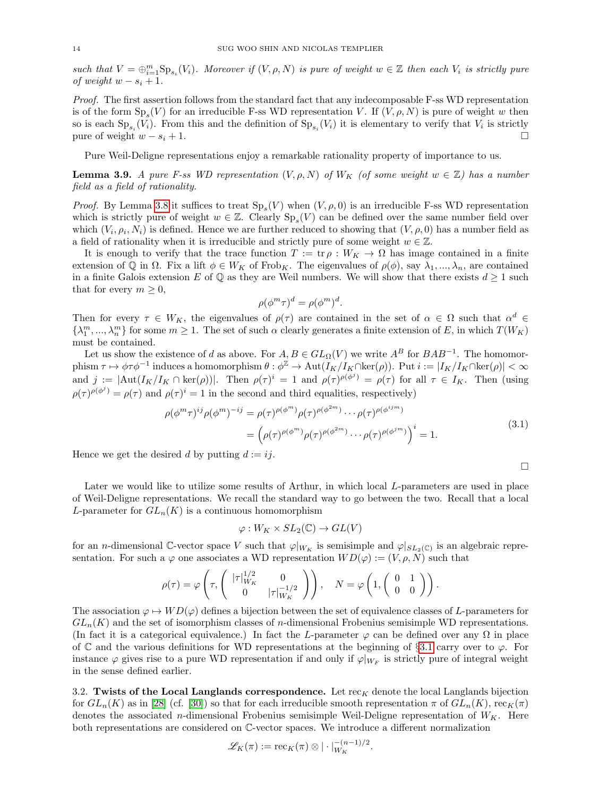such that  $V = \bigoplus_{i=1}^m \text{Sp}_{s_i}(V_i)$ . Moreover if  $(V, \rho, N)$  is pure of weight  $w \in \mathbb{Z}$  then each  $V_i$  is strictly pure of weight  $w - s_i + 1$ .

Proof. The first assertion follows from the standard fact that any indecomposable F-ss WD representation is of the form  $Sp_s(V)$  for an irreducible F-ss WD representation V. If  $(V, \rho, N)$  is pure of weight w then so is each  $\text{Sp}_{s_i}(V_i)$ . From this and the definition of  $\text{Sp}_{s_i}(V_i)$  it is elementary to verify that  $V_i$  is strictly pure of weight  $w - s_i + 1$ .

Pure Weil-Deligne representations enjoy a remarkable rationality property of importance to us.

<span id="page-13-0"></span>**Lemma 3.9.** A pure F-ss WD representation  $(V, \rho, N)$  of  $W_K$  (of some weight  $w \in \mathbb{Z}$ ) has a number field as a field of rationality.

*Proof.* By Lemma [3.8](#page-12-2) it suffices to treat  $Sp_s(V)$  when  $(V, \rho, 0)$  is an irreducible F-ss WD representation which is strictly pure of weight  $w \in \mathbb{Z}$ . Clearly  $Sp_s(V)$  can be defined over the same number field over which  $(V_i, \rho_i, N_i)$  is defined. Hence we are further reduced to showing that  $(V, \rho, 0)$  has a number field as a field of rationality when it is irreducible and strictly pure of some weight  $w \in \mathbb{Z}$ .

It is enough to verify that the trace function  $T := \text{tr } \rho : W_K \to \Omega$  has image contained in a finite extension of Q in  $\Omega$ . Fix a lift  $\phi \in W_K$  of Frob<sub>K</sub>. The eigenvalues of  $\rho(\phi)$ , say  $\lambda_1, ..., \lambda_n$ , are contained in a finite Galois extension E of  $\mathbb Q$  as they are Weil numbers. We will show that there exists  $d \geq 1$  such that for every  $m \geq 0$ ,

$$
\rho(\phi^m \tau)^d = \rho(\phi^m)^d.
$$

Then for every  $\tau \in W_K$ , the eigenvalues of  $\rho(\tau)$  are contained in the set of  $\alpha \in \Omega$  such that  $\alpha^d \in$  $\{\lambda_1^m,\ldots,\lambda_n^m\}$  for some  $m\geq 1$ . The set of such  $\alpha$  clearly generates a finite extension of E, in which  $T(W_K)$ must be contained.

Let us show the existence of d as above. For  $A, B \in GL_{\Omega}(V)$  we write  $A^B$  for  $BAB^{-1}$ . The homomor- $\text{phism }\tau\mapsto \phi\tau\phi^{-1}\text{ induces a homomorphism }\theta:\phi^{\mathbb{Z}}\to \text{Aut}(I_{K}/I_{K}\cap\ker(\rho)).\text{ Put }i:=|I_{K}/I_{K}\cap\ker(\rho)|<\infty$ and  $j := |\text{Aut}(I_K/I_K \cap \text{ker}(\rho))|$ . Then  $\rho(\tau)^i = 1$  and  $\rho(\tau)^{\rho(\phi^j)} = \rho(\tau)$  for all  $\tau \in I_K$ . Then (using  $\rho(\tau)^{\rho(\phi^j)} = \rho(\tau)$  and  $\rho(\tau)^i = 1$  in the second and third equalities, respectively)

$$
\rho(\phi^m \tau)^{ij} \rho(\phi^m)^{-ij} = \rho(\tau)^{\rho(\phi^m)} \rho(\tau)^{\rho(\phi^{2m})} \cdots \rho(\tau)^{\rho(\phi^{ijm})}
$$

$$
= \left(\rho(\tau)^{\rho(\phi^m)} \rho(\tau)^{\rho(\phi^{2m})} \cdots \rho(\tau)^{\rho(\phi^{jm})}\right)^i = 1.
$$
(3.1)

 $\Box$ 

Hence we get the desired d by putting  $d := ij$ .

Later we would like to utilize some results of Arthur, in which local L-parameters are used in place of Weil-Deligne representations. We recall the standard way to go between the two. Recall that a local L-parameter for  $GL_n(K)$  is a continuous homomorphism

$$
\varphi: W_K \times SL_2(\mathbb{C}) \to GL(V)
$$

for an *n*-dimensional C-vector space V such that  $\varphi|_{W_K}$  is semisimple and  $\varphi|_{SL_2(\mathbb{C})}$  is an algebraic representation. For such a  $\varphi$  one associates a WD representation  $WD(\varphi) := (V, \rho, N)$  such that

$$
\rho(\tau) = \varphi\left(\tau, \begin{pmatrix} |\tau|_{W_K}^{1/2} & 0 \\ 0 & |\tau|_{W_K}^{-1/2} \end{pmatrix}\right), \quad N = \varphi\left(1, \begin{pmatrix} 0 & 1 \\ 0 & 0 \end{pmatrix}\right).
$$

The association  $\varphi \mapsto WD(\varphi)$  defines a bijection between the set of equivalence classes of L-parameters for  $GL_n(K)$  and the set of isomorphism classes of *n*-dimensional Frobenius semisimple WD representations. (In fact it is a categorical equivalence.) In fact the L-parameter  $\varphi$  can be defined over any  $\Omega$  in place of C and the various definitions for WD representations at the beginning of §[3.1](#page-11-1) carry over to  $\varphi$ . For instance  $\varphi$  gives rise to a pure WD representation if and only if  $\varphi|_{W_F}$  is strictly pure of integral weight in the sense defined earlier.

<span id="page-13-1"></span>3.2. Twists of the Local Langlands correspondence. Let  $rec_K$  denote the local Langlands bijection for  $GL_n(K)$  as in [\[28\]](#page-36-15) (cf. [\[30\]](#page-36-16)) so that for each irreducible smooth representation  $\pi$  of  $GL_n(K)$ , rec $K(\pi)$ denotes the associated *n*-dimensional Frobenius semisimple Weil-Deligne representation of  $W_K$ . Here both representations are considered on C-vector spaces. We introduce a different normalization

$$
\mathscr{L}_K(\pi) := \mathrm{rec}_K(\pi) \otimes |\cdot|_{W_K}^{-(n-1)/2}.
$$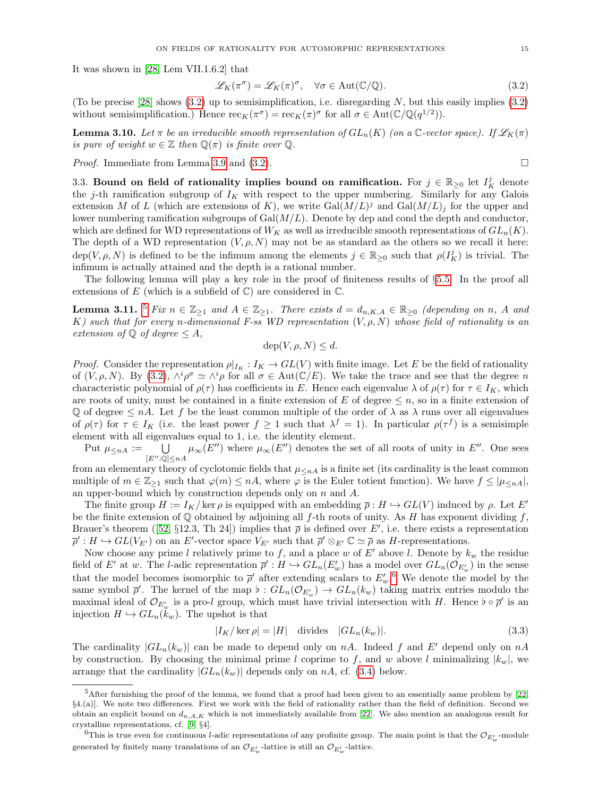It was shown in [\[28,](#page-36-15) Lem VII.1.6.2] that

<span id="page-14-0"></span>
$$
\mathcal{L}_K(\pi^{\sigma}) = \mathcal{L}_K(\pi)^{\sigma}, \quad \forall \sigma \in \text{Aut}(\mathbb{C}/\mathbb{Q}).
$$
\n(3.2)

(To be precise [\[28\]](#page-36-15) shows  $(3.2)$  up to semisimplification, i.e. disregarding N, but this easily implies  $(3.2)$ without semisimplification.) Hence  $\operatorname{rec}_K(\pi^{\sigma}) = \operatorname{rec}_K(\pi)^{\sigma}$  for all  $\sigma \in \operatorname{Aut}(\mathbb{C}/\mathbb{Q}(q^{1/2}))$ .

**Lemma 3.10.** Let  $\pi$  be an irreducible smooth representation of  $GL_n(K)$  (on a C-vector space). If  $\mathscr{L}_K(\pi)$ is pure of weight  $w \in \mathbb{Z}$  then  $\mathbb{Q}(\pi)$  is finite over  $\mathbb{Q}$ .

*Proof.* Immediate from Lemma [3.9](#page-13-0) and [\(3.2\)](#page-14-0).

<span id="page-14-4"></span>3.3. Bound on field of rationality implies bound on ramification. For  $j \in \mathbb{R}_{\geq 0}$  let  $I_K^j$  denote the j-th ramification subgroup of  $I_K$  with respect to the upper numbering. Similarly for any Galois extension M of L (which are extensions of K), we write  $Gal(M/L)^{j}$  and  $Gal(M/L)_{j}$  for the upper and lower numbering ramification subgroups of  $Gal(M/L)$ . Denote by dep and cond the depth and conductor, which are defined for WD representations of  $W_K$  as well as irreducible smooth representations of  $GL_n(K)$ . The depth of a WD representation  $(V, \rho, N)$  may not be as standard as the others so we recall it here:  $dep(V, \rho, N)$  is defined to be the infimum among the elements  $j \in \mathbb{R}_{\geq 0}$  such that  $\rho(I_K^j)$  is trivial. The infimum is actually attained and the depth is a rational number.

The following lemma will play a key role in the proof of finiteness results of §[5.5.](#page-27-2) In the proof all extensions of E (which is a subfield of  $\mathbb{C}$ ) are considered in  $\mathbb{C}$ .

<span id="page-14-3"></span>**Lemma 3.11.** <sup>[5](#page-14-1)</sup> Fix  $n \in \mathbb{Z}_{\geq 1}$  and  $A \in \mathbb{Z}_{\geq 1}$ . There exists  $d = d_{n,K,A} \in \mathbb{R}_{\geq 0}$  (depending on n, A and K) such that for every n-dimensional F-ss WD representation  $(V, \rho, N)$  whose field of rationality is an extension of  $\mathbb Q$  of degree  $\leq A$ ,

 $dep(V, \rho, N) \leq d.$ 

*Proof.* Consider the representation  $\rho|_{I_K}: I_K \to GL(V)$  with finite image. Let E be the field of rationality of  $(V, \rho, N)$ . By [\(3.2\)](#page-14-0),  $\wedge^i \rho^{\sigma} \simeq \wedge^i \rho$  for all  $\sigma \in \text{Aut}(\mathbb{C}/E)$ . We take the trace and see that the degree n characteristic polynomial of  $\rho(\tau)$  has coefficients in E. Hence each eigenvalue  $\lambda$  of  $\rho(\tau)$  for  $\tau \in I_K$ , which are roots of unity, must be contained in a finite extension of E of degree  $\leq n$ , so in a finite extension of Q of degree  $\leq nA$ . Let f be the least common multiple of the order of  $\lambda$  as  $\lambda$  runs over all eigenvalues of  $\rho(\tau)$  for  $\tau \in I_K$  (i.e. the least power  $f \geq 1$  such that  $\lambda^f = 1$ ). In particular  $\rho(\tau^f)$  is a semisimple element with all eigenvalues equal to 1, i.e. the identity element.

Put  $\mu_{\leq nA} := \bigcup_{[E'':\mathbb{Q}]\leq nA} \mu_{\infty}(E'')$  where  $\mu_{\infty}(E'')$  denotes the set of all roots of unity in  $E''$ . One sees

from an elementary theory of cyclotomic fields that  $\mu_{\leq n}A$  is a finite set (its cardinality is the least common multiple of  $m \in \mathbb{Z}_{\geq 1}$  such that  $\varphi(m) \leq n\lambda$ , where  $\varphi$  is the Euler totient function). We have  $f \leq |\mu_{\leq n\lambda}|$ , an upper-bound which by construction depends only on n and A.

The finite group  $H := I_K/\ker \rho$  is equipped with an embedding  $\overline{\rho}: H \hookrightarrow GL(V)$  induced by  $\rho$ . Let E' be the finite extension of  $\mathbb Q$  obtained by adjoining all f-th roots of unity. As H has exponent dividing f, Brauer'stheorem ([\[52,](#page-37-8) §12.3, Th 24]) implies that  $\bar{\rho}$  is defined over E', i.e. there exists a representation  $\overline{\rho}' : H \hookrightarrow GL(V_{E'})$  on an E'-vector space  $V_{E'}$  such that  $\overline{\rho}' \otimes_{E'} \mathbb{C} \simeq \overline{\rho}$  as H-representations.

Now choose any prime l relatively prime to f, and a place w of  $E'$  above l. Denote by  $k_w$  the residue field of E' at w. The l-adic representation  $\overline{\rho}' : H \hookrightarrow GL_n(E'_w)$  has a model over  $GL_n(\mathcal{O}_{E'_w})$  in the sense that the model becomes isomorphic to  $\bar{\rho}'$  after extending scalars to  $E'_w$ .<sup>[6](#page-14-2)</sup> We denote the model by the same symbol  $\bar{\rho}'$ . The kernel of the map  $\flat : GL_n(\mathcal{O}_{E'_w}) \to GL_n(k_w)$  taking matrix entries modulo the maximal ideal of  $\mathcal{O}_{E'_{w}}$  is a pro-l group, which must have trivial intersection with H. Hence  $\flat \circ \overline{\rho}'$  is an injection  $H \hookrightarrow GL_n(k_w)$ . The upshot is that

$$
|I_K/\ker \rho| = |H| \quad \text{divides} \quad |GL_n(k_w)|. \tag{3.3}
$$

The cardinality  $|GL_n(k_w)|$  can be made to depend only on nA. Indeed f and E' depend only on nA by construction. By choosing the minimal prime l coprime to f, and w above l minimalizing  $|k_w|$ , we arrange that the cardinality  $|GL_n(k_w)|$  depends only on nA, cf. [\(3.4\)](#page-16-1) below.

<span id="page-14-1"></span> $5$ After furnishing the proof of the lemma, we found that a proof had been given to an essentially same problem by  $[22, 1]$  $[22, 1]$ §4.(a)]. We note two differences. First we work with the field of rationality rather than the field of definition. Second we obtain an explicit bound on  $d_{n,A,K}$  which is not immediately available from [\[22\]](#page-36-4). We also mention an analogous result for crystalline representations, cf. [\[9,](#page-35-5) §4].

<span id="page-14-2"></span><sup>&</sup>lt;sup>6</sup>This is true even for continuous *l*-adic representations of any profinite group. The main point is that the  $\mathcal{O}_{E'_w}$ -module generated by finitely many translations of an  $\mathcal{O}_{E_w'}$ -lattice is still an  $\mathcal{O}_{E_w'}$ -lattice.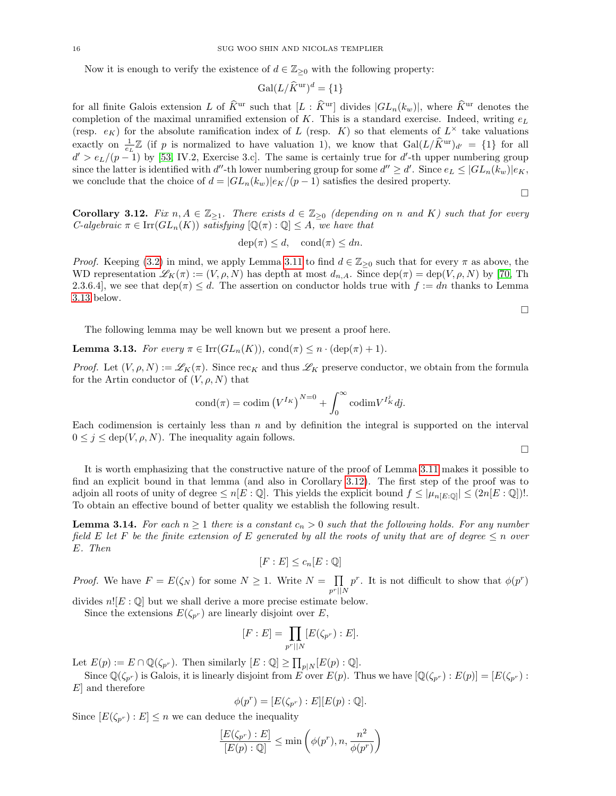Now it is enough to verify the existence of  $d \in \mathbb{Z}_{\geq 0}$  with the following property:

$$
\text{Gal}(L/\widehat{K}^{\text{ur}})^d = \{1\}
$$

for all finite Galois extension L of  $\widehat{K}^{\text{ur}}$  such that  $[L : \widehat{K}^{\text{ur}}]$  divides  $|GL_n(k_w)|$ , where  $\widehat{K}^{\text{ur}}$  denotes the completion of the maximal unramified extension of K. This is a standard exercise. Indeed, writing  $e<sub>L</sub>$ (resp.  $e_K$ ) for the absolute ramification index of L (resp. K) so that elements of  $L^{\times}$  take valuations exactly on  $\frac{1}{e_L}\mathbb{Z}$  (if p is normalized to have valuation 1), we know that  $Gal(L/\hat{K}^{\text{ur}})_{d'} = \{1\}$  for all  $d' > e_L/(p-1)$  by [\[53,](#page-37-9) IV.2, Exercise 3.c]. The same is certainly true for d'-th upper numbering group since the latter is identified with d''-th lower numbering group for some  $d'' \geq d'$ . Since  $e_L \leq |GL_n(k_w)|e_K$ , we conclude that the choice of  $d = |GL_n(k_w)|e_K/(p-1)$  satisfies the desired property.

 $\Box$ 

 $\Box$ 

<span id="page-15-1"></span>**Corollary 3.12.** Fix  $n, A \in \mathbb{Z}_{\geq 1}$ . There exists  $d \in \mathbb{Z}_{\geq 0}$  (depending on n and K) such that for every *C*-algebraic  $\pi \in \text{Irr}(GL_n(K))$  satisfying  $[\mathbb{Q}(\pi):\mathbb{Q}] \leq A$ , we have that

$$
dep(\pi) \le d, cond(\pi) \le dn.
$$

*Proof.* Keeping [\(3.2\)](#page-14-0) in mind, we apply Lemma [3.11](#page-14-3) to find  $d \in \mathbb{Z}_{\geq 0}$  such that for every  $\pi$  as above, the WD representation  $\mathscr{L}_K(\pi) := (V, \rho, N)$  has depth at most  $d_{n,A}$ . Since  $\text{dep}(\pi) = \text{dep}(V, \rho, N)$  by [\[70,](#page-37-10) Th 2.3.6.4], we see that dep( $\pi$ )  $\leq d$ . The assertion on conductor holds true with  $f := dn$  thanks to Lemma [3.13](#page-15-0) below.

The following lemma may be well known but we present a proof here.

<span id="page-15-0"></span>**Lemma 3.13.** For every  $\pi \in \text{Irr}(GL_n(K))$ , cond $(\pi) \leq n \cdot (\text{dep}(\pi) + 1)$ .

*Proof.* Let  $(V, \rho, N) := \mathscr{L}_K(\pi)$ . Since rec<sub>K</sub> and thus  $\mathscr{L}_K$  preserve conductor, we obtain from the formula for the Artin conductor of  $(V, \rho, N)$  that

$$
\text{cond}(\pi) = \text{codim} (V^{I_K})^{N=0} + \int_0^\infty \text{codim} V^{I_K^j} d j.
$$

Each codimension is certainly less than  $n$  and by definition the integral is supported on the interval  $0 \leq j \leq \text{dep}(V, \rho, N)$ . The inequality again follows.

 $\Box$ 

It is worth emphasizing that the constructive nature of the proof of Lemma [3.11](#page-14-3) makes it possible to find an explicit bound in that lemma (and also in Corollary [3.12\)](#page-15-1). The first step of the proof was to adjoin all roots of unity of degree  $\leq n[E:\mathbb{Q}]$ . This yields the explicit bound  $f \leq |\mu_{n[E:\mathbb{Q}]}| \leq (2n[E:\mathbb{Q}])!$ . To obtain an effective bound of better quality we establish the following result.

<span id="page-15-2"></span>**Lemma 3.14.** For each  $n \geq 1$  there is a constant  $c_n > 0$  such that the following holds. For any number field E let F be the finite extension of E generated by all the roots of unity that are of degree  $\leq n$  over E. Then

$$
[F:E] \le c_n[E:\mathbb{Q}]
$$

*Proof.* We have  $F = E(\zeta_N)$  for some  $N \geq 1$ . Write  $N = \prod$  $p^r||N$  $p^r$ . It is not difficult to show that  $\phi(p^r)$ 

divides  $n![E:\mathbb{Q}]$  but we shall derive a more precise estimate below.

Since the extensions  $E(\zeta_{p^r})$  are linearly disjoint over E,

$$
[F:E] = \prod_{p^r||N} [E(\zeta_{p^r}) : E].
$$

Let  $E(p) := E \cap \mathbb{Q}(\zeta_{p^r})$ . Then similarly  $[E : \mathbb{Q}] \ge \prod_{p \mid N} [E(p) : \mathbb{Q}]$ .

Since  $\mathbb{Q}(\zeta_{p^r})$  is Galois, it is linearly disjoint from E over  $E(p)$ . Thus we have  $\mathbb{Q}(\zeta_{p^r}): E(p) = [E(\zeta_{p^r}) : E(p)]$  $E$  and therefore

$$
\phi(p^r) = [E(\zeta_{p^r}) : E][E(p) : \mathbb{Q}].
$$

Since  $[E(\zeta_{p^r}):E] \leq n$  we can deduce the inequality

$$
\frac{[E(\zeta_{p^r}):E]}{[E(p):\mathbb{Q}]} \le \min\left(\phi(p^r), n, \frac{n^2}{\phi(p^r)}\right)
$$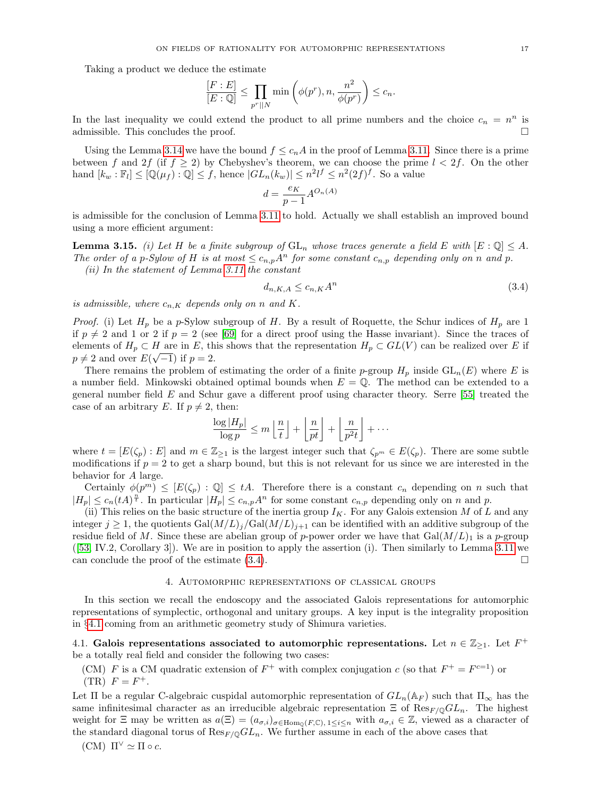Taking a product we deduce the estimate

$$
\frac{[F:E]}{[E:\mathbb{Q}]} \le \prod_{p^r||N} \min\left(\phi(p^r), n, \frac{n^2}{\phi(p^r)}\right) \le c_n.
$$

In the last inequality we could extend the product to all prime numbers and the choice  $c_n = n^n$  is admissible. This concludes the proof.

Using the Lemma [3.14](#page-15-2) we have the bound  $f \leq c_nA$  in the proof of Lemma [3.11.](#page-14-3) Since there is a prime between f and 2f (if  $f \ge 2$ ) by Chebyshev's theorem, we can choose the prime  $l < 2f$ . On the other hand  $[k_w : \mathbb{F}_l] \leq [\mathbb{Q}(\mu_f) : \mathbb{Q}] \leq f$ , hence  $|GL_n(k_w)| \leq n^2 l^f \leq n^2 (2f)^f$ . So a value

$$
d = \frac{e_K}{p-1} A^{O_n(A)}
$$

is admissible for the conclusion of Lemma [3.11](#page-14-3) to hold. Actually we shall establish an improved bound using a more efficient argument:

**Lemma 3.15.** (i) Let H be a finite subgroup of  $GL_n$  whose traces generate a field E with  $[E:\mathbb{Q}] \leq A$ . The order of a p-Sylow of H is at most  $\leq c_{n,p} A^n$  for some constant  $c_{n,p}$  depending only on n and p. (ii) In the statement of Lemma [3.11](#page-14-3) the constant

<span id="page-16-1"></span>
$$
d_{n,K,A} \le c_{n,K} A^n \tag{3.4}
$$

is admissible, where  $c_{n,K}$  depends only on n and K.

*Proof.* (i) Let  $H_p$  be a p-Sylow subgroup of H. By a result of Roquette, the Schur indices of  $H_p$  are 1 if  $p \neq 2$  and 1 or 2 if  $p = 2$  (see [\[69\]](#page-37-11) for a direct proof using the Hasse invariant). Since the traces of elements of  $H_p \subset H$  are in E, this shows that the representation  $H_p \subset GL(V)$  can be realized over E if  $p \neq 2$  and over  $E(\sqrt{-1})$  if  $p = 2$ .

There remains the problem of estimating the order of a finite p-group  $H_p$  inside  $GL_n(E)$  where E is a number field. Minkowski obtained optimal bounds when  $E = \mathbb{Q}$ . The method can be extended to a general number field E and Schur gave a different proof using character theory. Serre [\[55\]](#page-37-12) treated the case of an arbitrary E. If  $p \neq 2$ , then:

$$
\frac{\log |H_p|}{\log p} \le m \left\lfloor \frac{n}{t} \right\rfloor + \left\lfloor \frac{n}{pt} \right\rfloor + \left\lfloor \frac{n}{p^2 t} \right\rfloor + \cdots
$$

where  $t = [E(\zeta_p) : E]$  and  $m \in \mathbb{Z}_{\geq 1}$  is the largest integer such that  $\zeta_{p^m} \in E(\zeta_p)$ . There are some subtle modifications if  $p = 2$  to get a sharp bound, but this is not relevant for us since we are interested in the behavior for A large.

Certainly  $\phi(p^m) \leq [E(\zeta_p) : \mathbb{Q}] \leq tA$ . Therefore there is a constant  $c_n$  depending on n such that  $|H_p| \leq c_n (tA)^{\frac{n}{t}}$ . In particular  $|H_p| \leq c_{n,p} A^n$  for some constant  $c_{n,p}$  depending only on n and p.

(ii) This relies on the basic structure of the inertia group  $I_K$ . For any Galois extension M of L and any integer  $j \geq 1$ , the quotients  $Gal(M/L)<sub>j</sub>/Gal(M/L)<sub>j+1</sub>$  can be identified with an additive subgroup of the residue field of M. Since these are abelian group of p-power order we have that  $Gal(M/L)$ <sub>1</sub> is a p-group ([\[53,](#page-37-9) IV.2, Corollary 3]). We are in position to apply the assertion (i). Then similarly to Lemma [3.11](#page-14-3) we can conclude the proof of the estimate  $(3.4)$ .

# 4. Automorphic representations of classical groups

<span id="page-16-0"></span>In this section we recall the endoscopy and the associated Galois representations for automorphic representations of symplectic, orthogonal and unitary groups. A key input is the integrality proposition in §[4.1](#page-16-2) coming from an arithmetic geometry study of Shimura varieties.

<span id="page-16-2"></span>4.1. Galois representations associated to automorphic representations. Let  $n \in \mathbb{Z}_{\geq 1}$ . Let  $F^+$ be a totally real field and consider the following two cases:

(CM) F is a CM quadratic extension of  $F^+$  with complex conjugation c (so that  $F^+ = F^{c=1}$ ) or  $(TR)$   $F = F^+$ .

Let  $\Pi$  be a regular C-algebraic cuspidal automorphic representation of  $GL_n(\mathbb{A}_F)$  such that  $\Pi_{\infty}$  has the same infinitesimal character as an irreducible algebraic representation  $\Xi$  of  $\text{Res}_{F/\mathbb{Q}}GL_n$ . The highest weight for  $\Xi$  may be written as  $a(\Xi) = (a_{\sigma,i})_{\sigma \in \text{Hom}_{\mathbb{Q}}(F,\mathbb{C}), 1 \leq i \leq n}$  with  $a_{\sigma,i} \in \mathbb{Z}$ , viewed as a character of the standard diagonal torus of  $\text{Res}_{F/\mathbb{Q}}GL_n$ . We further assume in each of the above cases that

(CM)  $\Pi^{\vee} \simeq \Pi \circ c.$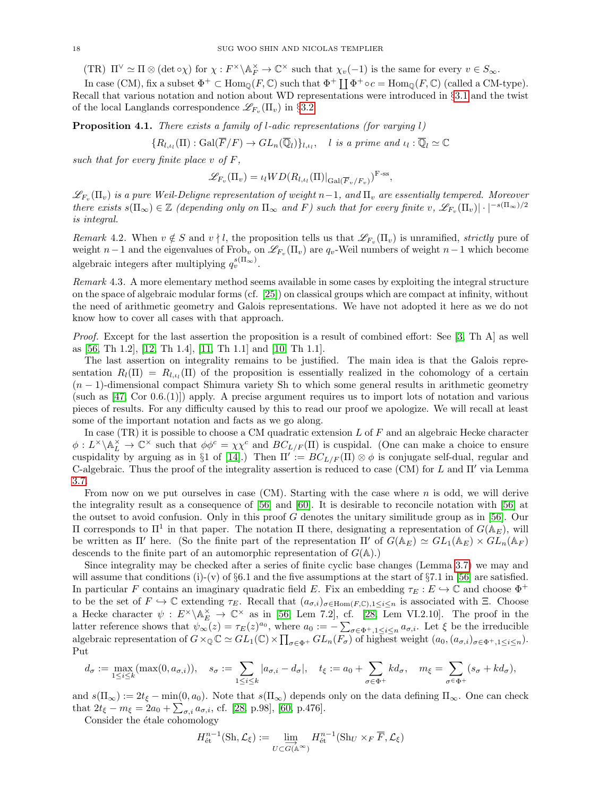(TR)  $\Pi^{\vee} \simeq \Pi \otimes (\det \circ \chi)$  for  $\chi : F^{\times} \backslash \mathbb{A}_F^{\times} \to \mathbb{C}^{\times}$  such that  $\chi_v(-1)$  is the same for every  $v \in S_{\infty}$ .

In case (CM), fix a subset  $\Phi^+ \subset \text{Hom}_{\mathbb{Q}}(F, \mathbb{C})$  such that  $\Phi^+ \coprod \Phi^+ \circ c = \text{Hom}_{\mathbb{Q}}(F, \mathbb{C})$  (called a CM-type). Recall that various notation and notion about WD representations were introduced in §[3.1](#page-11-1) and the twist of the local Langlands correspondence  $\mathscr{L}_{F_v}(\Pi_v)$  in §[3.2.](#page-13-1)

<span id="page-17-0"></span>**Proposition 4.1.** There exists a family of l-adic representations (for varying l)

$$
\{R_{l,\iota_l}(\Pi) : \mathrm{Gal}(\overline{F}/F) \to GL_n(\overline{\mathbb{Q}}_l)\}_{l,\iota_l}, \quad l \text{ is a prime and } \iota_l : \overline{\mathbb{Q}}_l \simeq \mathbb{C}
$$

such that for every finite place  $v$  of  $F$ ,

$$
\mathscr{L}_{F_v}(\Pi_v) = \iota_l WD(R_{l,\iota_l}(\Pi)|_{Gal(\overline{F}_v/F_v)})^{\text{F-ss}},
$$

 $\mathscr{L}_{F_v}(\Pi_v)$  is a pure Weil-Deligne representation of weight n−1, and  $\Pi_v$  are essentially tempered. Moreover there exists  $s(\Pi_{\infty}) \in \mathbb{Z}$  (depending only on  $\Pi_{\infty}$  and F) such that for every finite v,  $\mathscr{L}_{F_v}(\Pi_v)|\cdot|^{-s(\Pi_{\infty})/2}$ is integral.

<span id="page-17-1"></span>Remark 4.2. When  $v \notin S$  and  $v \nmid l$ , the proposition tells us that  $\mathscr{L}_{F_v}(\Pi_v)$  is unramified, strictly pure of weight  $n-1$  and the eigenvalues of Frob<sub>v</sub> on  $\mathscr{L}_{F_v}(\Pi_v)$  are  $q_v$ -Weil numbers of weight  $n-1$  which become algebraic integers after multiplying  $q_v^{s(\Pi_\infty)}$ .

Remark 4.3. A more elementary method seems available in some cases by exploiting the integral structure on the space of algebraic modular forms (cf. [\[25\]](#page-36-17)) on classical groups which are compact at infinity, without the need of arithmetic geometry and Galois representations. We have not adopted it here as we do not know how to cover all cases with that approach.

Proof. Except for the last assertion the proposition is a result of combined effort: See [\[3,](#page-35-6) Th A] as well as [\[56,](#page-37-13) Th 1.2], [\[12,](#page-35-7) Th 1.4], [\[11,](#page-35-8) Th 1.1] and [\[10,](#page-35-9) Th 1.1].

The last assertion on integrality remains to be justified. The main idea is that the Galois representation  $R_l(\Pi) = R_{l,\iota_l}(\Pi)$  of the proposition is essentially realized in the cohomology of a certain  $(n-1)$ -dimensional compact Shimura variety Sh to which some general results in arithmetic geometry (such as  $[47, \text{Cor } 0.6.(1)]$ ) apply. A precise argument requires us to import lots of notation and various pieces of results. For any difficulty caused by this to read our proof we apologize. We will recall at least some of the important notation and facts as we go along.

In case (TR) it is possible to choose a CM quadratic extension  $L$  of  $F$  and an algebraic Hecke character  $\phi: L^{\times}\backslash \mathbb{A}_{L}^{\times} \to \mathbb{C}^{\times}$  such that  $\phi\phi^{c} = \chi\chi^{c}$  and  $BC_{L/F}(\Pi)$  is cuspidal. (One can make a choice to ensure cuspidality by arguing as in §1 of [\[14\]](#page-36-18).) Then  $\Pi' := BC_{L/F}(\Pi) \otimes \phi$  is conjugate self-dual, regular and C-algebraic. Thus the proof of the integrality assertion is reduced to case (CM) for L and  $\Pi'$  via Lemma [3.7.](#page-12-3)

From now on we put ourselves in case  $(CM)$ . Starting with the case where n is odd, we will derive the integrality result as a consequence of [\[56\]](#page-37-13) and [\[60\]](#page-37-6). It is desirable to reconcile notation with [\[56\]](#page-37-13) at the outset to avoid confusion. Only in this proof  $G$  denotes the unitary similitude group as in [\[56\]](#page-37-13). Our II corresponds to  $\Pi^1$  in that paper. The notation Π there, designating a representation of  $G(\mathbb{A}_E)$ , will be written as Π' here. (So the finite part of the representation  $\Pi'$  of  $G(\mathbb{A}_E) \simeq GL_1(\mathbb{A}_E) \times GL_n(\mathbb{A}_F)$ descends to the finite part of an automorphic representation of  $G(A)$ .)

Since integrality may be checked after a series of finite cyclic base changes (Lemma [3.7\)](#page-12-3) we may and will assume that conditions (i)-(v) of  $\S6.1$  and the five assumptions at the start of  $\S7.1$  in [\[56\]](#page-37-13) are satisfied. In particular F contains an imaginary quadratic field E. Fix an embedding  $\tau_E : E \hookrightarrow \mathbb{C}$  and choose  $\Phi^+$ to be the set of  $F \hookrightarrow \mathbb{C}$  extending  $\tau_E$ . Recall that  $(a_{\sigma,i})_{\sigma \in \text{Hom}(F,\mathbb{C}),1\leq i\leq n}$  is associated with Ξ. Choose a Hecke character  $\psi : E^{\times} \backslash \mathbb{A}_{E}^{\times} \to \mathbb{C}^{\times}$  as in [\[56,](#page-37-13) Lem 7.2], cf. [\[28,](#page-36-15) Lem VI.2.10]. The proof in the latter reference shows that  $\psi_{\infty}(z) = \tau_E(z)^{a_0}$ , where  $a_0 := -\sum_{\sigma \in \Phi^+, 1 \leq i \leq n} a_{\sigma,i}$ . Let  $\xi$  be the irreducible algebraic representation of  $G \times_{\mathbb{Q}} \mathbb{C} \simeq GL_1(\mathbb{C}) \times \prod_{\sigma \in \Phi^+} GL_n(F_{\sigma})$  of highest weight  $(a_0, (a_{\sigma,i})_{\sigma \in \Phi^+, 1 \leq i \leq n})$ . Put

$$
d_{\sigma} := \max_{1 \leq i \leq k} (\max(0, a_{\sigma,i})), \quad s_{\sigma} := \sum_{1 \leq i \leq k} |a_{\sigma,i} - d_{\sigma}|, \quad t_{\xi} := a_0 + \sum_{\sigma \in \Phi^+} k d_{\sigma}, \quad m_{\xi} = \sum_{\sigma \in \Phi^+} (s_{\sigma} + k d_{\sigma}),
$$

and  $s(\Pi_{\infty}) := 2t_{\xi} - \min(0, a_0)$ . Note that  $s(\Pi_{\infty})$  depends only on the data defining  $\Pi_{\infty}$ . One can check that  $2t_{\xi} - m_{\xi} = 2a_0 + \sum_{\sigma,i} a_{\sigma,i}$ , cf. [\[28,](#page-36-15) p.98], [\[60,](#page-37-6) p.476].

Consider the étale cohomology

$$
H^{n-1}_{\text{\'et}}(\text{Sh},\mathcal{L}_{\xi}) := \varinjlim_{U \subset \overrightarrow{G(\mathbb{A}^{\infty})}} H^{n-1}_{\text{\'et}}(\text{Sh}_U \times_F \overline{F},\mathcal{L}_{\xi})
$$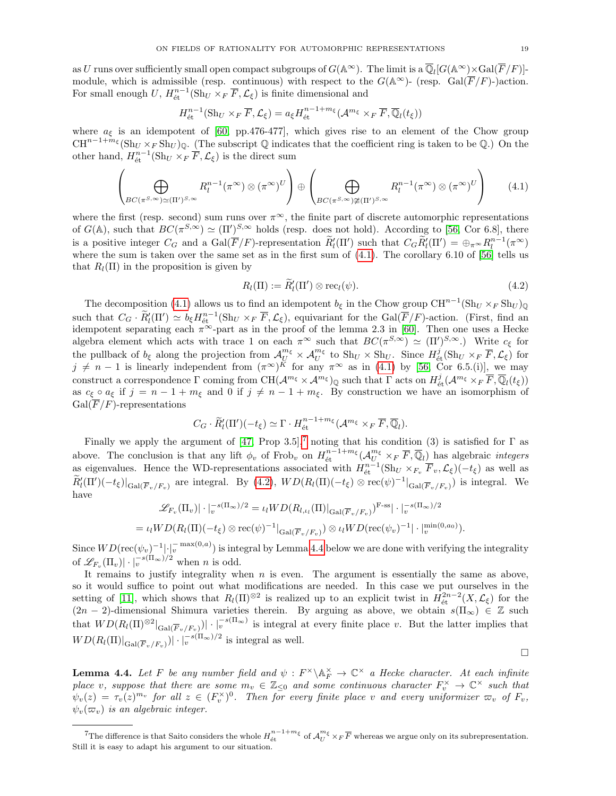as U runs over sufficiently small open compact subgroups of  $G(\mathbb{A}^{\infty})$ . The limit is a  $\overline{\mathbb{Q}}_l[G(\mathbb{A}^{\infty})\times \mathrm{Gal}(\overline{F}/F)]$ module, which is admissible (resp. continuous) with respect to the  $G(\mathbb{A}^{\infty})$ - (resp. Gal( $\overline{F}/F$ )-)action. For small enough  $U$ ,  $H_{\text{\'et}}^{n-1}(\text{Sh}_U \times_F \overline{F}, \mathcal{L}_\xi)$  is finite dimensional and

$$
H_{\text{\'et}}^{n-1}(\text{Sh}_U \times_F \overline{F}, \mathcal{L}_\xi) = a_\xi H_{\text{\'et}}^{n-1+m_\xi}(\mathcal{A}^{m_\xi} \times_F \overline{F}, \overline{\mathbb{Q}}_l(t_\xi))
$$

where  $a_{\xi}$  is an idempotent of [\[60,](#page-37-6) pp.476-477], which gives rise to an element of the Chow group  $CH^{n-1+m_{\xi}}(\mathrm{Sh}_{U}\times_{F}\mathrm{Sh}_{U})_{\mathbb{Q}}.$  (The subscript  $\mathbb{Q}$  indicates that the coefficient ring is taken to be  $\mathbb{Q}$ .) On the other hand,  $H_{\text{\'et}}^{n-1}(\text{Sh}_U \times_F \overline{F}, \mathcal{L}_\xi)$  is the direct sum

<span id="page-18-0"></span>
$$
\left(\bigoplus_{BC(\pi^{S,\infty})\simeq(\Pi')^{S,\infty}}R_l^{n-1}(\pi^{\infty})\otimes(\pi^{\infty})^U\right)\oplus\left(\bigoplus_{BC(\pi^{S,\infty})\not\cong(\Pi')^{S,\infty}}R_l^{n-1}(\pi^{\infty})\otimes(\pi^{\infty})^U\right)\qquad(4.1)
$$

where the first (resp. second) sum runs over  $\pi^{\infty}$ , the finite part of discrete automorphic representations of  $G(\mathbb{A})$ , such that  $BC(\pi^{S,\infty}) \simeq (\Pi')^{S,\infty}$  holds (resp. does not hold). According to [\[56,](#page-37-13) Cor 6.8], there is a positive integer  $C_G$  and a  $Gal(\overline{F}/F)$ -representation  $\widetilde{R}'_l(\Pi')$  such that  $C_G\widetilde{R}'_l(\Pi') = \bigoplus_{\pi \in \mathbb{N}} R_l^{n-1}(\pi^{\infty})$ where the sum is taken over the same set as in the first sum of  $(4.1)$ . The corollary 6.10 of [\[56\]](#page-37-13) tells us that  $R_l(\Pi)$  in the proposition is given by

<span id="page-18-2"></span>
$$
R_l(\Pi) := \widetilde{R}'_l(\Pi') \otimes \text{rec}_l(\psi).
$$
\n(4.2)

The decomposition [\(4.1\)](#page-18-0) allows us to find an idempotent  $b_{\xi}$  in the Chow group  $\mathrm{CH}^{n-1}(\mathrm{Sh}_U \times_F \mathrm{Sh}_U)_{\mathbb{Q}}$ such that  $C_G \cdot \widetilde{R}'_l(\Pi') \simeq b_{\xi} H_{\text{\'et}}^{n-1}(\text{Sh}_U \times_F \overline{F}, \mathcal{L}_{\xi})$ , equivariant for the Gal( $\overline{F}/F$ )-action. (First, find an idempotent separating each  $\pi^{\infty}$ -part as in the proof of the lemma 2.3 in [\[60\]](#page-37-6). Then one uses a Hecke algebra element which acts with trace 1 on each  $\pi^{\infty}$  such that  $BC(\pi^{S,\infty}) \simeq (\Pi')^{S,\infty}$ .) Write  $c_{\xi}$  for the pullback of  $b_{\xi}$  along the projection from  $\mathcal{A}_{U}^{m_{\xi}} \times \mathcal{A}_{U}^{m_{\xi}}$  to  $\text{Sh}_{U} \times \text{Sh}_{U}$ . Since  $H_{\text{\'et}}^{j}(\text{Sh}_{U} \times_{F} \overline{F}, \mathcal{L}_{\xi})$  for  $j \neq n - 1$  is linearly independent from  $(\pi^{\infty})^K$  for any  $\pi^{\infty}$  as in [\(4.1\)](#page-18-0) by [\[56,](#page-37-13) Cor 6.5.(i)], we may construct a correspondence  $\Gamma$  coming from  $\mathrm{CH}(\mathcal{A}^{m_{\xi}} \times \mathcal{A}^{m_{\xi}})_{\mathbb{Q}}$  such that  $\Gamma$  acts on  $H^j_{\text{\'et}}(\mathcal{A}^{m_{\xi}} \times_F \overline{F}, \overline{\mathbb{Q}}_l(t_{\xi}))$ as  $c_{\xi} \circ a_{\xi}$  if  $j = n - 1 + m_{\xi}$  and 0 if  $j \neq n - 1 + m_{\xi}$ . By construction we have an isomorphism of  $Gal(\overline{F}/F)$ -representations

$$
C_G \cdot \widetilde{R}'_l(\Pi')(-t_{\xi}) \simeq \Gamma \cdot H_{\text{\'et}}^{n-1+m_{\xi}}(\mathcal{A}^{m_{\xi}} \times_F \overline{F}, \overline{\mathbb{Q}}_l).
$$

Finally we apply the argument of [\[47,](#page-36-13) Prop 3.5],<sup>[7](#page-18-1)</sup> noting that his condition (3) is satisfied for  $\Gamma$  as above. The conclusion is that any lift  $\phi_v$  of Frob<sub>v</sub> on  $H^{n-1+m_{\xi}}_{\text{\'et}}(\mathcal{A}^{m_{\xi}}_{U} \times_F \overline{F}, \overline{\mathbb{Q}}_l)$  has algebraic *integers* as eigenvalues. Hence the WD-representations associated with  $H_{\text{\'et}}^{n-1}(\text{Sh}_U \times_{F_v} \overline{F}_v, \mathcal{L}_\xi)(-t_\xi)$  as well as  $\widetilde{R}'_l(\Pi')(-t_{\xi})|_{Gal(\overline{F}_v/F_v)}$  are integral. By [\(4.2\)](#page-18-2),  $WD(R_l(\Pi)(-t_{\xi})\otimes \text{rec}(\psi)^{-1}|_{Gal(\overline{F}_v/F_v)})$  is integral. We have

$$
\mathscr{L}_{F_v}(\Pi_v) \vert \cdot \vert_v^{-s(\Pi_{\infty})/2} = \iota_l WD(R_{l,\iota_l}(\Pi) \vert_{\mathrm{Gal}(\overline{F}_v/F_v)})^{\mathrm{F-ss}} \vert \cdot \vert_v^{-s(\Pi_{\infty})/2}
$$
  
=  $\iota_l WD(R_l(\Pi) (-t_{\xi}) \otimes \mathrm{rec}(\psi)^{-1} \vert_{\mathrm{Gal}(\overline{F}_v/F_v)}) \otimes \iota_l WD(\mathrm{rec}(\psi_v)^{-1} \vert \cdot \vert_v^{\min(0, a_0)}).$ 

Since  $WD(\text{rec}(\psi_v)^{-1}|\cdot|_v^{-\max(0,a)})$  is integral by Lemma [4.4](#page-18-3) below we are done with verifying the integrality of  $\mathscr{L}_{F_v}(\Pi_v)|\cdot|_v^{-s(\Pi_\infty)/2}$  when *n* is odd.

It remains to justify integrality when  $n$  is even. The argument is essentially the same as above, so it would suffice to point out what modifications are needed. In this case we put ourselves in the setting of [\[11\]](#page-35-8), which shows that  $R_l(\Pi)^{\otimes 2}$  is realized up to an explicit twist in  $H^{2n-2}_{\text{\'et}}(X,\mathcal{L}_\xi)$  for the  $(2n-2)$ -dimensional Shimura varieties therein. By arguing as above, we obtain  $s(\Pi_{\infty}) \in \mathbb{Z}$  such that  $WD(R_l(\Pi)^{\otimes2}|_{Gal(\overline{F}_v/F_v)})|\cdot|_v^{-s(\Pi_{\infty})}$  is integral at every finite place v. But the latter implies that  $WD(R_l(\Pi)|_{Gal(\overline{F}_v/F_v)})|\cdot|_v^{-s(\Pi_{\infty})/2}$  is integral as well.

<span id="page-18-3"></span>**Lemma 4.4.** Let F be any number field and  $\psi : F^{\times} \backslash \mathbb{A}_F^{\times} \to \mathbb{C}^{\times}$  a Hecke character. At each infinite place v, suppose that there are some  $m_v \in \mathbb{Z}_{\leq 0}$  and some continuous character  $F_v^{\times} \to \mathbb{C}^{\times}$  such that  $\psi_v(z) = \tau_v(z)^{m_v}$  for all  $z \in (F_v^{\times})^0$ . Then for every finite place v and every uniformizer  $\varpi_v$  of  $F_v$ ,  $\psi_v(\varpi_v)$  is an algebraic integer.

 $\Box$ 

<span id="page-18-1"></span><sup>&</sup>lt;sup>7</sup>The difference is that Saito considers the whole  $H_{\text{\'et}}^{n-1+m_{\xi}}$  of  $\mathcal{A}_{U}^{m_{\xi}} \times_{F} \overline{F}$  whereas we argue only on its subrepresentation. Still it is easy to adapt his argument to our situation.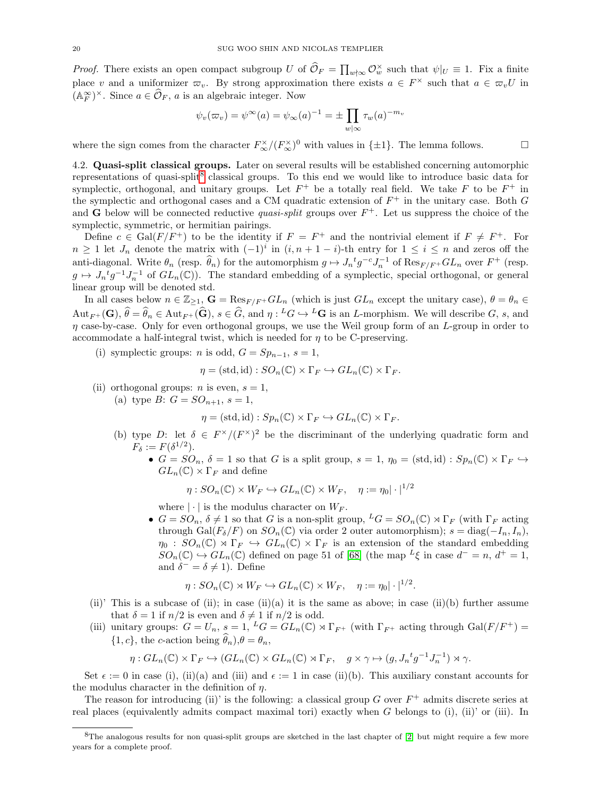*Proof.* There exists an open compact subgroup U of  $\hat{\mathcal{O}}_F = \prod_{w \nmid \infty} \mathcal{O}_w^{\times}$  such that  $\psi|_U \equiv 1$ . Fix a finite place v and a uniformizer  $\varpi_v$ . By strong approximation there exists  $a \in F^\times$  such that  $a \in \varpi_v U$  in  $(\mathbb{A}_F^{\infty})^{\times}$ . Since  $a \in \widehat{\mathcal{O}}_F$ , a is an algebraic integer. Now

$$
\psi_v(\varpi_v) = \psi^{\infty}(a) = \psi_{\infty}(a)^{-1} = \pm \prod_{w \mid \infty} \tau_w(a)^{-m_v}
$$

where the sign comes from the character  $F_{\infty}^{\times}/(F_{\infty}^{\times})^0$  with values in  $\{\pm 1\}$ . The lemma follows.

<span id="page-19-0"></span>4.2. Quasi-split classical groups. Later on several results will be established concerning automorphic representations of quasi-split<sup>[8](#page-19-1)</sup> classical groups. To this end we would like to introduce basic data for symplectic, orthogonal, and unitary groups. Let  $F^+$  be a totally real field. We take F to be  $F^+$  in the symplectic and orthogonal cases and a CM quadratic extension of  $F^+$  in the unitary case. Both G and G below will be connected reductive *quasi-split* groups over  $F^+$ . Let us suppress the choice of the symplectic, symmetric, or hermitian pairings.

Define  $c \in \text{Gal}(F/F^+)$  to be the identity if  $F = F^+$  and the nontrivial element if  $F \neq F^+$ . For  $n \geq 1$  let  $J_n$  denote the matrix with  $(-1)^i$  in  $(i, n + 1 - i)$ -th entry for  $1 \leq i \leq n$  and zeros off the anti-diagonal. Write  $\theta_n$  (resp.  $\widehat{\theta}_n$ ) for the automorphism  $g \mapsto J_n^t g^{-c} J_n^{-1}$  of  $\text{Res}_{F/F^+} GL_n$  over  $F^+$  (resp.  $g \mapsto J_n^{\ t}g^{-1}J_n^{-1}$  of  $GL_n(\mathbb{C})$ ). The standard embedding of a symplectic, special orthogonal, or general linear group will be denoted std.

In all cases below  $n \in \mathbb{Z}_{\geq 1}$ ,  $\mathbf{G} = \text{Res}_{F/F} \cdot GL_n$  (which is just  $GL_n$  except the unitary case),  $\theta = \theta_n \in$  $\text{Aut}_{F^+}(\mathbf{G}), \hat{\theta} = \hat{\theta}_n \in \text{Aut}_{F^+}(\hat{\mathbf{G}}), s \in \hat{G}, \text{ and } \eta : {}^L G \hookrightarrow {}^L \mathbf{G} \text{ is an } L\text{-morphism. We will describe } G, s, \text{ and }$  $\eta$  case-by-case. Only for even orthogonal groups, we use the Weil group form of an  $L$ -group in order to accommodate a half-integral twist, which is needed for  $\eta$  to be C-preserving.

(i) symplectic groups: *n* is odd,  $G = Sp_{n-1}, s = 1$ ,

$$
\eta = (\text{std}, \text{id}) : SO_n(\mathbb{C}) \times \Gamma_F \hookrightarrow GL_n(\mathbb{C}) \times \Gamma_F.
$$

- (ii) orthogonal groups: *n* is even,  $s = 1$ ,
	- (a) type  $B: G = SO_{n+1}, s = 1$ ,

$$
\eta = (\text{std}, \text{id}) : Sp_n(\mathbb{C}) \times \Gamma_F \hookrightarrow GL_n(\mathbb{C}) \times \Gamma_F.
$$

- (b) type D: let  $\delta \in F^{\times}/(F^{\times})^2$  be the discriminant of the underlying quadratic form and  $F_{\delta} := F(\delta^{1/2}).$ 
	- $G = SO_n$ ,  $\delta = 1$  so that G is a split group,  $s = 1$ ,  $\eta_0 = (std, id) : Sp_n(\mathbb{C}) \times \Gamma_F \hookrightarrow$  $GL_n(\mathbb{C}) \times \Gamma_F$  and define

$$
\eta: SO_n(\mathbb{C}) \times W_F \hookrightarrow GL_n(\mathbb{C}) \times W_F, \quad \eta := \eta_0 |\cdot|^{1/2}
$$

where  $|\cdot|$  is the modulus character on  $W_F$ .

•  $G = SO_n$ ,  $\delta \neq 1$  so that G is a non-split group,  $^L G = SO_n(\mathbb{C}) \rtimes \Gamma_F$  (with  $\Gamma_F$  acting through Gal( $F_\delta/F$ ) on  $SO_n(\mathbb{C})$  via order 2 outer automorphism);  $s = \text{diag}(-I_n, I_n)$ ,  $\eta_0 : SO_n(\mathbb{C}) \rtimes \Gamma_F \hookrightarrow GL_n(\mathbb{C}) \times \Gamma_F$  is an extension of the standard embedding  $SO_n(\mathbb{C}) \hookrightarrow GL_n(\mathbb{C})$  defined on page 51 of [\[68\]](#page-37-14) (the map  $^L \xi$  in case  $d^- = n$ ,  $d^+ = 1$ , and  $\delta^- = \delta \neq 1$ ). Define

$$
\eta: SO_n(\mathbb{C}) \rtimes W_F \hookrightarrow GL_n(\mathbb{C}) \times W_F, \quad \eta := \eta_0 |\cdot|^{1/2}.
$$

- (ii)' This is a subcase of (ii); in case (ii)(a) it is the same as above; in case (ii)(b) further assume that  $\delta = 1$  if  $n/2$  is even and  $\delta \neq 1$  if  $n/2$  is odd.
- (iii) unitary groups:  $G = U_n$ ,  $s = 1$ ,  ${}^L G = GL_n(\mathbb{C}) \rtimes \Gamma_{F^+}$  (with  $\Gamma_{F^+}$  acting through  $Gal(F/F^+) =$  $\{1, c\}$ , the c-action being  $\hat{\theta}_n$ ,  $\theta = \theta_n$ ,

$$
\eta: GL_n(\mathbb{C}) \times \Gamma_F \hookrightarrow (GL_n(\mathbb{C}) \times GL_n(\mathbb{C}) \rtimes \Gamma_F, \quad g \times \gamma \mapsto (g, J_n{}^t g^{-1} J_n^{-1}) \rtimes \gamma.
$$

Set  $\epsilon := 0$  in case (i), (ii)(a) and (iii) and  $\epsilon := 1$  in case (ii)(b). This auxiliary constant accounts for the modulus character in the definition of  $\eta$ .

The reason for introducing (ii)' is the following: a classical group  $G$  over  $F^+$  admits discrete series at real places (equivalently admits compact maximal tori) exactly when G belongs to (i), (ii)' or (iii). In

<span id="page-19-1"></span><sup>8</sup>The analogous results for non quasi-split groups are sketched in the last chapter of [\[2\]](#page-35-1) but might require a few more years for a complete proof.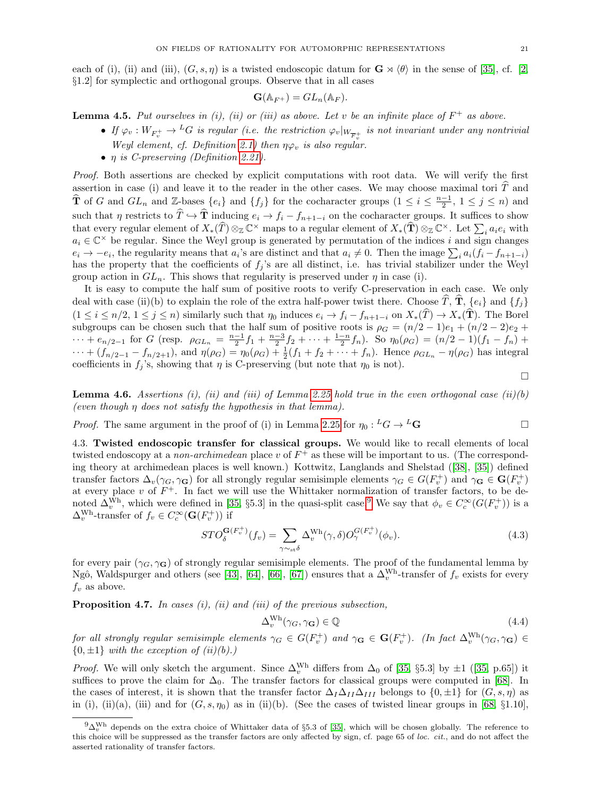each of (i), (ii) and (iii),  $(G, s, \eta)$  is a twisted endoscopic datum for  $\mathbf{G} \rtimes \langle \theta \rangle$  in the sense of [\[35\]](#page-36-19), cf. [\[2,](#page-35-1) §1.2] for symplectic and orthogonal groups. Observe that in all cases

$$
\mathbf{G}(\mathbb{A}_{F^+})=GL_n(\mathbb{A}_F).
$$

<span id="page-20-1"></span>**Lemma 4.5.** Put ourselves in (i), (ii) or (iii) as above. Let v be an infinite place of  $F^+$  as above.

- If  $\varphi_v: W_{F_v^+} \to {}^L G$  is regular (i.e. the restriction  $\varphi_v|_{W_{F_v^+}}$  is not invariant under any nontrivial Weyl element, cf. Definition [2.1\)](#page-5-3) then  $\eta \varphi_v$  is also regular.
- η is C-preserving (Definition [2.21\)](#page-9-2).

Proof. Both assertions are checked by explicit computations with root data. We will verify the first assertion in case (i) and leave it to the reader in the other cases. We may choose maximal tori  $\hat{T}$  and  $\hat{\mathbf{T}}$  of G and  $GL_n$  and  $\mathbb{Z}$ -bases  $\{e_i\}$  and  $\{f_j\}$  for the cocharacter groups  $(1 \leq i \leq \frac{n-1}{2}, 1 \leq j \leq n)$  and such that  $\eta$  restricts to  $\hat{T} \hookrightarrow \hat{T}$  inducing  $e_i \to f_i - f_{n+1-i}$  on the cocharacter groups. It suffices to show that every regular element of  $X_*(\hat{T}) \otimes_{\mathbb{Z}} \mathbb{C}^\times$  maps to a regular element of  $X_*(\hat{T}) \otimes_{\mathbb{Z}} \mathbb{C}^\times$ . Let  $\sum_i a_i e_i$  with  $a_i \in \mathbb{C}^\times$  be regular. Since the Weyl group is generated by permutation of the indices i and sign changes  $e_i \to -e_i$ , the regularity means that  $a_i$ 's are distinct and that  $a_i \neq 0$ . Then the image  $\sum_i a_i (f_i - f_{n+1-i})$ has the property that the coefficients of  $f_i$ 's are all distinct, i.e. has trivial stabilizer under the Weyl group action in  $GL_n$ . This shows that regularity is preserved under  $\eta$  in case (i).

It is easy to compute the half sum of positive roots to verify C-preservation in each case. We only deal with case (ii)(b) to explain the role of the extra half-power twist there. Choose  $\hat{T}, \hat{T}, \{e_i\}$  and  $\{f_i\}$  $(1 \leq i \leq n/2, 1 \leq j \leq n)$  similarly such that  $\eta_0$  induces  $e_i \to f_i - f_{n+1-i}$  on  $X_*(\widehat{T}) \to X_*(\widehat{T})$ . The Borel subgroups can be chosen such that the half sum of positive roots is  $\rho_G = (n/2 - 1)e_1 + (n/2 - 2)e_2 +$  $\cdots + e_{n/2-1}$  for G (resp.  $\rho_{GL_n} = \frac{n-1}{2}f_1 + \frac{n-3}{2}f_2 + \cdots + \frac{1-n}{2}f_n$ ). So  $\eta_0(\rho_G) = (n/2-1)(f_1 - f_n) +$  $\cdots + (f_{n/2-1} - f_{n/2+1}),$  and  $\eta(\rho_G) = \eta_0(\rho_G) + \frac{1}{2}(f_1 + f_2 + \cdots + f_n).$  Hence  $\rho_{GL_n} - \eta(\rho_G)$  has integral coefficients in  $f_j$ 's, showing that  $\eta$  is C-preserving (but note that  $\eta_0$  is not).

 $\Box$ 

**Lemma 4.6.** Assertions (i), (ii) and (iii) of Lemma [2.25](#page-10-1) hold true in the even orthogonal case (ii)(b) (even though  $\eta$  does not satisfy the hypothesis in that lemma).

*Proof.* The same argument in the proof of (i) in Lemma [2.25](#page-10-1) for  $\eta_0: {}^L G \to {}^L G$ 

4.3. Twisted endoscopic transfer for classical groups. We would like to recall elements of local twisted endoscopy at a *non-archimedean* place v of  $F^+$  as these will be important to us. (The corresponding theory at archimedean places is well known.) Kottwitz, Langlands and Shelstad([\[38\]](#page-36-20), [\[35\]](#page-36-19)) defined transfer factors  $\Delta_v(\gamma_G, \gamma_G)$  for all strongly regular semisimple elements  $\gamma_G \in G(F_v^+)$  and  $\gamma_G \in G(F_v^+)$ at every place v of  $F^+$ . In fact we will use the Whittaker normalization of transfer factors, to be denoted  $\Delta_v^{\text{Wh}}$ , which were defined in [\[35,](#page-36-19) §5.3] in the quasi-split case.<sup>[9](#page-20-0)</sup> We say that  $\phi_v \in C_c^{\infty}(G(F_v^+))$  is a  $\Delta_v^{\text{Wh}}$ -transfer of  $f_v \in C_c^{\infty}(\mathbf{G}(F_v^+))$  if

<span id="page-20-3"></span>
$$
STO_{\delta}^{\mathbf{G}(F_{v}^{+})}(f_{v}) = \sum_{\gamma \sim_{\text{st}} \delta} \Delta_{v}^{\text{Wh}}(\gamma, \delta) O_{\gamma}^{G(F_{v}^{+})}(\phi_{v}). \tag{4.3}
$$

for every pair ( $\gamma_G$ ,  $\gamma_G$ ) of strongly regular semisimple elements. The proof of the fundamental lemma by Ngô, Waldspurger and others (see [\[43\]](#page-36-21), [\[64\]](#page-37-15), [\[66\]](#page-37-16), [\[67\]](#page-37-17)) ensures that a  $\Delta_v^{\text{Wh}}$ -transfer of  $f_v$  exists for every  $f_v$  as above.

<span id="page-20-2"></span>**Proposition 4.7.** In cases  $(i)$ ,  $(ii)$  and  $(iii)$  of the previous subsection,

$$
\Delta_v^{\text{Wh}}(\gamma_G, \gamma_G) \in \mathbb{Q}
$$
\n(4.4)

for all strongly regular semisimple elements  $\gamma_G \in G(F_v^+)$  and  $\gamma_G \in G(F_v^+)$ . (In fact  $\Delta_v^{\text{Wh}}(\gamma_G, \gamma_G) \in$  $\{0, \pm 1\}$  with the exception of  $(ii)(b)$ .)

*Proof.*We will only sketch the argument. Since  $\Delta_v^{\text{Wh}}$  differs from  $\Delta_0$  of [\[35,](#page-36-19) §5.3] by  $\pm 1$  ([\[35,](#page-36-19) p.65]) it suffices to prove the claim for  $\Delta_0$ . The transfer factors for classical groups were computed in [\[68\]](#page-37-14). In the cases of interest, it is shown that the transfer factor  $\Delta_I\Delta_{II}\Delta_{III}$  belongs to  $\{0,\pm 1\}$  for  $(G, s, \eta)$  as in (i), (ii)(a), (iii) and for  $(G, s, \eta_0)$  as in (ii)(b). (See the cases of twisted linear groups in [\[68,](#page-37-14) §1.10],

<span id="page-20-0"></span> $9\Delta_v^{Wh}$  depends on the extra choice of Whittaker data of §5.3 of [\[35\]](#page-36-19), which will be chosen globally. The reference to this choice will be suppressed as the transfer factors are only affected by sign, cf. page 65 of loc. cit., and do not affect the asserted rationality of transfer factors.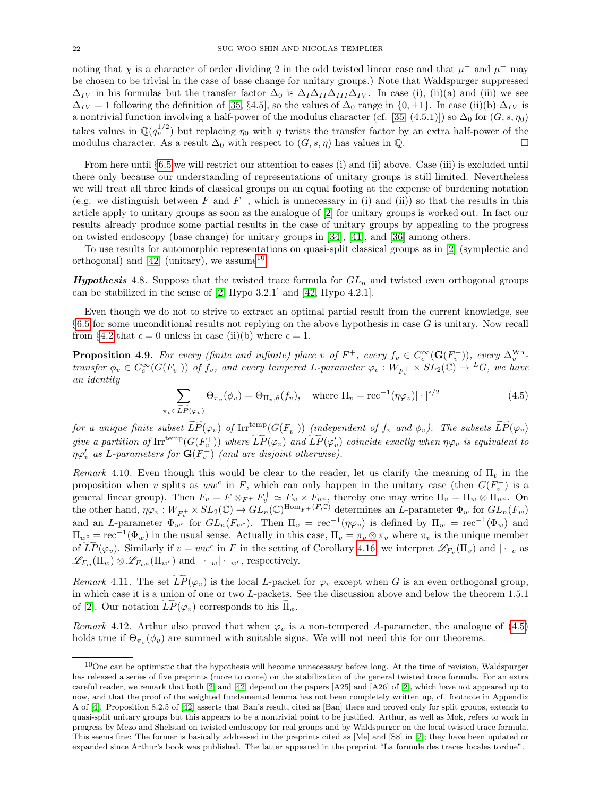noting that  $\chi$  is a character of order dividing 2 in the odd twisted linear case and that  $\mu^-$  and  $\mu^+$  may be chosen to be trivial in the case of base change for unitary groups.) Note that Waldspurger suppressed  $\Delta_{IV}$  in his formulas but the transfer factor  $\Delta_0$  is  $\Delta_I\Delta_{II}\Delta_{III}\Delta_{IV}$ . In case (i), (ii)(a) and (iii) we see  $\Delta_{IV} = 1$  following the definition of [\[35,](#page-36-19) §4.5], so the values of  $\Delta_0$  range in {0, ±1}. In case (ii)(b)  $\Delta_{IV}$  is a nontrivial function involving a half-power of the modulus character (cf. [\[35,](#page-36-19) (4.5.1)]) so  $\Delta_0$  for  $(G, s, \eta_0)$ takes values in  $\mathbb{Q}(q_v^{1/2})$  but replacing  $\eta_0$  with  $\eta$  twists the transfer factor by an extra half-power of the modulus character. As a result  $\Delta_0$  with respect to  $(G, s, \eta)$  has values in  $\mathbb{Q}$ .

From here until §[6.5](#page-35-10) we will restrict our attention to cases (i) and (ii) above. Case (iii) is excluded until there only because our understanding of representations of unitary groups is still limited. Nevertheless we will treat all three kinds of classical groups on an equal footing at the expense of burdening notation (e.g. we distinguish between  $F$  and  $F^+$ , which is unnecessary in (i) and (ii)) so that the results in this article apply to unitary groups as soon as the analogue of [\[2\]](#page-35-1) for unitary groups is worked out. In fact our results already produce some partial results in the case of unitary groups by appealing to the progress on twisted endoscopy (base change) for unitary groups in [\[34\]](#page-36-22), [\[41\]](#page-36-23), and [\[36\]](#page-36-6) among others.

To use results for automorphic representations on quasi-split classical groups as in [\[2\]](#page-35-1) (symplectic and orthogonal) and  $[42]$  (unitary), we assume<sup>[10](#page-21-1)</sup>

<span id="page-21-0"></span>**Hypothesis** 4.8. Suppose that the twisted trace formula for  $GL_n$  and twisted even orthogonal groups can be stabilized in the sense of [\[2,](#page-35-1) Hypo 3.2.1] and [\[42,](#page-36-5) Hypo 4.2.1].

Even though we do not to strive to extract an optimal partial result from the current knowledge, see §[6.5](#page-35-10) for some unconditional results not replying on the above hypothesis in case G is unitary. Now recall from §[4.2](#page-19-0) that  $\epsilon = 0$  unless in case (ii)(b) where  $\epsilon = 1$ .

<span id="page-21-3"></span>**Proposition 4.9.** For every (finite and infinite) place v of  $F^+$ , every  $f_v \in C_c^{\infty}(\mathbf{G}(F_v^+))$ , every  $\Delta_v^{\text{Wh}}$ transfer  $\phi_v \in C_c^{\infty}(G(F_v^+))$  of  $f_v$ , and every tempered L-parameter  $\varphi_v : W_{F_v^+} \times SL_2(\mathbb{C}) \to {}^L G$ , we have an identity

<span id="page-21-2"></span>
$$
\sum_{\pi_v \in \widetilde{LP}(\varphi_v)} \Theta_{\pi_v}(\phi_v) = \Theta_{\Pi_v, \theta}(f_v), \quad \text{where } \Pi_v = \text{rec}^{-1}(\eta \varphi_v) | \cdot |^{\epsilon/2}
$$
\n(4.5)

for a unique finite subset  $\widetilde{LP}(\varphi_v)$  of  $\mathrm{Irr}^{\mathrm{temp}}(G(F_v^+))$  (independent of  $f_v$  and  $\phi_v$ ). The subsets  $\widetilde{LP}(\varphi_v)$ give a partition of  $\text{Irr}^{\text{temp}}(G(F_v^+))$  where  $\widetilde{LP}(\varphi_v)$  and  $\widetilde{LP}(\varphi_v')$  coincide exactly when  $\eta\varphi_v$  is equivalent to  $\eta \varphi'_v$  as L-parameters for  $\mathbf{G}(F_v^+)$  (and are disjoint otherwise).

Remark 4.10. Even though this would be clear to the reader, let us clarify the meaning of  $\Pi_v$  in the proposition when v splits as  $ww^c$  in F, which can only happen in the unitary case (then  $G(F_v^+)$ ) is a general linear group). Then  $F_v = F \otimes_{F^+} F_v^+ \simeq F_w \times F_{w^c}$ , thereby one may write  $\Pi_v = \Pi_w \otimes \Pi_{w^c}$ . On the other hand,  $\eta \varphi_v : W_{F_v^+} \times SL_2(\mathbb{C}) \to GL_n(\mathbb{C})^{\text{Hom}_{F^+}(F,\mathbb{C})}$  determines an L-parameter  $\Phi_w$  for  $GL_n(F_w)$ and an L-parameter  $\Phi_{w^c}$  for  $GL_n(F_{w^c})$ . Then  $\Pi_v = \text{rec}^{-1}(\eta \varphi_v)$  is defined by  $\Pi_w = \text{rec}^{-1}(\Phi_w)$  and  $\Pi_{w^c} = \text{rec}^{-1}(\Phi_w)$  in the usual sense. Actually in this case,  $\Pi_v = \pi_v \otimes \pi_v$  where  $\pi_v$  is the unique member of  $LP(\varphi_v)$ . Similarly if  $v = ww^c$  in F in the setting of Corollary [4.16,](#page-23-0) we interpret  $\mathscr{L}_{F_v}(\Pi_v)$  and  $|\cdot|_v$  as  $\mathscr{L}_{F_w}(\Pi_w) \otimes \mathscr{L}_{F_{w^c}}(\Pi_{w^c})$  and  $|\cdot|_w|\cdot|_{w^c}$ , respectively.

Remark 4.11. The set  $\overline{LP}(\varphi_v)$  is the local L-packet for  $\varphi_v$  except when G is an even orthogonal group, in which case it is a union of one or two L-packets. See the discussion above and below the theorem 1.5.1 of [\[2\]](#page-35-1). Our notation  $LP(\varphi_v)$  corresponds to his  $\Pi_{\phi}$ .

Remark 4.12. Arthur also proved that when  $\varphi_v$  is a non-tempered A-parameter, the analogue of [\(4.5\)](#page-21-2) holds true if  $\Theta_{\pi_v}(\phi_v)$  are summed with suitable signs. We will not need this for our theorems.

<span id="page-21-1"></span> $10$ One can be optimistic that the hypothesis will become unnecessary before long. At the time of revision, Waldspurger has released a series of five preprints (more to come) on the stabilization of the general twisted trace formula. For an extra careful reader, we remark that both [\[2\]](#page-35-1) and [\[42\]](#page-36-5) depend on the papers [A25] and [A26] of [\[2\]](#page-35-1), which have not appeared up to now, and that the proof of the weighted fundamental lemma has not been completely written up, cf. footnote in Appendix A of [\[4\]](#page-35-2). Proposition 8.2.5 of [\[42\]](#page-36-5) asserts that Ban's result, cited as [Ban] there and proved only for split groups, extends to quasi-split unitary groups but this appears to be a nontrivial point to be justified. Arthur, as well as Mok, refers to work in progress by Mezo and Shelstad on twisted endoscopy for real groups and by Waldspurger on the local twisted trace formula. This seems fine: The former is basically addressed in the preprints cited as [Me] and [S8] in [\[2\]](#page-35-1); they have been updated or expanded since Arthur's book was published. The latter appeared in the preprint "La formule des traces locales tordue".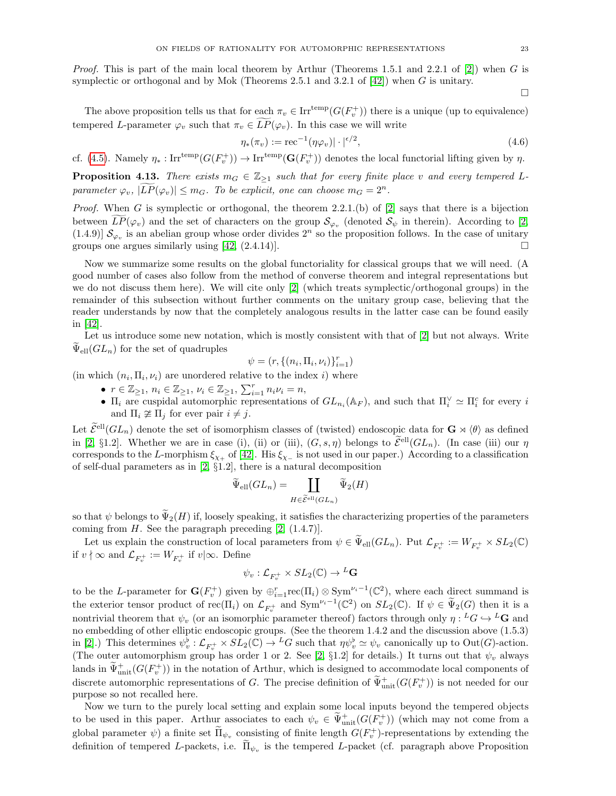$\Box$ 

The above proposition tells us that for each  $\pi_v \in \text{Irr}^{\text{temp}}(G(F_v^+))$  there is a unique (up to equivalence) tempered L-parameter  $\varphi_v$  such that  $\pi_v \in LP(\varphi_v)$ . In this case we will write

$$
\eta_*(\pi_v) := \text{rec}^{-1}(\eta \varphi_v) \cdot | \cdot |^{2}, \tag{4.6}
$$

cf. [\(4.5\)](#page-21-2). Namely  $\eta_*: \text{Irr}^{\text{temp}}(G(F_v^+)) \to \text{Irr}^{\text{temp}}(\mathbf{G}(F_v^+))$  denotes the local functorial lifting given by  $\eta$ .

<span id="page-22-0"></span>**Proposition 4.13.** There exists  $m_G \in \mathbb{Z}_{\geq 1}$  such that for every finite place v and every tempered Lparameter  $\varphi_v$ ,  $|\overline{LP}(\varphi_v)| \leq m_G$ . To be explicit, one can choose  $m_G = 2^n$ .

*Proof.* When G is symplectic or orthogonal, the theorem 2.2.1.(b) of  $[2]$  says that there is a bijection between  $LP(\varphi_v)$  and the set of characters on the group  $\mathcal{S}_{\varphi_v}$  (denoted  $\mathcal{S}_{\psi}$  in therein). According to [\[2,](#page-35-1) (1.4.9)]  $\mathcal{S}_{\varphi_v}$  is an abelian group whose order divides  $2^n$  so the proposition follows. In the case of unitary groups one argues similarly using  $[42, (2.4.14)].$ 

Now we summarize some results on the global functoriality for classical groups that we will need. (A good number of cases also follow from the method of converse theorem and integral representations but we do not discuss them here). We will cite only [\[2\]](#page-35-1) (which treats symplectic/orthogonal groups) in the remainder of this subsection without further comments on the unitary group case, believing that the reader understands by now that the completely analogous results in the latter case can be found easily in [\[42\]](#page-36-5).

Let us introduce some new notation, which is mostly consistent with that of [\[2\]](#page-35-1) but not always. Write  $\widetilde{\Psi}_{\text{ell}}(GL_n)$  for the set of quadruples

$$
\psi = (r, \{(n_i, \Pi_i, \nu_i)\}_{i=1}^r)
$$

(in which  $(n_i, \Pi_i, \nu_i)$  are unordered relative to the index i) where

- $r \in \mathbb{Z}_{\geq 1}, n_i \in \mathbb{Z}_{\geq 1}, \nu_i \in \mathbb{Z}_{\geq 1}, \sum_{i=1}^r n_i \nu_i = n,$
- $\Pi_i$  are cuspidal automorphic representations of  $GL_{n_i}(\mathbb{A}_F)$ , and such that  $\Pi_i^{\vee} \simeq \Pi_i^c$  for every i and  $\Pi_i \ncong \Pi_j$  for ever pair  $i \neq j$ .

Let  $\widetilde{\mathcal{E}}^{ell}(GL_n)$  denote the set of isomorphism classes of (twisted) endoscopic data for  $\mathbf{G} \rtimes \langle \theta \rangle$  as defined in [\[2,](#page-35-1) §1.2]. Whether we are in case (i), (ii) or (iii),  $(G, s, \eta)$  belongs to  $\widetilde{\mathcal{E}}^{ell}(GL_n)$ . (In case (iii) our  $\eta$ corresponds to the L-morphism  $\xi_{\chi_+}$  of [\[42\]](#page-36-5). His  $\xi_{\chi_-}$  is not used in our paper.) According to a classification of self-dual parameters as in [\[2,](#page-35-1) §1.2], there is a natural decomposition

$$
\widetilde{\Psi}_{\text{ell}}(GL_n) = \coprod_{H \in \widetilde{\mathcal{E}}^{\text{ell}}(GL_n)} \widetilde{\Psi}_2(H)
$$

so that  $\psi$  belongs to  $\Psi_2(H)$  if, loosely speaking, it satisfies the characterizing properties of the parameters coming from  $H$ . See the paragraph preceding  $[2, (1.4.7)].$ 

Let us explain the construction of local parameters from  $\psi \in \tilde{\Psi}_{ell}(GL_n)$ . Put  $\mathcal{L}_{F_v^+} := W_{F_v^+} \times SL_2(\mathbb{C})$ if  $v \nmid \infty$  and  $\mathcal{L}_{F^+_v} := W_{F^+_v}$  if  $v \mid \infty$ . Define

$$
\psi_v : \mathcal{L}_{F^+_v} \times SL_2(\mathbb{C}) \to {}^L\mathbf{G}
$$

to be the L-parameter for  $\mathbf{G}(F_v^+)$  given by  $\oplus_{i=1}^r \text{rec}(\Pi_i) \otimes \text{Sym}^{\nu_i-1}(\mathbb{C}^2)$ , where each direct summand is the exterior tensor product of  $\text{rec}(\Pi_i)$  on  $\mathcal{L}_{F_v^+}$  and  $\text{Sym}^{\nu_i-1}(\mathbb{C}^2)$  on  $SL_2(\mathbb{C})$ . If  $\psi \in \widetilde{\Psi}_2(G)$  then it is a nontrivial theorem that  $\psi_v$  (or an isomorphic parameter thereof) factors through only  $\eta: {}^L G \hookrightarrow {}^L G$  and no embedding of other elliptic endoscopic groups. (See the theorem 1.4.2 and the discussion above (1.5.3) in [\[2\]](#page-35-1).) This determines  $\psi_v^{\flat}: \mathcal{L}_{F_v^+} \times SL_2(\mathbb{C}) \to {}^L G$  such that  $\eta \psi_v^{\flat} \simeq \psi_v$  canonically up to  $Out(G)$ -action. (The outer automorphism group has order 1 or 2. See [\[2,](#page-35-1)  $\S1.2$ ] for details.) It turns out that  $\psi_v$  always lands in  $\widetilde{\Psi}_{\rm unit}^+(G(F_v^+))$  in the notation of Arthur, which is designed to accommodate local components of discrete automorphic representations of G. The precise definition of  $\widetilde{\Psi}^+_{\text{unit}}(G(F_v^+))$  is not needed for our purpose so not recalled here.

Now we turn to the purely local setting and explain some local inputs beyond the tempered objects to be used in this paper. Arthur associates to each  $\psi_v \in \widetilde{\Psi}^+_{\text{unit}}(G(F_v^+))$  (which may not come from a global parameter  $\psi$ ) a finite set  $\overline{\Pi}_{\psi_v}$  consisting of finite length  $G(F_v^+)$ -representations by extending the definition of tempered L-packets, i.e.  $\Pi_{\psi_v}$  is the tempered L-packet (cf. paragraph above Proposition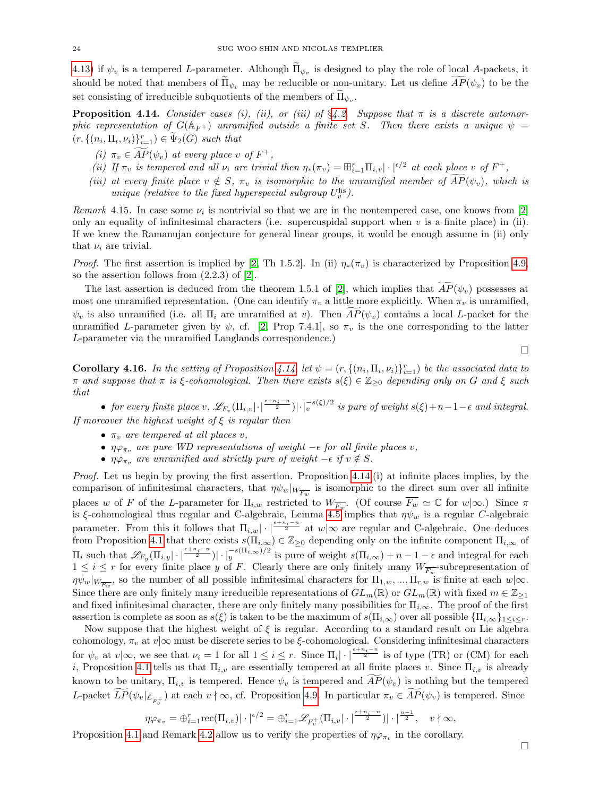[4.13\)](#page-22-0) if  $\psi_v$  is a tempered L-parameter. Although  $\Pi_{\psi_v}$  is designed to play the role of local A-packets, it should be noted that members of  $\Pi_{\psi_v}$  may be reducible or non-unitary. Let us define  $\widetilde{AP}(\psi_v)$  to be the set consisting of irreducible subquotients of the members of  $\Pi_{\psi_v}$ .

<span id="page-23-1"></span>**Proposition 4.14.** Consider cases (i), (ii), or (iii) of  $\S4.2$ . Suppose that  $\pi$  is a discrete automorphic representation of  $G(\mathbb{A}_{F+})$  unramified outside a finite set S. Then there exists a unique  $\psi =$  $(r, \{(n_i, \Pi_i, \nu_i)\}_{i=1}^r) \in \widetilde{\Psi}_2(G)$  such that

- (i)  $\pi_v \in \overline{AP}(\psi_v)$  at every place v of  $F^+,$
- (ii) If  $\pi_v$  is tempered and all  $\nu_i$  are trivial then  $\eta_*(\pi_v) = \boxplus_{i=1}^r \Pi_{i,v} |\cdot|^{e/2}$  at each place v of  $F^+$ ,
- (iii) at every finite place  $v \notin S$ ,  $\pi_v$  is isomorphic to the unramified member of  $\overline{AP}(\psi_v)$ , which is unique (relative to the fixed hyperspecial subgroup  $U_v^{\text{hs}}$ ).

<span id="page-23-2"></span>Remark 4.15. In case some  $\nu_i$  is nontrivial so that we are in the nontempered case, one knows from [\[2\]](#page-35-1) only an equality of infinitesimal characters (i.e. supercuspidal support when  $v$  is a finite place) in (ii). If we knew the Ramanujan conjecture for general linear groups, it would be enough assume in (ii) only that  $\nu_i$  are trivial.

*Proof.* The first assertion is implied by [\[2,](#page-35-1) Th 1.5.2]. In (ii)  $\eta_*(\pi_v)$  is characterized by Proposition [4.9,](#page-21-3) so the assertion follows from (2.2.3) of [\[2\]](#page-35-1).

The last assertion is deduced from the theorem 1.5.1 of [\[2\]](#page-35-1), which implies that  $AP(\psi_n)$  possesses at most one unramified representation. (One can identify  $\pi_n$  a little more explicitly. When  $\pi_n$  is unramified,  $\psi_v$  is also unramified (i.e. all  $\Pi_i$  are unramified at v). Then  $\widetilde{AP}(\psi_v)$  contains a local L-packet for the unramified L-parameter given by  $\psi$ , cf. [\[2,](#page-35-1) Prop 7.4.1], so  $\pi_v$  is the one corresponding to the latter L-parameter via the unramified Langlands correspondence.)

<span id="page-23-0"></span>**Corollary 4.16.** In the setting of Proposition [4.14,](#page-23-1) let  $\psi = (r, \{(n_i, \Pi_i, \nu_i)\}_{i=1}^r)$  be the associated data to π and suppose that  $\pi$  is  $\xi$ -cohomological. Then there exists  $s(\xi) \in \mathbb{Z}_{\geq 0}$  depending only on G and  $\xi$  such that

• for every finite place v,  $\mathscr{L}_{F_v}(\Pi_{i,v}|\cdot|^{\frac{\epsilon+n_i-n}{2}})|\cdot|_v^{-s(\xi)/2}$  is pure of weight  $s(\xi)+n-1-\epsilon$  and integral. If moreover the highest weight of  $\xi$  is regular then

- $\pi_v$  are tempered at all places v,
- $\eta \varphi_{\pi_v}$  are pure WD representations of weight  $-\epsilon$  for all finite places v,
- $\eta \varphi_{\pi_v}$  are unramified and strictly pure of weight  $-\epsilon$  if  $v \notin S$ .

Proof. Let us begin by proving the first assertion. Proposition [4.14.](#page-23-1)(i) at infinite places implies, by the comparison of infinitesimal characters, that  $\eta \psi_w|_{W_{\overline{F_w}}}$  is isomorphic to the direct sum over all infinite places w of F of the L-parameter for  $\Pi_{i,w}$  restricted to  $W_{\overline{F_w}}$ . (Of course  $\overline{F_w} \simeq \mathbb{C}$  for  $w|\infty$ .) Since  $\pi$ is ξ-cohomological thus regular and C-algebraic, Lemma [4.5](#page-20-1) implies that  $\eta \psi_w$  is a regular C-algebraic parameter. From this it follows that  $\Pi_{i,w}$   $\cdot$   $\mid \frac{e+n_i-n}{2}$  at  $w|\infty$  are regular and C-algebraic. One deduces from Proposition [4.1](#page-17-0) that there exists  $s(\Pi_{i,\infty}) \in \mathbb{Z}_{\geq 0}$  depending only on the infinite component  $\Pi_{i,\infty}$  of  $\Pi_i$  such that  $\mathscr{L}_{F_y}(\Pi_{i,y}|\cdot|^{\frac{\epsilon+n_i-n}{2}})|\cdot|_y^{-s(\Pi_{i,\infty})/2}$  is pure of weight  $s(\Pi_{i,\infty})+n-1-\epsilon$  and integral for each  $1 \leq i \leq r$  for every finite place y of F. Clearly there are only finitely many  $W_{\overline{F_w}}$ -subrepresentation of  $\eta \psi_w|_{W_{\overline{F_w}}}$ , so the number of all possible infinitesimal characters for  $\Pi_{1,w},...,\Pi_{r,w}$  is finite at each  $w|\infty$ . Since there are only finitely many irreducible representations of  $GL_m(\mathbb{R})$  or  $GL_m(\mathbb{R})$  with fixed  $m \in \mathbb{Z}_{\geq 1}$ and fixed infinitesimal character, there are only finitely many possibilities for  $\Pi_{i,\infty}$ . The proof of the first assertion is complete as soon as  $s(\xi)$  is taken to be the maximum of  $s(\Pi_{i,\infty})$  over all possible  $\{\Pi_{i,\infty}\}_{1\leq i\leq r}$ .

Now suppose that the highest weight of  $\xi$  is regular. According to a standard result on Lie algebra cohomology,  $\pi_v$  at  $v|\infty$  must be discrete series to be  $\xi$ -cohomological. Considering infinitesimal characters for  $\psi_v$  at  $v|\infty$ , we see that  $\nu_i = 1$  for all  $1 \leq i \leq r$ . Since  $\Pi_i | \cdot |^{\frac{\epsilon + n_i - n}{2}}$  is of type (TR) or (CM) for each i, Proposition [4.1](#page-17-0) tells us that  $\Pi_{i,v}$  are essentially tempered at all finite places v. Since  $\Pi_{i,v}$  is already known to be unitary,  $\Pi_{i,v}$  is tempered. Hence  $\psi_v$  is tempered and  $AP(\psi_v)$  is nothing but the tempered L-packet  $\widetilde{LP}(\psi_v|_{\mathcal{L}_{F_v^+}})$  at each  $v \nmid \infty$ , cf. Proposition [4.9.](#page-21-3) In particular  $\pi_v \in \widetilde{AP}(\psi_v)$  is tempered. Since

$$
\eta \varphi_{\pi_v} = \bigoplus_{i=1}^r \text{rec}(\Pi_{i,v}) |\cdot|^{\epsilon/2} = \bigoplus_{i=1}^r \mathscr{L}_{F_v^+}(\Pi_{i,v} |\cdot|^{\frac{\epsilon+n_i-n}{2}}) |\cdot|^{\frac{n-1}{2}}, \quad v \nmid \infty,
$$

Proposition [4.1](#page-17-0) and Remark [4.2](#page-17-1) allow us to verify the properties of  $\eta \varphi_{\pi_v}$  in the corollary.

 $\Box$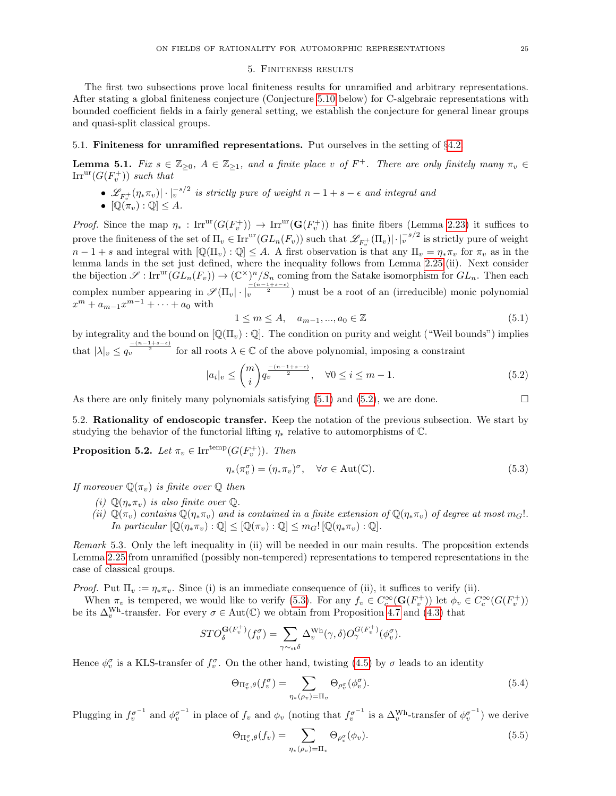#### 5. Finiteness results

<span id="page-24-0"></span>The first two subsections prove local finiteness results for unramified and arbitrary representations. After stating a global finiteness conjecture (Conjecture [5.10](#page-27-3) below) for C-algebraic representations with bounded coefficient fields in a fairly general setting, we establish the conjecture for general linear groups and quasi-split classical groups.

## 5.1. Finiteness for unramified representations. Put ourselves in the setting of §[4.2.](#page-19-0)

<span id="page-24-5"></span>**Lemma 5.1.** Fix  $s \in \mathbb{Z}_{\geq 0}$ ,  $A \in \mathbb{Z}_{\geq 1}$ , and a finite place v of  $F^+$ . There are only finitely many  $\pi_v \in$  $\text{Irr}^{\text{ur}}(G(F_v^+))$  such that

•  $\mathscr{L}_{F^+_v}(\eta_* \pi_v) | \cdot |_v^{-s/2}$  is strictly pure of weight  $n-1+s-\epsilon$  and integral and •  $[\overline{\mathbb{Q}}(\pi_v) : \mathbb{Q}] \leq A.$ 

*Proof.* Since the map  $\eta_* : \text{Irr}^{\text{ur}}(G(F_v^+)) \to \text{Irr}^{\text{ur}}(\mathbf{G}(F_v^+))$  has finite fibers (Lemma [2.23\)](#page-9-0) it suffices to prove the finiteness of the set of  $\Pi_v \in \text{Irr}^{\text{ur}}(GL_n(F_v))$  such that  $\mathscr{L}_{F_v^+}(\Pi_v)|\cdot|_v^{-s/2}$  is strictly pure of weight  $n-1+s$  and integral with  $[\mathbb{Q}(\Pi_v) : \mathbb{Q}] \leq A$ . A first observation is that any  $\Pi_v = \eta_* \pi_v$  for  $\pi_v$  as in the lemma lands in the set just defined, where the inequality follows from Lemma [2.25.](#page-10-1)(ii). Next consider the bijection  $\mathscr{S}: \text{Irr}^{\text{ur}}(GL_n(F_v)) \to (\mathbb{C}^{\times})^n/S_n$  coming from the Satake isomorphism for  $GL_n$ . Then each complex number appearing in  $\mathscr{S}(\Pi_v|\cdot|\frac{-(n-1+s-\epsilon)}{2})$  must be a root of an (irreducible) monic polynomial  $x^m + a_{m-1}x^{m-1} + \cdots + a_0$  with

<span id="page-24-2"></span>
$$
1 \le m \le A, \quad a_{m-1}, \dots, a_0 \in \mathbb{Z} \tag{5.1}
$$

by integrality and the bound on  $[\mathbb{Q}(\Pi_v) : \mathbb{Q}]$ . The condition on purity and weight ("Weil bounds") implies that  $|\lambda|_v \leq q_v^{\frac{-(n-1+s-\epsilon)}{2}}$  for all roots  $\lambda \in \mathbb{C}$  of the above polynomial, imposing a constraint

<span id="page-24-3"></span>
$$
|a_i|_v \le \binom{m}{i} q_v^{\frac{-(n-1+s-\epsilon)}{2}}, \quad \forall 0 \le i \le m-1.
$$
\n
$$
(5.2)
$$

As there are only finitely many polynomials satisfying  $(5.1)$  and  $(5.2)$ , we are done.

<span id="page-24-1"></span>5.2. Rationality of endoscopic transfer. Keep the notation of the previous subsection. We start by studying the behavior of the functorial lifting  $\eta_*$  relative to automorphisms of  $\mathbb C$ .

<span id="page-24-6"></span>**Proposition 5.2.** Let  $\pi_v \in \text{Irr}^{\text{temp}}(G(F_v^+))$ . Then

<span id="page-24-4"></span>
$$
\eta_*(\pi_v^{\sigma}) = (\eta_* \pi_v)^{\sigma}, \quad \forall \sigma \in \text{Aut}(\mathbb{C}).
$$
\n(5.3)

If moreover  $\mathbb{Q}(\pi_v)$  is finite over  $\mathbb Q$  then

- (i)  $\mathbb{Q}(\eta_*\pi_v)$  is also finite over  $\mathbb{Q}$ .
- (ii)  $\mathbb{Q}(\pi_v)$  contains  $\mathbb{Q}(\eta_*\pi_v)$  and is contained in a finite extension of  $\mathbb{Q}(\eta_*\pi_v)$  of degree at most  $m_G!$ . In particular  $[\mathbb{Q}(\eta_* \pi_v) : \mathbb{Q}] \leq [\mathbb{Q}(\pi_v) : \mathbb{Q}] \leq m_G! [\mathbb{Q}(\eta_* \pi_v) : \mathbb{Q}].$

Remark 5.3. Only the left inequality in (ii) will be needed in our main results. The proposition extends Lemma [2.25](#page-10-1) from unramified (possibly non-tempered) representations to tempered representations in the case of classical groups.

*Proof.* Put  $\Pi_v := \eta_* \pi_v$ . Since (i) is an immediate consequence of (ii), it suffices to verify (ii).

When  $\pi_v$  is tempered, we would like to verify [\(5.3\)](#page-24-4). For any  $f_v \in C_c^{\infty}(\mathbf{G}(F_v^+))$  let  $\phi_v \in C_c^{\infty}(G(F_v^+))$ be its  $\Delta_v^{\text{Wh}}$ -transfer. For every  $\sigma \in \text{Aut}(\mathbb{C})$  we obtain from Proposition [4.7](#page-20-2) and [\(4.3\)](#page-20-3) that

$$
STO_{\delta}^{\mathbf{G}(F_{v}^{+})}(f_{v}^{\sigma}) = \sum_{\gamma \sim_{\text{st}} \delta} \Delta_{v}^{\text{Wh}}(\gamma, \delta) O_{\gamma}^{G(F_{v}^{+})}(\phi_{v}^{\sigma}).
$$

Hence  $\phi_v^{\sigma}$  is a KLS-transfer of  $f_v^{\sigma}$ . On the other hand, twisting [\(4.5\)](#page-21-2) by  $\sigma$  leads to an identity

$$
\Theta_{\Pi_v^{\sigma},\theta}(f_v^{\sigma}) = \sum_{\eta_*(\rho_v)=\Pi_v} \Theta_{\rho_v^{\sigma}}(\phi_v^{\sigma}).
$$
\n(5.4)

Plugging in  $f_v^{\sigma^{-1}}$  and  $\phi_v^{\sigma^{-1}}$  in place of  $f_v$  and  $\phi_v$  (noting that  $f_v^{\sigma^{-1}}$  is a  $\Delta_v^{\text{Wh}}$ -transfer of  $\phi_v^{\sigma^{-1}}$ ) we derive

$$
\Theta_{\Pi_v^{\sigma},\theta}(f_v) = \sum_{\eta_*(\rho_v) = \Pi_v} \Theta_{\rho_v^{\sigma}}(\phi_v). \tag{5.5}
$$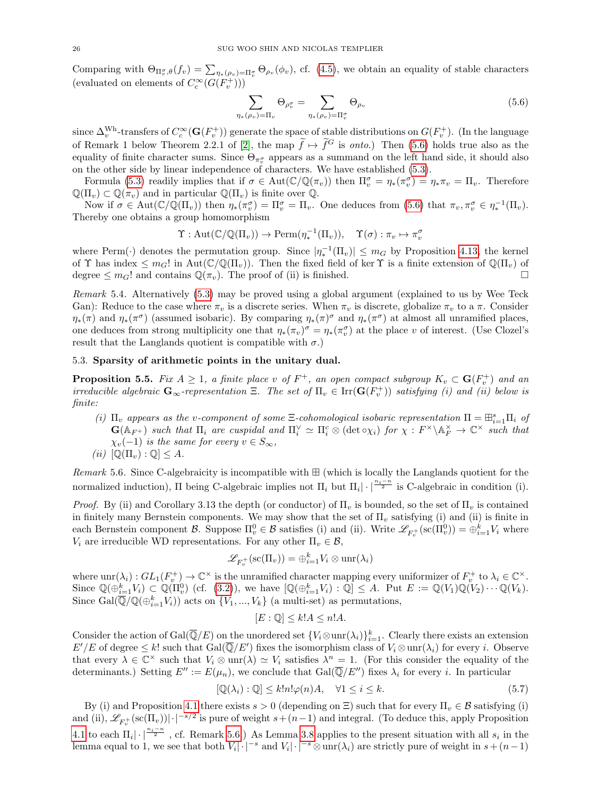Comparing with  $\Theta_{\Pi_v^{\sigma},\theta}(f_v) = \sum_{\eta_*(\rho_v)=\Pi_v^{\sigma}} \Theta_{\rho_v}(\phi_v)$ , cf. [\(4.5\)](#page-21-2), we obtain an equality of stable characters (evaluated on elements of  $C_c^{\infty}(G(F_v^+)))$ 

<span id="page-25-1"></span>
$$
\sum_{\mu(\rho_v)=\Pi_v} \Theta_{\rho_v^{\sigma}} = \sum_{\eta_{\mu}(\rho_v)=\Pi_v^{\sigma}} \Theta_{\rho_v}
$$
\n(5.6)

since  $\Delta_v^{\text{Wh}}$ -transfers of  $C_c^{\infty}(\mathbf{G}(F_v^+))$  generate the space of stable distributions on  $G(F_v^+)$ . (In the language of Remark 1 below Theorem 2.2.1 of [\[2\]](#page-35-1), the map  $\tilde{f} \mapsto \tilde{f}^G$  is *onto.*) Then [\(5.6\)](#page-25-1) holds true also as the equality of finite character sums. Since  $\Theta_{\pi_v^{\sigma}}$  appears as a summand on the left hand side, it should also on the other side by linear independence of characters. We have established [\(5.3\)](#page-24-4).

 $\eta$ 

Formula [\(5.3\)](#page-24-4) readily implies that if  $\sigma \in \text{Aut}(\mathbb{C}/\mathbb{Q}(\pi_v))$  then  $\Pi_v^{\sigma} = \eta_*(\pi_v^{\sigma}) = \eta_*\pi_v = \Pi_v$ . Therefore  $\mathbb{Q}(\Pi_v) \subset \mathbb{Q}(\pi_v)$  and in particular  $\mathbb{Q}(\Pi_v)$  is finite over  $\mathbb{Q}$ .

Now if  $\sigma \in \text{Aut}(\mathbb{C}/\mathbb{Q}(\Pi_v))$  then  $\eta_*(\pi_v^{\sigma}) = \Pi_v^{\sigma} = \Pi_v$ . One deduces from [\(5.6\)](#page-25-1) that  $\pi_v, \pi_v^{\sigma} \in \eta_*^{-1}(\Pi_v)$ . Thereby one obtains a group homomorphism

$$
\Upsilon: \mathrm{Aut}(\mathbb{C}/\mathbb{Q}(\Pi_v)) \to \mathrm{Perm}(\eta_*^{-1}(\Pi_v)), \quad \Upsilon(\sigma): \pi_v \mapsto \pi_v^{\sigma}
$$

where Perm(·) denotes the permutation group. Since  $|\eta_*^{-1}(\Pi_v)| \leq m_G$  by Proposition [4.13,](#page-22-0) the kernel of  $\Upsilon$  has index  $\leq m_G!$  in Aut $(\mathbb{C}/\mathbb{Q}(\Pi_v))$ . Then the fixed field of ker  $\Upsilon$  is a finite extension of  $\mathbb{Q}(\Pi_v)$  of degree  $\leq m_G!$  and contains  $\mathbb{Q}(\pi_v)$ . The proof of (ii) is finished.

Remark 5.4. Alternatively [\(5.3\)](#page-24-4) may be proved using a global argument (explained to us by Wee Teck Gan): Reduce to the case where  $\pi_v$  is a discrete series. When  $\pi_v$  is discrete, globalize  $\pi_v$  to a  $\pi$ . Consider  $\eta_*(\pi)$  and  $\eta_*(\pi^{\sigma})$  (assumed isobaric). By comparing  $\eta_*(\pi)^{\sigma}$  and  $\eta_*(\pi^{\sigma})$  at almost all unramified places, one deduces from strong multiplicity one that  $\eta_*(\pi_v)^\sigma = \eta_*(\pi_v^\sigma)$  at the place v of interest. (Use Clozel's result that the Langlands quotient is compatible with  $\sigma$ .)

# <span id="page-25-0"></span>5.3. Sparsity of arithmetic points in the unitary dual.

<span id="page-25-4"></span>**Proposition 5.5.** Fix  $A \geq 1$ , a finite place v of  $F^+$ , an open compact subgroup  $K_v \subset G(F_v^+)$  and an irreducible algebraic  $\mathbf{G}_{\infty}$ -representation  $\Xi$ . The set of  $\Pi_{v} \in \text{Irr}(\mathbf{G}(F_{v}^{+}))$  satisfying (i) and (ii) below is finite:

(i)  $\Pi_v$  appears as the v-component of some  $\Xi$ -cohomological isobaric representation  $\Pi = \boxplus_{i=1}^s \Pi_i$  of  $\mathbf{G}(\mathbb{A}_{F^+})$  such that  $\Pi_i$  are cuspidal and  $\Pi_i^{\vee} \simeq \Pi_i^c \otimes (\det \circ \chi_i)$  for  $\chi : F^{\times} \backslash \mathbb{A}_F^{\times} \to \mathbb{C}^{\times}$  such that  $\chi_v(-1)$  is the same for every  $v \in S_{\infty}$ ,

(ii)  $[\mathbb{Q}(\Pi_v) : \mathbb{Q}] \leq A$ .

<span id="page-25-2"></span>Remark 5.6. Since C-algebraicity is incompatible with  $\boxplus$  (which is locally the Langlands quotient for the normalized induction),  $\Pi$  being C-algebraic implies not  $\Pi_i$  but  $\Pi_i | \cdot |^{\frac{n_i - n}{2}}$  is C-algebraic in condition (i).

*Proof.* By (ii) and Corollary 3.13 the depth (or conductor) of  $\Pi_v$  is bounded, so the set of  $\Pi_v$  is contained in finitely many Bernstein components. We may show that the set of  $\Pi_v$  satisfying (i) and (ii) is finite in each Bernstein component  $\mathcal{B}$ . Suppose  $\Pi_v^0 \in \mathcal{B}$  satisfies (i) and (ii). Write  $\mathscr{L}_{F_v^+}(\mathrm{sc}(\Pi_v^0)) = \bigoplus_{i=1}^k V_i$  where  $V_i$  are irreducible WD representations. For any other  $\Pi_v \in \mathcal{B}$ ,

$$
\mathscr{L}_{F^+_v}(\mathrm{sc}(\Pi_v)) = \bigoplus_{i=1}^k V_i \otimes \mathrm{unr}(\lambda_i)
$$

where  $unr(\lambda_i): GL_1(F_v^+) \to \mathbb{C}^\times$  is the unramified character mapping every uniformizer of  $F_v^+$  to  $\lambda_i \in \mathbb{C}^\times$ . Since  $\mathbb{Q}(\bigoplus_{i=1}^k V_i) \subset \mathbb{Q}(\Pi_v^0)$  (cf. [\(3.2\)](#page-14-0)), we have  $[\mathbb{Q}(\bigoplus_{i=1}^k V_i) : \mathbb{Q}] \leq A$ . Put  $E := \mathbb{Q}(V_1)\mathbb{Q}(V_2)\cdots\mathbb{Q}(V_k)$ . Since Gal $(\overline{\mathbb{Q}}/\mathbb{Q}(\bigoplus_{i=1}^k V_i))$  acts on  $\{V_1, ..., V_k\}$  (a multi-set) as permutations,

$$
[E:\mathbb{Q}]\leq k!A\leq n!A.
$$

Consider the action of  $Gal(\overline{\mathbb{Q}}/E)$  on the unordered set  ${V_i \otimes \text{unr}(\lambda_i)}_{i=1}^k$ . Clearly there exists an extension  $E'/E$  of degree  $\leq k!$  such that  $Gal(\overline{\mathbb{Q}}/E')$  fixes the isomorphism class of  $V_i \otimes \text{unr}(\lambda_i)$  for every i. Observe that every  $\lambda \in \mathbb{C}^\times$  such that  $V_i \otimes \text{unr}(\lambda) \simeq V_i$  satisfies  $\lambda^n = 1$ . (For this consider the equality of the determinants.) Setting  $E'' := E(\mu_n)$ , we conclude that  $Gal(\overline{\mathbb{Q}}/E'')$  fixes  $\lambda_i$  for every i. In particular

<span id="page-25-3"></span>
$$
[\mathbb{Q}(\lambda_i) : \mathbb{Q}] \le k!n!\varphi(n)A, \quad \forall 1 \le i \le k. \tag{5.7}
$$

By (i) and Proposition [4.1](#page-17-0) there exists  $s > 0$  (depending on  $\Xi$ ) such that for every  $\Pi_v \in \mathcal{B}$  satisfying (i) and (ii),  $\mathscr{L}_{F_v^+}(\mathrm{sc}(\Pi_v))|\cdot|^{-s/2}$  is pure of weight  $s+(n-1)$  and integral. (To deduce this, apply Proposition [4.1](#page-17-0) to each  $\Pi_i |\cdot|^{\frac{n_i-n}{2}}$ , cf. Remark [5.6.](#page-25-2)) As Lemma [3.8](#page-12-2) applies to the present situation with all  $s_i$  in the lemma equal to 1, we see that both  $V_i |\cdot|^{-s}$  and  $V_i |\cdot|^{-s} \otimes \text{unr}(\lambda_i)$  are strictly pure of weight in  $s+(n-1)$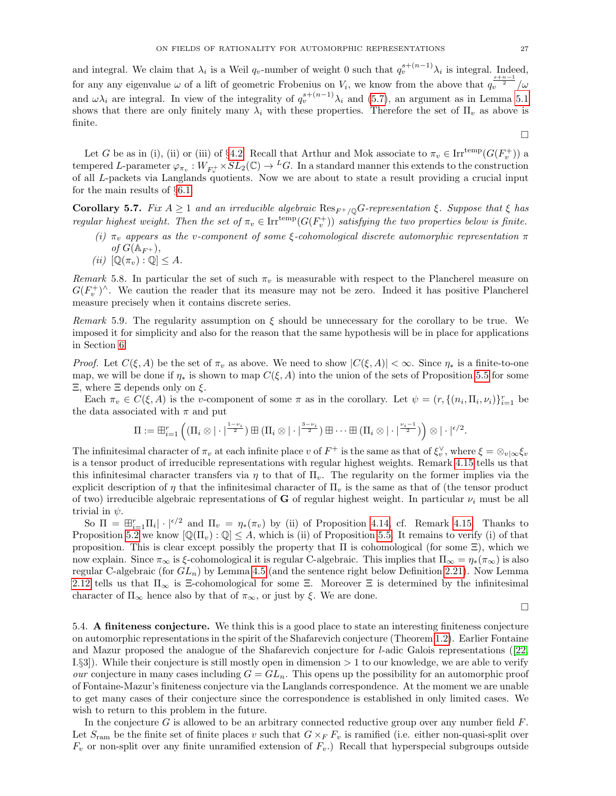and integral. We claim that  $\lambda_i$  is a Weil  $q_v$ -number of weight 0 such that  $q_v^{s+(n-1)}\lambda_i$  is integral. Indeed, for any any eigenvalue  $\omega$  of a lift of geometric Frobenius on  $V_i$ , we know from the above that  $q_v^{\frac{s+n-1}{2}}/\omega$ and  $\omega\lambda_i$  are integral. In view of the integrality of  $q_v^{s+(n-1)}\lambda_i$  and [\(5.7\)](#page-25-3), an argument as in Lemma [5.1](#page-24-5) shows that there are only finitely many  $\lambda_i$  with these properties. Therefore the set of  $\Pi_v$  as above is finite.

Let G be as in (i), (ii) or (iii) of §[4.2.](#page-19-0) Recall that Arthur and Mok associate to  $\pi_v \in \text{Irr}^{\text{temp}}(G(F_v^+))$  a tempered L-parameter  $\varphi_{\pi_v}: W_{F_v^+} \times SL_2(\mathbb{C}) \to {}^L G$ . In a standard manner this extends to the construction of all L-packets via Langlands quotients. Now we are about to state a result providing a crucial input for the main results of §[6.1.](#page-28-0)

<span id="page-26-0"></span>**Corollary 5.7.** Fix  $A \geq 1$  and an irreducible algebraic  $\text{Res}_{F^+}/\text{O}G$ -representation  $\xi$ . Suppose that  $\xi$  has regular highest weight. Then the set of  $\pi_v \in \text{Irr}^{\text{temp}}(G(F_v^+))$  satisfying the two properties below is finite.

- (i)  $\pi_v$  appears as the v-component of some ξ-cohomological discrete automorphic representation  $\pi$ of  $G(\mathbb{A}_{F+}),$
- (ii)  $[\mathbb{Q}(\pi_v) : \mathbb{Q}] \leq A$ .

Remark 5.8. In particular the set of such  $\pi_v$  is measurable with respect to the Plancherel measure on  $G(F_v^+)^{\wedge}$ . We caution the reader that its measure may not be zero. Indeed it has positive Plancherel measure precisely when it contains discrete series.

<span id="page-26-1"></span>Remark 5.9. The regularity assumption on  $\xi$  should be unnecessary for the corollary to be true. We imposed it for simplicity and also for the reason that the same hypothesis will be in place for applications in Section [6.](#page-28-1)

*Proof.* Let  $C(\xi, A)$  be the set of  $\pi_v$  as above. We need to show  $|C(\xi, A)| < \infty$ . Since  $\eta_*$  is a finite-to-one map, we will be done if  $\eta_*$  is shown to map  $C(\xi, A)$  into the union of the sets of Proposition [5.5](#page-25-4) for some Ξ, where Ξ depends only on ξ.

Each  $\pi_v \in C(\xi, A)$  is the v-component of some  $\pi$  as in the corollary. Let  $\psi = (r, \{(n_i, \Pi_i, \nu_i)\}_{i=1}^r$  be the data associated with  $\pi$  and put

$$
\Pi:=\boxplus_{i=1}^r \left((\Pi_i\otimes |\cdot|^\frac{1-\nu_i}{2}) \boxplus (\Pi_i\otimes |\cdot|^\frac{3-\nu_i}{2}) \boxplus \cdots \boxplus (\Pi_i\otimes |\cdot|^\frac{\nu_i-1}{2})\right) \otimes |\cdot|^{ \epsilon/2}.
$$

The infinitesimal character of  $\pi_v$  at each infinite place v of  $F^+$  is the same as that of  $\xi_v^{\vee}$ , where  $\xi = \otimes_{v|\infty} \xi_v$ is a tensor product of irreducible representations with regular highest weights. Remark [4.15](#page-23-2) tells us that this infinitesimal character transfers via  $\eta$  to that of  $\Pi_{\nu}$ . The regularity on the former implies via the explicit description of  $\eta$  that the infinitesimal character of  $\Pi_{\eta}$  is the same as that of (the tensor product of two) irreducible algebraic representations of **G** of regular highest weight. In particular  $\nu_i$  must be all trivial in  $\psi$ .

So  $\Pi = \boxplus_{i=1}^r \Pi_i |\cdot|^{(\epsilon/2)}$  and  $\Pi_v = \eta_*(\pi_v)$  by (ii) of Proposition [4.14,](#page-23-1) cf. Remark [4.15.](#page-23-2) Thanks to Proposition [5.2](#page-24-6) we know  $[\mathbb{Q}(\Pi_v) : \mathbb{Q}] \leq A$ , which is (ii) of Proposition [5.5.](#page-25-4) It remains to verify (i) of that proposition. This is clear except possibly the property that  $\Pi$  is cohomological (for some  $\Xi$ ), which we now explain. Since  $\pi_{\infty}$  is ξ-cohomological it is regular C-algebraic. This implies that  $\Pi_{\infty} = \eta_*(\pi_{\infty})$  is also regular C-algebraic (for  $GL_n$ ) by Lemma [4.5](#page-20-1) (and the sentence right below Definition [2.21\)](#page-9-2). Now Lemma [2.12](#page-6-3) tells us that  $\Pi_{\infty}$  is Ξ-cohomological for some Ξ. Moreover Ξ is determined by the infinitesimal character of  $\Pi_{\infty}$  hence also by that of  $\pi_{\infty}$ , or just by  $\xi$ . We are done.

 $\Box$ 

5.4. A finiteness conjecture. We think this is a good place to state an interesting finiteness conjecture on automorphic representations in the spirit of the Shafarevich conjecture (Theorem [1.2\)](#page-0-3). Earlier Fontaine and Mazur proposed the analogue of the Shafarevich conjecture for l-adic Galois representations([\[22,](#page-36-4) I.§3]). While their conjecture is still mostly open in dimension > 1 to our knowledge, we are able to verify our conjecture in many cases including  $G = GL_n$ . This opens up the possibility for an automorphic proof of Fontaine-Mazur's finiteness conjecture via the Langlands correspondence. At the moment we are unable to get many cases of their conjecture since the correspondence is established in only limited cases. We wish to return to this problem in the future.

In the conjecture  $G$  is allowed to be an arbitrary connected reductive group over any number field  $F$ . Let  $S_{\text{ram}}$  be the finite set of finite places v such that  $G \times_F F_v$  is ramified (i.e. either non-quasi-split over  $F_v$  or non-split over any finite unramified extension of  $F_v$ .) Recall that hyperspecial subgroups outside

 $\Box$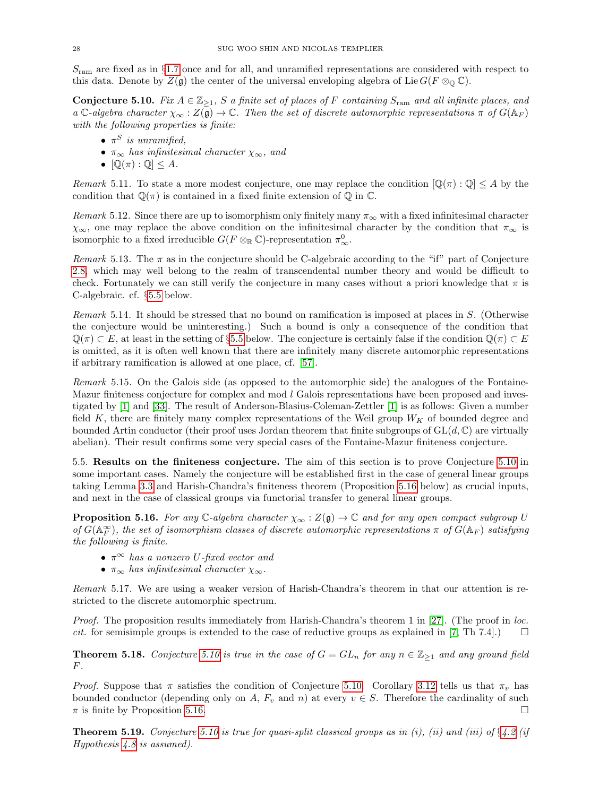$S<sub>ram</sub>$  are fixed as in §[1.7](#page-4-1) once and for all, and unramified representations are considered with respect to this data. Denote by  $Z(\mathfrak{g})$  the center of the universal enveloping algebra of Lie  $G(F \otimes_{\mathbb{O}} \mathbb{C})$ .

<span id="page-27-3"></span>Conjecture 5.10. Fix  $A \in \mathbb{Z}_{\geq 1}$ , S a finite set of places of F containing  $S_{\text{ram}}$  and all infinite places, and a C-algebra character  $\chi_{\infty}: Z(\mathfrak{g}) \to \mathbb{C}$ . Then the set of discrete automorphic representations  $\pi$  of  $G(\mathbb{A}_F)$ with the following properties is finite:

- $\pi^S$  is unramified,
- $\pi_{\infty}$  has infinitesimal character  $\chi_{\infty}$ , and
- $[\mathbb{Q}(\pi):\mathbb{Q}]\leq A.$

<span id="page-27-5"></span>Remark 5.11. To state a more modest conjecture, one may replace the condition  $[\mathbb{Q}(\pi):\mathbb{Q}]\leq A$  by the condition that  $\mathbb{Q}(\pi)$  is contained in a fixed finite extension of  $\mathbb{Q}$  in  $\mathbb{C}$ .

Remark 5.12. Since there are up to isomorphism only finitely many  $\pi_{\infty}$  with a fixed infinitesimal character  $\chi_{\infty}$ , one may replace the above condition on the infinitesimal character by the condition that  $\pi_{\infty}$  is isomorphic to a fixed irreducible  $G(F \otimes_{\mathbb{R}} \mathbb{C})$ -representation  $\pi^0_{\infty}$ .

Remark 5.13. The  $\pi$  as in the conjecture should be C-algebraic according to the "if" part of Conjecture [2.8,](#page-6-1) which may well belong to the realm of transcendental number theory and would be difficult to check. Fortunately we can still verify the conjecture in many cases without a priori knowledge that  $\pi$  is C-algebraic. cf. §[5.5](#page-27-2) below.

Remark 5.14. It should be stressed that no bound on ramification is imposed at places in S. (Otherwise the conjecture would be uninteresting.) Such a bound is only a consequence of the condition that  $\mathbb{Q}(\pi) \subset E$ , at least in the setting of §[5.5](#page-27-2) below. The conjecture is certainly false if the condition  $\mathbb{Q}(\pi) \subset E$ is omitted, as it is often well known that there are infinitely many discrete automorphic representations if arbitrary ramification is allowed at one place, cf. [\[57\]](#page-37-2).

Remark 5.15. On the Galois side (as opposed to the automorphic side) the analogues of the Fontaine-Mazur finiteness conjecture for complex and mod  $l$  Galois representations have been proposed and investigated by [\[1\]](#page-35-11) and [\[33\]](#page-36-24). The result of Anderson-Blasius-Coleman-Zettler [\[1\]](#page-35-11) is as follows: Given a number field K, there are finitely many complex representations of the Weil group  $W_K$  of bounded degree and bounded Artin conductor (their proof uses Jordan theorem that finite subgroups of  $GL(d, \mathbb{C})$  are virtually abelian). Their result confirms some very special cases of the Fontaine-Mazur finiteness conjecture.

<span id="page-27-2"></span>5.5. Results on the finiteness conjecture. The aim of this section is to prove Conjecture [5.10](#page-27-3) in some important cases. Namely the conjecture will be established first in the case of general linear groups taking Lemma [3.3](#page-14-4) and Harish-Chandra's finiteness theorem (Proposition [5.16](#page-27-4) below) as crucial inputs, and next in the case of classical groups via functorial transfer to general linear groups.

<span id="page-27-4"></span>**Proposition 5.16.** For any  $\mathbb{C}$ -algebra character  $\chi_{\infty} : Z(\mathfrak{g}) \to \mathbb{C}$  and for any open compact subgroup U of  $G(\mathbb{A}_F^{\infty})$ , the set of isomorphism classes of discrete automorphic representations  $\pi$  of  $G(\mathbb{A}_F)$  satisfying the following is finite.

- $\pi^{\infty}$  has a nonzero U-fixed vector and
- $\pi_{\infty}$  has infinitesimal character  $\chi_{\infty}$ .

Remark 5.17. We are using a weaker version of Harish-Chandra's theorem in that our attention is restricted to the discrete automorphic spectrum.

Proof. The proposition results immediately from Harish-Chandra's theorem 1 in [\[27\]](#page-36-25). (The proof in loc. *cit.* for semisimple groups is extended to the case of reductive groups as explained in [\[7,](#page-35-12) Th 7.4].)  $\square$ 

<span id="page-27-0"></span>**Theorem 5.18.** Conjecture [5.10](#page-27-3) is true in the case of  $G = GL_n$  for any  $n \in \mathbb{Z}_{\geq 1}$  and any ground field  $F<sub>r</sub>$ 

*Proof.* Suppose that  $\pi$  satisfies the condition of Conjecture [5.10.](#page-27-3) Corollary [3.12](#page-15-1) tells us that  $\pi$ <sub>n</sub> has bounded conductor (depending only on A,  $F_v$  and n) at every  $v \in S$ . Therefore the cardinality of such  $\pi$  is finite by Proposition [5.16.](#page-27-4)

<span id="page-27-1"></span>**Theorem 5.19.** Conjecture [5.10](#page-27-3) is true for quasi-split classical groups as in (i), (ii) and (iii) of  $\S 4.2$  $\S 4.2$  (if Hypothesis [4.8](#page-21-0) is assumed).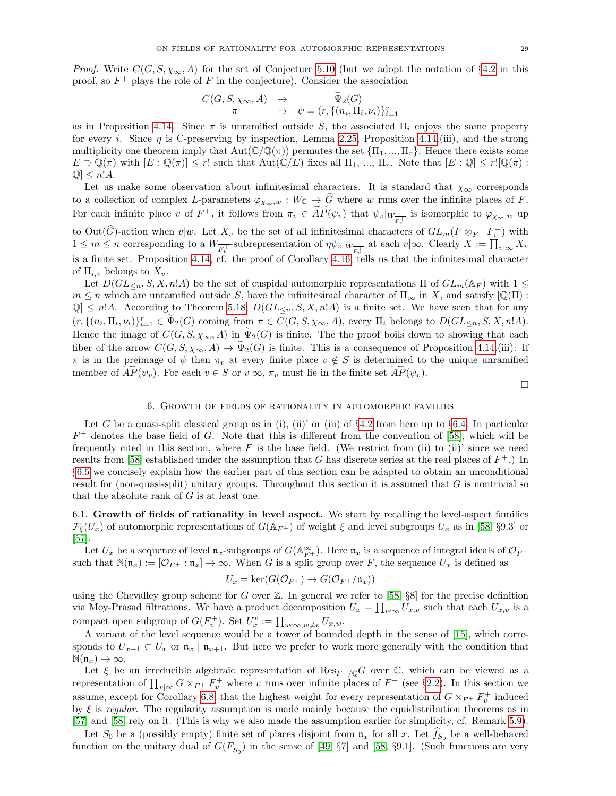*Proof.* Write  $C(G, S, \chi_{\infty}, A)$  for the set of Conjecture [5.10](#page-27-3) (but we adopt the notation of §[4.2](#page-19-0) in this proof, so  $F^+$  plays the role of F in the conjecture). Consider the association

$$
C(G, S, \chi_{\infty}, A) \rightarrow \widetilde{\Psi}_2(G)
$$
  

$$
\pi \mapsto \psi = (r, \{(n_i, \Pi_i, \nu_i)\}_{i=1}^r
$$

as in Proposition [4.14.](#page-23-1) Since  $\pi$  is unramified outside S, the associated  $\Pi_i$  enjoys the same property for every i. Since  $\eta$  is C-preserving by inspection, Lemma [2.25,](#page-10-1) Proposition [4.14.](#page-23-1)(iii), and the strong multiplicity one theorem imply that  $Aut(\mathbb{C}/\mathbb{O}(\pi))$  permutes the set  $\{\Pi_1, ..., \Pi_r\}$ . Hence there exists some  $E \supset \mathbb{Q}(\pi)$  with  $[E : \mathbb{Q}(\pi)] \le r!$  such that  $Aut(\mathbb{C}/E)$  fixes all  $\Pi_1, ..., \Pi_r$ . Note that  $[E : \mathbb{Q}] \le r! [\mathbb{Q}(\pi) :$  $\mathbb{Q} \leq n!A.$ 

Let us make some observation about infinitesimal characters. It is standard that  $\chi_{\infty}$  corresponds to a collection of complex L-parameters  $\varphi_{\chi_{\infty},w}: W_{\mathbb{C}} \to \widehat{G}$  where w runs over the infinite places of F. For each infinite place v of  $F^+$ , it follows from  $\pi_v \in \widehat{AP}(\psi_v)$  that  $\psi_v|_{W_{\overline{F_v^+}}}$  is isomorphic to  $\varphi_{\chi_\infty,w}$  up to Out $(\widehat{G})$ -action when  $v|w$ . Let  $X_v$  be the set of all infinitesimal characters of  $GL_m(F \otimes_F F_v^+)$  with  $1 \leq m \leq n$  corresponding to a  $W_{\overline{F_v^+}}$ -subrepresentation of  $\eta \psi_v|_{W_{\overline{F_v^+}}}$  at each  $v|\infty$ . Clearly  $X := \prod_{v|\infty} X_v$ is a finite set. Proposition [4.14,](#page-23-1) cf. the proof of Corollary [4.16,](#page-23-0) tells us that the infinitesimal character of  $\Pi_{i,v}$  belongs to  $X_v$ .

Let  $D(GL_{\le n}, S, X, n!A)$  be the set of cuspidal automorphic representations  $\Pi$  of  $GL_m(\mathbb{A}_F)$  with  $1 \leq$  $m \leq n$  which are unramified outside S, have the infinitesimal character of  $\Pi_{\infty}$  in X, and satisfy  $[\mathbb{Q}(\Pi)]$ :  $\mathbb{Q} \leq n!A$ . According to Theorem [5.18,](#page-27-0)  $D(GL_{\leq n}, S, X, n!A)$  is a finite set. We have seen that for any  $(r, \{(n_i, \Pi_i, \nu_i)\}_{i=1}^r \in \tilde{\Psi}_2(G)$  coming from  $\pi \in C(G, S, \chi_{\infty}, A)$ , every  $\Pi_i$  belongs to  $D(GL_{\leq n}, S, X, n!A)$ . Hence the image of  $C(G, S, \chi_{\infty}, A)$  in  $\tilde{\Psi}_2(G)$  is finite. The the proof boils down to showing that each fiber of the arrow  $C(G, S, \chi_{\infty}, A) \to \tilde{\Psi}_2(G)$  is finite. This is a consequence of Proposition [4.14.](#page-23-1)(iii): If  $\pi$  is in the preimage of  $\psi$  then  $\pi_v$  at every finite place  $v \notin S$  is determined to the unique unramified member of  $AP(\psi_v)$ . For each  $v \in S$  or  $v | \infty, \pi_v$  must lie in the finite set  $AP(\psi_v)$ .

 $\Box$ 

# 6. Growth of fields of rationality in automorphic families

<span id="page-28-1"></span>Let G be a quasi-split classical group as in (i), (ii)' or (iii) of  $\S 4.2$  $\S 4.2$  from here up to  $\S 6.4$ . In particular  $F^+$  denotes the base field of G. Note that this is different from the convention of [\[58\]](#page-37-1), which will be frequently cited in this section, where  $F$  is the base field. (We restrict from (ii) to (ii)' since we need results from [\[58\]](#page-37-1) established under the assumption that G has discrete series at the real places of  $F^+$ .) In §[6.5](#page-35-10) we concisely explain how the earlier part of this section can be adapted to obtain an unconditional result for (non-quasi-split) unitary groups. Throughout this section it is assumed that  $G$  is nontrivial so that the absolute rank of  $G$  is at least one.

<span id="page-28-0"></span>6.1. Growth of fields of rationality in level aspect. We start by recalling the level-aspect families  $\mathcal{F}_{\xi}(U_x)$  of automorphic representations of  $G(\mathbb{A}_{F^+})$  of weight  $\xi$  and level subgroups  $U_x$  as in [\[58,](#page-37-1) §9.3] or [\[57\]](#page-37-2).

Let  $U_x$  be a sequence of level  $\mathfrak{n}_x$ -subgroups of  $G(\mathbb{A}_{F^+}^{\infty})$ . Here  $\mathfrak{n}_x$  is a sequence of integral ideals of  $\mathcal{O}_{F^+}$ such that  $\mathbb{N}(\mathfrak{n}_x) := [\mathcal{O}_{F^+} : \mathfrak{n}_x] \to \infty$ . When G is a split group over F, the sequence  $U_x$  is defined as

$$
U_x = \ker(G(\mathcal{O}_{F^+}) \to G(\mathcal{O}_{F^+}/\mathfrak{n}_x))
$$

using the Chevalley group scheme for G over  $\mathbb{Z}$ . In general we refer to [\[58,](#page-37-1) §8] for the precise definition via Moy-Prasad filtrations. We have a product decomposition  $U_x = \prod_{v \nmid \infty} U_{x,v}$  such that each  $U_{x,v}$  is a compact open subgroup of  $G(F_v^+)$ . Set  $U_x^v := \prod_{w \nmid \infty, w \neq v} U_{x,w}.$ 

A variant of the level sequence would be a tower of bounded depth in the sense of [\[15\]](#page-36-26), which corresponds to  $U_{x+1} \subset U_x$  or  $\mathfrak{n}_x \mid \mathfrak{n}_{x+1}$ . But here we prefer to work more generally with the condition that  $\mathbb{N}(\mathfrak{n}_x) \to \infty$ .

Let  $\xi$  be an irreducible algebraic representation of  $\text{Res}_{F^+/\mathbb{Q}}G$  over  $\mathbb{C}$ , which can be viewed as a representation of  $\prod_{v|\infty} G \times_{F^+} F^+_v$  where v runs over infinite places of  $F^+$  (see §[2.2\)](#page-6-0). In this section we assume, except for Corollary [6.8,](#page-31-0) that the highest weight for every representation of  $G \times_{F^+} F^+_{v}$  induced by  $\xi$  is regular. The regularity assumption is made mainly because the equidistribution theorems as in [\[57\]](#page-37-2) and [\[58\]](#page-37-1) rely on it. (This is why we also made the assumption earlier for simplicity, cf. Remark [5.9\)](#page-26-1).

Let  $S_0$  be a (possibly empty) finite set of places disjoint from  $\mathfrak{n}_x$  for all x. Let  $f_{S_0}$  be a well-behaved function on the unitary dual of  $G(F_{S_0}^+)$  in the sense of [\[49,](#page-36-27) §7] and [\[58,](#page-37-1) §9.1]. (Such functions are very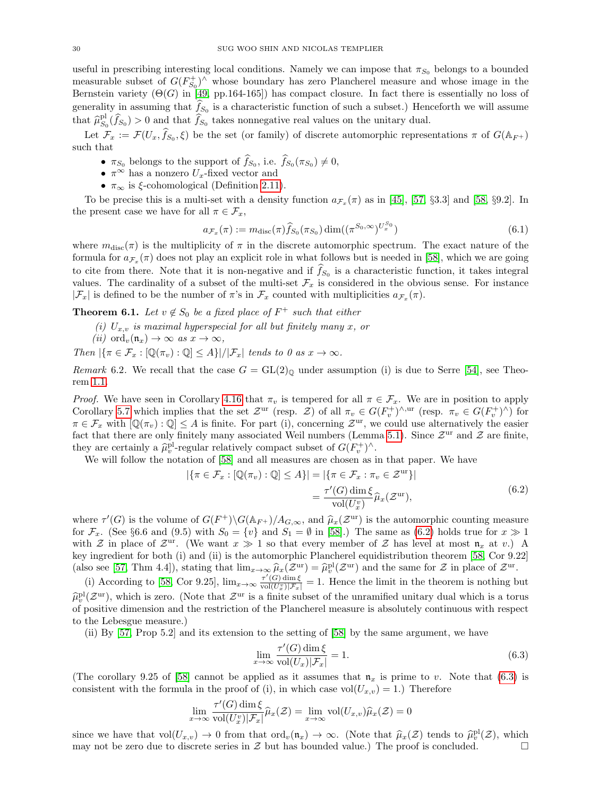useful in prescribing interesting local conditions. Namely we can impose that  $\pi_{S_0}$  belongs to a bounded measurable subset of  $G(F_{S_0}^+)^{\wedge}$  whose boundary has zero Plancherel measure and whose image in the Bernstein variety  $(\Theta(G)$  in [\[49,](#page-36-27) pp.164-165]) has compact closure. In fact there is essentially no loss of generality in assuming that  $f_{S_0}$  is a characteristic function of such a subset.) Henceforth we will assume that  $\hat{\mu}_{S_0}^{\text{pl}}(\hat{f}_{S_0}) > 0$  and that  $\hat{f}_{S_0}$  takes nonnegative real values on the unitary dual.

Let  $\mathcal{F}_x := \mathcal{F}(U_x, \hat{f}_{S_0}, \xi)$  be the set (or family) of discrete automorphic representations  $\pi$  of  $G(\mathbb{A}_{F^+})$ such that

- $\pi_{S_0}$  belongs to the support of  $f_{S_0}$ , i.e.  $f_{S_0}(\pi_{S_0}) \neq 0$ ,
- $\pi^{\infty}$  has a nonzero  $U_x$ -fixed vector and
- $\pi_{\infty}$  is  $\xi$ -cohomological (Definition [2.11\)](#page-6-2).

To be precise this is a multi-set with a density function  $a_{\mathcal{F}_x}(\pi)$  as in [\[45\]](#page-36-28), [\[57,](#page-37-2) §3.3] and [\[58,](#page-37-1) §9.2]. In the present case we have for all  $\pi \in \mathcal{F}_x$ ,

$$
a_{\mathcal{F}_x}(\pi) := m_{\text{disc}}(\pi) \hat{f}_{S_0}(\pi_{S_0}) \dim((\pi^{S_0, \infty})^{U_x^{S_0}})
$$
\n(6.1)

where  $m_{\text{disc}}(\pi)$  is the multiplicity of  $\pi$  in the discrete automorphic spectrum. The exact nature of the formula for  $a_{\mathcal{F}_x}(\pi)$  does not play an explicit role in what follows but is needed in [\[58\]](#page-37-1), which we are going to cite from there. Note that it is non-negative and if  $f_{S_0}$  is a characteristic function, it takes integral values. The cardinality of a subset of the multi-set  $\mathcal{F}_x$  is considered in the obvious sense. For instance  $|\mathcal{F}_x|$  is defined to be the number of  $\pi$ 's in  $\mathcal{F}_x$  counted with multiplicities  $a_{\mathcal{F}_x}(\pi)$ .

<span id="page-29-0"></span>**Theorem 6.1.** Let  $v \notin S_0$  be a fixed place of  $F^+$  such that either

- (i)  $U_{x,v}$  is maximal hyperspecial for all but finitely many x, or
- (ii) ord<sub>v</sub> $(\mathfrak{n}_x) \to \infty$  as  $x \to \infty$ ,

Then  $|\{\pi \in \mathcal{F}_x : [\mathbb{Q}(\pi_v) : \mathbb{Q}] \leq A\}|/|\mathcal{F}_x|$  tends to 0 as  $x \to \infty$ .

Remark 6.2. We recall that the case  $G = GL(2)_\mathbb{Q}$  under assumption (i) is due to Serre [\[54\]](#page-37-0), see Theorem [1.1.](#page-0-1)

*Proof.* We have seen in Corollary [4.16](#page-23-0) that  $\pi_v$  is tempered for all  $\pi \in \mathcal{F}_x$ . We are in position to apply Corollary [5.7](#page-26-0) which implies that the set  $\mathcal{Z}^{\text{ur}}$  (resp.  $\mathcal{Z}$ ) of all  $\pi_v \in G(F_v^+)^{\wedge,\text{ur}}$  (resp.  $\pi_v \in G(F_v^+)^\wedge$ ) for  $\pi \in \mathcal{F}_x$  with  $[\mathbb{Q}(\pi_v) : \mathbb{Q}] \leq A$  is finite. For part (i), concerning  $\mathcal{Z}^{\text{ur}}$ , we could use alternatively the easier fact that there are only finitely many associated Weil numbers (Lemma [5.1\)](#page-24-5). Since  $\mathcal{Z}^{\text{ur}}$  and  $\mathcal{Z}$  are finite, they are certainly a  $\hat{\mu}_v^{\text{pl}}$ -regular relatively compact subset of  $G(F_v^+)^\wedge$ .<br>We will follow the notation of [58] and all measures are shown as i

We will follow the notation of [\[58\]](#page-37-1) and all measures are chosen as in that paper. We have

<span id="page-29-1"></span>
$$
|\{\pi \in \mathcal{F}_x : [\mathbb{Q}(\pi_v) : \mathbb{Q}] \le A\}| = |\{\pi \in \mathcal{F}_x : \pi_v \in \mathcal{Z}^{\text{ur}}\}|
$$
  
= 
$$
\frac{\tau'(G) \dim \xi}{\text{vol}(U_x^v)} \hat{\mu}_x(\mathcal{Z}^{\text{ur}}),
$$
 (6.2)

where  $\tau'(G)$  is the volume of  $G(F^+) \setminus G(\mathbb{A}_{F^+})/A_{G,\infty}$ , and  $\hat{\mu}_x(\mathcal{Z}^{\text{ur}})$  is the automorphic counting measure<br>for  $\mathcal{F} = (\text{So } 86.6, \text{ and } (0.5)$  with  $S_x = \{y\}$  and  $S_y = \emptyset$  in [58]). The same as (6.2) holds for  $\mathcal{F}_x$ . (See §6.6 and (9.5) with  $S_0 = \{v\}$  and  $S_1 = \emptyset$  in [\[58\]](#page-37-1).) The same as [\(6.2\)](#page-29-1) holds true for  $x \gg 1$ with  $\mathcal Z$  in place of  $\mathcal Z^{\text{ur}}$ . (We want  $x \gg 1$  so that every member of  $\mathcal Z$  has level at most  $\mathfrak n_x$  at v.) A key ingredient for both (i) and (ii) is the automorphic Plancherel equidistribution theorem [\[58,](#page-37-1) Cor 9.22] (also see [\[57,](#page-37-2) Thm 4.4]), stating that  $\lim_{x\to\infty} \hat{\mu}_x(\mathcal{Z}^{\text{ur}}) = \hat{\mu}_v^{\text{pl}}(\mathcal{Z}^{\text{ur}})$  and the same for  $\mathcal Z$  in place of  $\mathcal Z^{\text{ur}}$ .

(i) According to [\[58,](#page-37-1) Cor 9.25],  $\lim_{x\to\infty} \frac{\tau'(G) \dim \xi}{\text{vol}(U_x^v) |\mathcal{F}_x|} = 1$ . Hence the limit in the theorem is nothing but  $\hat{\mu}_{\text{p}}^{\text{pl}}(\mathcal{Z}^{\text{ur}})$ , which is zero. (Note that  $\mathcal{Z}^{\text{ur}}$  is a finite subset of the unramified unitary dual which is a torus of positive dimension and the restriction of the Plancherel measure is absolutel of positive dimension and the restriction of the Plancherel measure is absolutely continuous with respect to the Lebesgue measure.)

(ii) By [\[57,](#page-37-2) Prop 5.2] and its extension to the setting of [\[58\]](#page-37-1) by the same argument, we have

<span id="page-29-2"></span>
$$
\lim_{x \to \infty} \frac{\tau'(G) \dim \xi}{\text{vol}(U_x)|\mathcal{F}_x|} = 1.
$$
\n(6.3)

(The corollary 9.25 of [\[58\]](#page-37-1) cannot be applied as it assumes that  $\mathfrak{n}_x$  is prime to v. Note that [\(6.3\)](#page-29-2) is consistent with the formula in the proof of (i), in which case  $vol(U_{x,v}) = 1$ .) Therefore

$$
\lim_{x \to \infty} \frac{\tau'(G) \dim \xi}{\text{vol}(U_x^v)|\mathcal{F}_x|} \hat{\mu}_x(\mathcal{Z}) = \lim_{x \to \infty} \text{vol}(U_{x,v}) \hat{\mu}_x(\mathcal{Z}) = 0
$$

since we have that  $vol(U_{x,v}) \to 0$  from that  $ord_v(\mathfrak{n}_x) \to \infty$ . (Note that  $\hat{\mu}_x(\mathcal{Z})$  tends to  $\hat{\mu}_v^{pl}(\mathcal{Z})$ , which may not be zero due to discrete series in  $\mathcal Z$  but has bounded value.) The proof is concluded.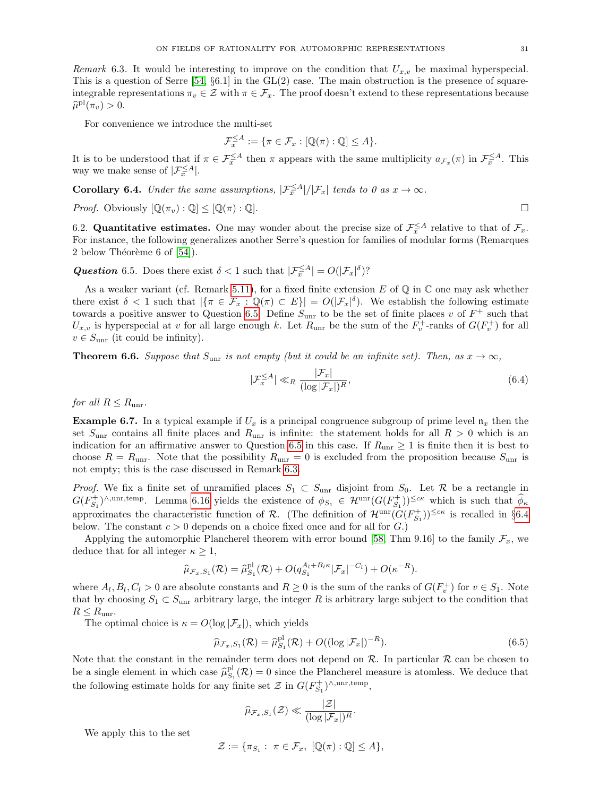<span id="page-30-2"></span>Remark 6.3. It would be interesting to improve on the condition that  $U_{x,v}$  be maximal hyperspecial. This is a question of Serre  $[54, §6.1]$  in the  $GL(2)$  case. The main obstruction is the presence of squareintegrable representations  $\pi_v \in \mathcal{Z}$  with  $\pi \in \mathcal{F}_x$ . The proof doesn't extend to these representations because  $\widehat{\mu}^{\text{pl}}(\pi_v) > 0.$ 

For convenience we introduce the multi-set

$$
\mathcal{F}_x^{\leq A} := \{ \pi \in \mathcal{F}_x : [\mathbb{Q}(\pi) : \mathbb{Q}] \leq A \}.
$$

It is to be understood that if  $\pi \in \mathcal{F}_{x}^{\leq A}$  then  $\pi$  appears with the same multiplicity  $a_{\mathcal{F}_{x}}(\pi)$  in  $\mathcal{F}_{x}^{\leq A}$ . This way we make sense of  $|\mathcal{F}_x^{\leq A}|$ .

**Corollary 6.4.** Under the same assumptions,  $|\mathcal{F}_{x}^{\leq A}|/|\mathcal{F}_{x}|$  tends to 0 as  $x \to \infty$ .

*Proof.* Obviously  $[\mathbb{Q}(\pi_v) : \mathbb{Q}] \leq [\mathbb{Q}(\pi) : \mathbb{Q}].$ 

6.2. **Quantitative estimates.** One may wonder about the precise size of  $\mathcal{F}_x^{\leq A}$  relative to that of  $\mathcal{F}_x$ . For instance, the following generalizes another Serre's question for families of modular forms (Remarques 2 below Théorème 6 of  $[54]$ ).

<span id="page-30-1"></span>Question 6.5. Does there exist  $\delta < 1$  such that  $|\mathcal{F}_{x}^{\leq A}| = O(|\mathcal{F}_{x}|^{\delta})$ ?

As a weaker variant (cf. Remark [5.11\)](#page-27-5), for a fixed finite extension E of  $\mathbb Q$  in  $\mathbb C$  one may ask whether there exist  $\delta < 1$  such that  $|\{\pi \in \mathcal{F}_x : \mathbb{Q}(\pi) \subset E\}| = O(|\mathcal{F}_x|^{\delta})$ . We establish the following estimate towards a positive answer to Question [6.5.](#page-30-1) Define  $S_{\text{unr}}$  to be the set of finite places v of  $F^+$  such that  $U_{x,v}$  is hyperspecial at v for all large enough k. Let  $R_{\text{unr}}$  be the sum of the  $F_v^+$ -ranks of  $G(F_v^+)$  for all  $v \in S_{\text{unr}}$  (it could be infinity).

<span id="page-30-0"></span>**Theorem 6.6.** Suppose that  $S_{\text{unr}}$  is not empty (but it could be an infinite set). Then, as  $x \to \infty$ ,

<span id="page-30-3"></span>
$$
|\mathcal{F}_x^{\leq A}| \ll_R \frac{|\mathcal{F}_x|}{(\log |\mathcal{F}_x|)^R},\tag{6.4}
$$

for all  $R \leq R_{\text{unr}}$ .

**Example 6.7.** In a typical example if  $U_x$  is a principal congruence subgroup of prime level  $\mathfrak{n}_x$  then the set  $S_{\text{unr}}$  contains all finite places and  $R_{\text{unr}}$  is infinite: the statement holds for all  $R > 0$  which is an indication for an affirmative answer to Question [6.5](#page-30-1) in this case. If  $R_{\text{unr}} \geq 1$  is finite then it is best to choose  $R = R_{\text{unr}}$ . Note that the possibility  $R_{\text{unr}} = 0$  is excluded from the proposition because  $S_{\text{unr}}$  is not empty; this is the case discussed in Remark [6.3.](#page-30-2)

*Proof.* We fix a finite set of unramified places  $S_1 \subset S_{\text{unr}}$  disjoint from  $S_0$ . Let R be a rectangle in  $G(F_{S_1}^+)^{\wedge, \text{unr,temp}}$ . Lemma [6.16](#page-34-0) yields the existence of  $\phi_{S_1} \in \mathcal{H}^{\text{unr}}(G(F_{S_1}^+))^{\leq c\kappa}$  which is such that  $\widehat{\phi}_{\kappa}$ approximates the characteristic function of R. (The definition of  $\mathcal{H}^{\text{unr}}(\tilde{G}(F_{S_1}^+))^{\leq c\kappa}$  is recalled in §[6.4](#page-33-0) below. The constant  $c > 0$  depends on a choice fixed once and for all for  $G$ .)

Applying the automorphic Plancherel theorem with error bound [\[58,](#page-37-1) Thm 9.16] to the family  $\mathcal{F}_x$ , we deduce that for all integer  $\kappa \geq 1$ ,

$$
\widehat{\mu}_{\mathcal{F}_x, S_1}(\mathcal{R}) = \widehat{\mu}_{S_1}^{\text{pl}}(\mathcal{R}) + O(q_{S_1}^{A_l + B_l \kappa} |\mathcal{F}_x|^{-C_l}) + O(\kappa^{-R}).
$$

where  $A_l, B_l, C_l > 0$  are absolute constants and  $R \geq 0$  is the sum of the ranks of  $G(F_v^+)$  for  $v \in S_1$ . Note that by choosing  $S_1 \subset S_{\text{unr}}$  arbitrary large, the integer R is arbitrary large subject to the condition that  $R \leq R_{\text{unr}}$ .

The optimal choice is  $\kappa = O(\log |\mathcal{F}_x|)$ , which yields

<span id="page-30-4"></span>
$$
\widehat{\mu}_{\mathcal{F}_x, S_1}(\mathcal{R}) = \widehat{\mu}_{S_1}^{\mathrm{pl}}(\mathcal{R}) + O((\log |\mathcal{F}_x|)^{-R}). \tag{6.5}
$$

Note that the constant in the remainder term does not depend on  $\mathcal{R}$ . In particular  $\mathcal{R}$  can be chosen to be a single element in which case  $\hat{\mu}_{S_1}^{pl}(\mathcal{R}) = 0$  since the Plancherel measure is atomless. We deduce that the following estimate holds for any finite set  $\mathcal{Z}$  in  $G(F_{S_1}^+)^{\wedge,\text{unr,temp}}$ ,

$$
\widehat{\mu}_{\mathcal{F}_x,S_1}(\mathcal{Z}) \ll \frac{|\mathcal{Z}|}{(\log |\mathcal{F}_x|)^R}.
$$

We apply this to the set

$$
\mathcal{Z} := \{ \pi_{S_1} : \ \pi \in \mathcal{F}_x, \ [\mathbb{Q}(\pi) : \mathbb{Q}] \leq A \},
$$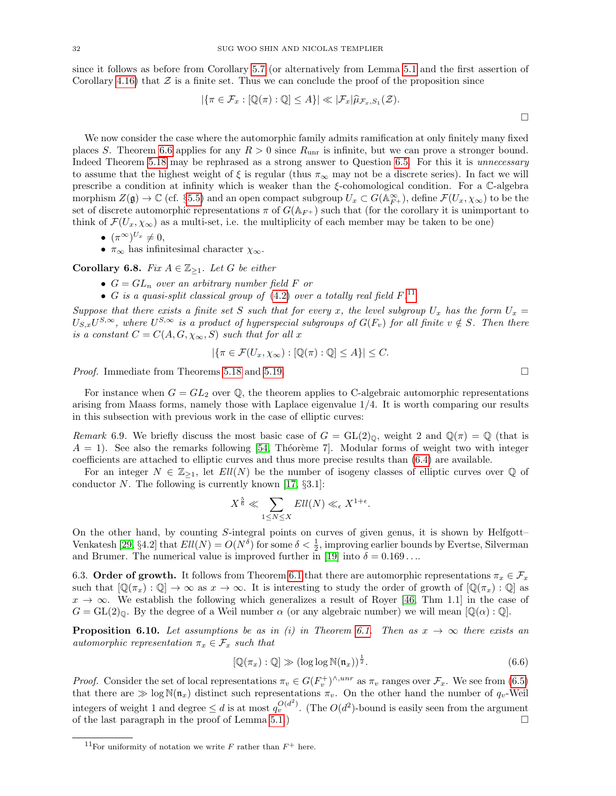since it follows as before from Corollary [5.7](#page-26-0) (or alternatively from Lemma [5.1](#page-24-5) and the first assertion of Corollary [4.16\)](#page-23-0) that  $\mathcal Z$  is a finite set. Thus we can conclude the proof of the proposition since

$$
|\{\pi \in \mathcal{F}_x : [\mathbb{Q}(\pi) : \mathbb{Q}] \le A\}| \ll |\mathcal{F}_x|\widehat{\mu}_{\mathcal{F}_x, S_1}(\mathcal{Z}).
$$

We now consider the case where the automorphic family admits ramification at only finitely many fixed places S. Theorem [6.6](#page-30-0) applies for any  $R > 0$  since  $R_{\text{unr}}$  is infinite, but we can prove a stronger bound. Indeed Theorem [5.18](#page-27-0) may be rephrased as a strong answer to Question [6.5.](#page-30-1) For this it is unnecessary to assume that the highest weight of  $\xi$  is regular (thus  $\pi_{\infty}$  may not be a discrete series). In fact we will prescribe a condition at infinity which is weaker than the  $\xi$ -cohomological condition. For a C-algebra morphism  $Z(\mathfrak{g}) \to \mathbb{C}$  (cf. §[5.5\)](#page-27-2) and an open compact subgroup  $U_x \subset G(\mathbb{A}_{F^+}^{\infty})$ , define  $\mathcal{F}(U_x, \chi_{\infty})$  to be the set of discrete automorphic representations  $\pi$  of  $G(\mathbb{A}_{F+})$  such that (for the corollary it is unimportant to think of  $\mathcal{F}(U_x, \chi_\infty)$  as a multi-set, i.e. the multiplicity of each member may be taken to be one)

- $(\pi^{\infty})^{U_x} \neq 0$ ,
- $\pi_{\infty}$  has infinitesimal character  $\chi_{\infty}$ .

<span id="page-31-0"></span>Corollary 6.8. Fix  $A \in \mathbb{Z}_{\geq 1}$ . Let G be either

- $G = GL_n$  over an arbitrary number field F or
- G is a quasi-split classical group of  $(4.2)$  over a totally real field  $F^{11}$  $F^{11}$  $F^{11}$ .

Suppose that there exists a finite set S such that for every x, the level subgroup  $U_x$  has the form  $U_x =$  $U_{S,x}U^{S,\infty}$ , where  $U^{S,\infty}$  is a product of hyperspecial subgroups of  $G(F_v)$  for all finite  $v \notin S$ . Then there is a constant  $C = C(A, G, \chi_{\infty}, S)$  such that for all x

$$
|\{\pi \in \mathcal{F}(U_x, \chi_{\infty}) : [\mathbb{Q}(\pi) : \mathbb{Q}] \le A\}| \le C.
$$

*Proof.* Immediate from Theorems [5.18](#page-27-0) and [5.19.](#page-27-1) □

For instance when  $G = GL_2$  over  $\mathbb{Q}$ , the theorem applies to C-algebraic automorphic representations arising from Maass forms, namely those with Laplace eigenvalue 1/4. It is worth comparing our results in this subsection with previous work in the case of elliptic curves:

<span id="page-31-4"></span>Remark 6.9. We briefly discuss the most basic case of  $G = GL(2)_\mathbb{Q}$ , weight 2 and  $\mathbb{Q}(\pi) = \mathbb{Q}$  (that is  $A = 1$ . See also the remarks following [\[54,](#page-37-0) Théorème 7]. Modular forms of weight two with integer coefficients are attached to elliptic curves and thus more precise results than [\(6.4\)](#page-30-3) are available.

For an integer  $N \in \mathbb{Z}_{\geq 1}$ , let  $Ell(N)$  be the number of isogeny classes of elliptic curves over Q of conductor N. The following is currently known [\[17,](#page-36-29)  $\S 3.1$ ]:

$$
X^{\frac{5}{6}} \ll \sum_{1 \leq N \leq X} Ell(N) \ll_{\epsilon} X^{1+\epsilon}.
$$

On the other hand, by counting S-integral points on curves of given genus, it is shown by Helfgott– Venkatesh [\[29,](#page-36-30) §4.2] that  $Ell(N) = O(N^{\delta})$  for some  $\delta < \frac{1}{2}$ , improving earlier bounds by Evertse, Silverman and Brumer. The numerical value is improved further in [\[19\]](#page-36-31) into  $\delta = 0.169...$ 

6.3. Order of growth. It follows from Theorem [6.1](#page-29-0) that there are automorphic representations  $\pi_x \in \mathcal{F}_x$ such that  $[\mathbb{Q}(\pi_x) : \mathbb{Q}] \to \infty$  as  $x \to \infty$ . It is interesting to study the order of growth of  $[\mathbb{Q}(\pi_x) : \mathbb{Q}]$  as  $x \to \infty$ . We establish the following which generalizes a result of Royer [\[46,](#page-36-7) Thm 1.1] in the case of  $G = GL(2)_{\mathbb{Q}}$ . By the degree of a Weil number  $\alpha$  (or any algebraic number) we will mean  $[\mathbb{Q}(\alpha):\mathbb{Q}]$ .

<span id="page-31-3"></span>**Proposition 6.10.** Let assumptions be as in (i) in Theorem [6.1.](#page-29-0) Then as  $x \to \infty$  there exists an automorphic representation  $\pi_x \in \mathcal{F}_x$  such that

<span id="page-31-2"></span>
$$
[\mathbb{Q}(\pi_x) : \mathbb{Q}] \gg (\log \log \mathbb{N}(\mathfrak{n}_x))^{\frac{1}{2}}.
$$
\n(6.6)

*Proof.* Consider the set of local representations  $\pi_v \in G(F_v^+)^{\wedge,unr}$  as  $\pi_v$  ranges over  $\mathcal{F}_x$ . We see from [\(6.5\)](#page-30-4) that there are  $\gg \log N(n_x)$  distinct such representations  $\pi_v$ . On the other hand the number of  $q_v$ -Weil integers of weight 1 and degree  $\leq d$  is at most  $q_v^{O(d^2)}$ . (The  $O(d^2)$ -bound is easily seen from the argument of the last paragraph in the proof of Lemma [5.1.](#page-24-5))

<span id="page-31-1"></span><sup>&</sup>lt;sup>11</sup>For uniformity of notation we write F rather than  $F^+$  here.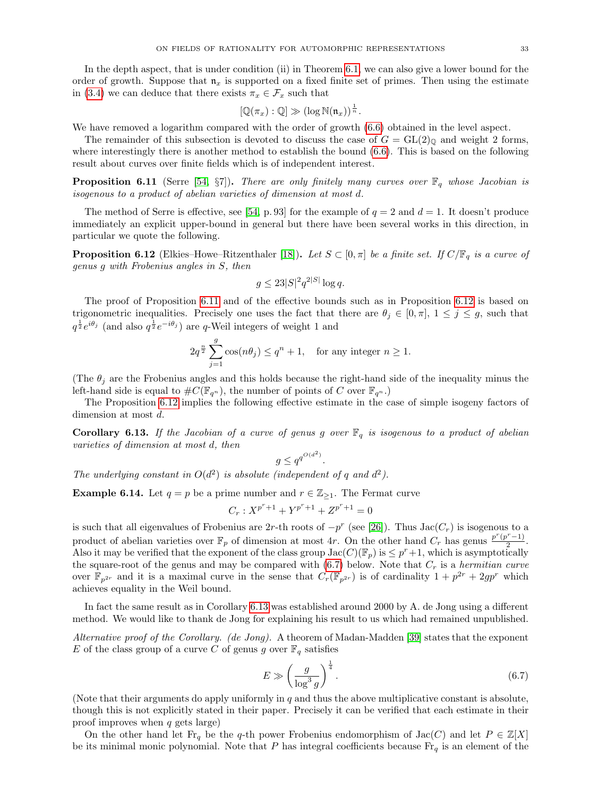In the depth aspect, that is under condition (ii) in Theorem [6.1,](#page-29-0) we can also give a lower bound for the order of growth. Suppose that  $\mathfrak{n}_x$  is supported on a fixed finite set of primes. Then using the estimate in [\(3.4\)](#page-16-1) we can deduce that there exists  $\pi_x \in \mathcal{F}_x$  such that

$$
[\mathbb{Q}(\pi_x):\mathbb{Q}]\gg (\log \mathbb{N}(\mathfrak{n}_x))^{\frac{1}{n}}.
$$

We have removed a logarithm compared with the order of growth [\(6.6\)](#page-31-2) obtained in the level aspect.

The remainder of this subsection is devoted to discuss the case of  $G = GL(2)_{\mathbb{Q}}$  and weight 2 forms, where interestingly there is another method to establish the bound [\(6.6\)](#page-31-2). This is based on the following result about curves over finite fields which is of independent interest.

<span id="page-32-0"></span>**Proposition 6.11** (Serre [\[54,](#page-37-0) §7]). There are only finitely many curves over  $\mathbb{F}_q$  whose Jacobian is isogenous to a product of abelian varieties of dimension at most d.

The method of Serre is effective, see [\[54,](#page-37-0) p. 93] for the example of  $q = 2$  and  $d = 1$ . It doesn't produce immediately an explicit upper-bound in general but there have been several works in this direction, in particular we quote the following.

<span id="page-32-1"></span>**Proposition 6.12** (Elkies–Howe–Ritzenthaler [\[18\]](#page-36-32)). Let  $S \subset [0, \pi]$  be a finite set. If  $C/\mathbb{F}_q$  is a curve of genus g with Frobenius angles in S, then

$$
g \le 23|S|^2 q^{2|S|} \log q.
$$

The proof of Proposition [6.11](#page-32-0) and of the effective bounds such as in Proposition [6.12](#page-32-1) is based on trigonometric inequalities. Precisely one uses the fact that there are  $\theta_j \in [0, \pi]$ ,  $1 \leq j \leq g$ , such that  $q^{\frac{1}{2}}e^{i\theta_j}$  (and also  $q^{\frac{1}{2}}e^{-i\theta_j}$ ) are q-Weil integers of weight 1 and

$$
2q^{\frac{n}{2}}\sum_{j=1}^{g}\cos(n\theta_j) \le q^n + 1, \text{ for any integer } n \ge 1.
$$

(The  $\theta_j$  are the Frobenius angles and this holds because the right-hand side of the inequality minus the left-hand side is equal to  $\#C(\mathbb{F}_{q^n})$ , the number of points of C over  $\mathbb{F}_{q^n}$ .)

The Proposition [6.12](#page-32-1) implies the following effective estimate in the case of simple isogeny factors of dimension at most d.

<span id="page-32-3"></span>**Corollary 6.13.** If the Jacobian of a curve of genus g over  $\mathbb{F}_q$  is isogenous to a product of abelian varieties of dimension at most d, then

$$
g \le q^{q^{O(d^2)}}.
$$

The underlying constant in  $O(d^2)$  is absolute (independent of q and  $d^2$ ).

**Example 6.14.** Let  $q = p$  be a prime number and  $r \in \mathbb{Z}_{\geq 1}$ . The Fermat curve

$$
C_r: X^{p^r+1} + Y^{p^r+1} + Z^{p^r+1} = 0
$$

is such that all eigenvalues of Frobenius are 2r-th roots of  $-p^r$  (see [\[26\]](#page-36-33)). Thus Jac( $C_r$ ) is isogenous to a product of abelian varieties over  $\mathbb{F}_p$  of dimension at most 4r. On the other hand  $C_r$  has genus  $\frac{p^r(p^r-1)}{2}$  $\frac{(n-1)}{2}$ . Also it may be verified that the exponent of the class group  $Jac(C)(\mathbb{F}_p)$  is  $\leq p^r+1$ , which is asymptotically the square-root of the genus and may be compared with  $(6.7)$  below. Note that  $C_r$  is a *hermitian curve* over  $\mathbb{F}_{p^{2r}}$  and it is a maximal curve in the sense that  $C_r(\mathbb{F}_{p^{2r}})$  is of cardinality  $1+p^{2r}+2gp^r$  which achieves equality in the Weil bound.

In fact the same result as in Corollary [6.13](#page-32-3) was established around 2000 by A. de Jong using a different method. We would like to thank de Jong for explaining his result to us which had remained unpublished.

Alternative proof of the Corollary. (de Jong). A theorem of Madan-Madden [\[39\]](#page-36-34) states that the exponent E of the class group of a curve C of genus g over  $\mathbb{F}_q$  satisfies

<span id="page-32-2"></span>
$$
E \gg \left(\frac{g}{\log^3 g}\right)^{\frac{1}{4}}.\tag{6.7}
$$

(Note that their arguments do apply uniformly in  $q$  and thus the above multiplicative constant is absolute, though this is not explicitly stated in their paper. Precisely it can be verified that each estimate in their proof improves when  $q$  gets large)

On the other hand let Fr<sub>q</sub> be the q-th power Frobenius endomorphism of  $Jac(C)$  and let  $P \in \mathbb{Z}[X]$ be its minimal monic polynomial. Note that P has integral coefficients because  $\text{Fr}_q$  is an element of the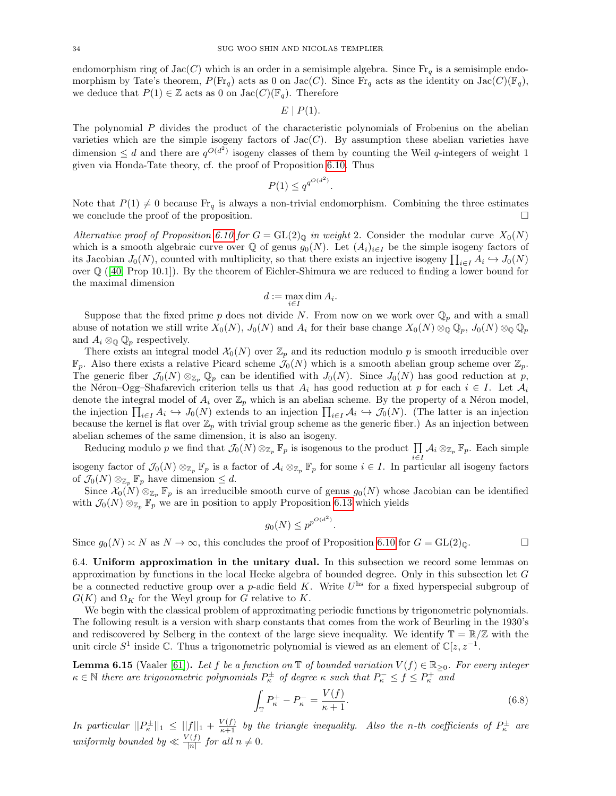endomorphism ring of  $Jac(C)$  which is an order in a semisimple algebra. Since  $Fr_q$  is a semisimple endomorphism by Tate's theorem,  $P(\text{Fr}_q)$  acts as 0 on Jac(C). Since  $\text{Fr}_q$  acts as the identity on Jac(C)( $\mathbb{F}_q$ ), we deduce that  $P(1) \in \mathbb{Z}$  acts as 0 on Jac(C)( $\mathbb{F}_q$ ). Therefore

$$
E \mid P(1).
$$

The polynomial P divides the product of the characteristic polynomials of Frobenius on the abelian varieties which are the simple isogeny factors of  $Jac(C)$ . By assumption these abelian varieties have dimension  $\leq d$  and there are  $q^{O(d^2)}$  isogeny classes of them by counting the Weil q-integers of weight 1 given via Honda-Tate theory, cf. the proof of Proposition [6.10.](#page-31-3) Thus

$$
P(1) \le q^{q^{O(d^2)}}.
$$

Note that  $P(1) \neq 0$  because  $\text{Fr}_q$  is always a non-trivial endomorphism. Combining the three estimates we conclude the proof of the proposition.  $\Box$ 

Alternative proof of Proposition [6.10](#page-31-3) for  $G = GL(2)_{\mathbb{Q}}$  in weight 2. Consider the modular curve  $X_0(N)$ which is a smooth algebraic curve over  $\mathbb Q$  of genus  $g_0(N)$ . Let  $(A_i)_{i\in I}$  be the simple isogeny factors of its Jacobian  $J_0(N)$ , counted with multiplicity, so that there exists an injective isogeny  $\prod_{i\in I} A_i \hookrightarrow J_0(N)$ over Q ([\[40,](#page-36-35) Prop 10.1]). By the theorem of Eichler-Shimura we are reduced to finding a lower bound for the maximal dimension

$$
d := \max_{i \in I} \dim A_i.
$$

Suppose that the fixed prime p does not divide N. From now on we work over  $\mathbb{Q}_p$  and with a small abuse of notation we still write  $X_0(N)$ ,  $J_0(N)$  and  $A_i$  for their base change  $X_0(N) \otimes_{\mathbb{Q}} \mathbb{Q}_p$ ,  $J_0(N) \otimes_{\mathbb{Q}} \mathbb{Q}_p$ and  $A_i \otimes_{\mathbb{Q}} \mathbb{Q}_p$  respectively.

There exists an integral model  $\mathcal{X}_0(N)$  over  $\mathbb{Z}_p$  and its reduction modulo p is smooth irreducible over  $\mathbb{F}_p$ . Also there exists a relative Picard scheme  $\mathcal{J}_0(N)$  which is a smooth abelian group scheme over  $\mathbb{Z}_p$ . The generic fiber  $\mathcal{J}_0(N) \otimes_{\mathbb{Z}_p} \mathbb{Q}_p$  can be identified with  $J_0(N)$ . Since  $J_0(N)$  has good reduction at p, the Néron–Ogg–Shafarevich criterion tells us that  $A_i$  has good reduction at p for each  $i \in I$ . Let  $A_i$ denote the integral model of  $A_i$  over  $\mathbb{Z}_p$  which is an abelian scheme. By the property of a Néron model, the injection  $\prod_{i\in I} A_i \hookrightarrow J_0(N)$  extends to an injection  $\prod_{i\in I} A_i \hookrightarrow J_0(N)$ . (The latter is an injection because the kernel is flat over  $\mathbb{Z}_p$  with trivial group scheme as the generic fiber.) As an injection between abelian schemes of the same dimension, it is also an isogeny.

Reducing modulo p we find that  $\mathcal{J}_0(N) \otimes_{\mathbb{Z}_p} \mathbb{F}_p$  is isogenous to the product  $\prod_{i \in I} \mathcal{A}_i \otimes_{\mathbb{Z}_p} \mathbb{F}_p$ . Each simple isogeny factor of  $\mathcal{J}_0(N) \otimes_{\mathbb{Z}_p} \mathbb{F}_p$  is a factor of  $\mathcal{A}_i \otimes_{\mathbb{Z}_p} \mathbb{F}_p$  for some  $i \in I$ . In particular all isogeny factors of  $\mathcal{J}_0(N) \otimes_{\mathbb{Z}_p} \mathbb{F}_p$  have dimension  $\leq d$ .

Since  $\mathcal{X}_0(N) \otimes_{\mathbb{Z}_p} \mathbb{F}_p$  is an irreducible smooth curve of genus  $g_0(N)$  whose Jacobian can be identified with  $\mathcal{J}_0(N) \otimes_{\mathbb{Z}_p} \mathbb{F}_p$  we are in position to apply Proposition [6.13](#page-32-3) which yields

$$
g_0(N) \le p^{p^{O(d^2)}}
$$

.

Since  $g_0(N) \approx N$  as  $N \to \infty$ , this concludes the proof of Proposition [6.10](#page-31-3) for  $G = GL(2)_{\mathbb{Q}}$ .

<span id="page-33-0"></span>6.4. Uniform approximation in the unitary dual. In this subsection we record some lemmas on approximation by functions in the local Hecke algebra of bounded degree. Only in this subsection let  $G$ be a connected reductive group over a p-adic field K. Write  $U^{\text{hs}}$  for a fixed hyperspecial subgroup of  $G(K)$  and  $\Omega_K$  for the Weyl group for G relative to K.

We begin with the classical problem of approximating periodic functions by trigonometric polynomials. The following result is a version with sharp constants that comes from the work of Beurling in the 1930's and rediscovered by Selberg in the context of the large sieve inequality. We identify  $\mathbb{T} = \mathbb{R}/\mathbb{Z}$  with the unit circle  $S^1$  inside  $\mathbb{C}$ . Thus a trigonometric polynomial is viewed as an element of  $\mathbb{C}[z, z^{-1}]$ .

<span id="page-33-1"></span>**Lemma 6.15** (Vaaler [\[61\]](#page-37-18)). Let f be a function on  $\mathbb{T}$  of bounded variation  $V(f) \in \mathbb{R}_{\geq 0}$ . For every integer  $\kappa \in \mathbb{N}$  there are trigonometric polynomials  $P_{\kappa}^{\pm}$  of degree  $\kappa$  such that  $P_{\kappa}^{-} \leq f \leq P_{\kappa}^{+}$  and

$$
\int_{\mathbb{T}} P_{\kappa}^{+} - P_{\kappa}^{-} = \frac{V(f)}{\kappa + 1}.
$$
\n(6.8)

In particular  $||P_{\kappa}^{\pm}||_1 \leq ||f||_1 + \frac{V(f)}{\kappa+1}$  by the triangle inequality. Also the n-th coefficients of  $P_{\kappa}^{\pm}$  are uniformly bounded by  $\ll \frac{V(f)}{|n|}$  for all  $n \neq 0$ .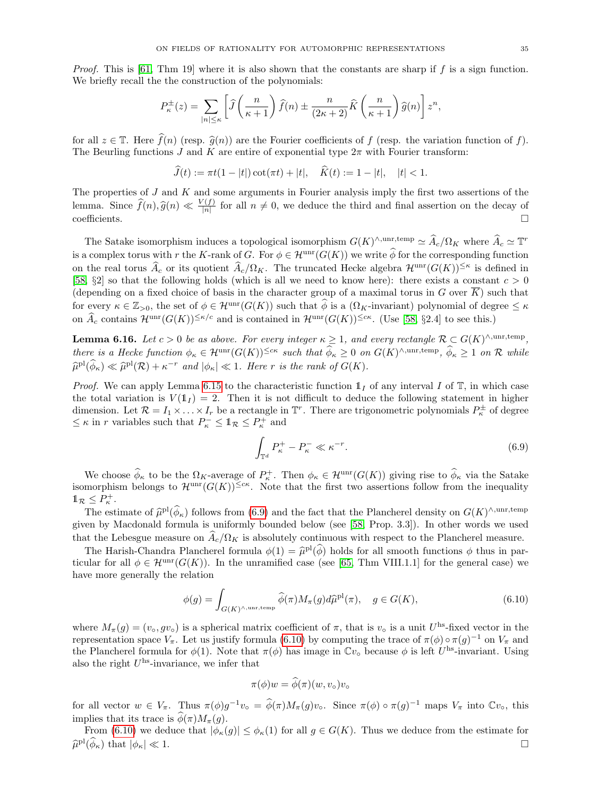*Proof.* This is [\[61,](#page-37-18) Thm 19] where it is also shown that the constants are sharp if f is a sign function. We briefly recall the the construction of the polynomials:

$$
P_{\kappa}^{\pm}(z) = \sum_{|n| \leq \kappa} \left[ \widehat{J}\left(\frac{n}{\kappa+1}\right) \widehat{f}(n) \pm \frac{n}{(2\kappa+2)} \widehat{K}\left(\frac{n}{\kappa+1}\right) \widehat{g}(n) \right] z^n,
$$

for all  $z \in \mathbb{T}$ . Here  $\widehat{f}(n)$  (resp.  $\widehat{g}(n)$ ) are the Fourier coefficients of f (resp. the variation function of f). The Beurling functions J and K are entire of exponential type  $2\pi$  with Fourier transform:

$$
\widehat{J}(t) := \pi t (1 - |t|) \cot(\pi t) + |t|, \quad \widehat{K}(t) := 1 - |t|, \quad |t| < 1.
$$

The properties of  $J$  and  $K$  and some arguments in Fourier analysis imply the first two assertions of the lemma. Since  $\widehat{f}(n), \widehat{g}(n) \ll \frac{V(f)}{|n|}$  for all  $n \neq 0$ , we deduce the third and final assertion on the decay of  $\Box$ coefficients.

The Satake isomorphism induces a topological isomorphism  $G(K)^{\wedge, \text{unr}, \text{temp}} \simeq \widehat{A}_c / \Omega_K$  where  $\widehat{A}_c \simeq \mathbb{T}^r$ is a complex torus with r the K-rank of G. For  $\phi \in \mathcal{H}^{\text{unr}}(G(K))$  we write  $\widehat{\phi}$  for the corresponding function on the real torus  $\widehat{A}_c$  or its quotient  $\widehat{A}_c/\Omega_K$ . The truncated Hecke algebra  $\mathcal{H}^{\text{unr}}(G(K))^{\leq \kappa}$  is defined in [\[58,](#page-37-1)  $\S2$ ] so that the following holds (which is all we need to know here): there exists a constant  $c > 0$ (depending on a fixed choice of basis in the character group of a maximal torus in G over  $\overline{K}$ ) such that for every  $\kappa \in \mathbb{Z}_{>0}$ , the set of  $\phi \in \mathcal{H}^{\text{unr}}(G(K))$  such that  $\widehat{\phi}$  is a  $(\Omega_K$ -invariant) polynomial of degree  $\leq \kappa$ on  $\widehat{A}_c$  contains  $\mathcal{H}^{\text{unr}}(G(K))^{\leq \kappa/c}$  and is contained in  $\mathcal{H}^{\text{unr}}(G(K))^{\leq c\kappa}$ . (Use [\[58,](#page-37-1) §2.4] to see this.)

<span id="page-34-0"></span>**Lemma 6.16.** Let  $c > 0$  be as above. For every integer  $\kappa \geq 1$ , and every rectangle  $\mathcal{R} \subset G(K)^{\wedge, \text{unr,temp}}$ , there is a Hecke function  $\phi_{\kappa} \in \mathcal{H}^{\text{unr}}(G(K))^{\leq c\kappa}$  such that  $\widehat{\phi}_{\kappa} \geq 0$  on  $G(K)^{\wedge, \text{unr,temp}}, \widehat{\phi}_{\kappa} \geq 1$  on  $\mathcal R$  while  $\widehat{\mu}^{\text{pl}}(\widehat{\phi}_{\kappa}) \ll \widehat{\mu}^{\text{pl}}(\mathcal{R}) + \kappa^{-r}$  and  $|\phi_{\kappa}| \ll 1$ . Here r is the rank of  $G(K)$ .

*Proof.* We can apply Lemma [6.15](#page-33-1) to the characteristic function  $\mathbb{1}_I$  of any interval I of  $\mathbb{T}$ , in which case the total variation is  $V(1<sub>I</sub>) = 2$ . Then it is not difficult to deduce the following statement in higher dimension. Let  $\mathcal{R} = I_1 \times \ldots \times I_r$  be a rectangle in  $\mathbb{T}^r$ . There are trigonometric polynomials  $P_{\kappa}^{\pm}$  of degree  $\leq \kappa$  in  $r$  variables such that  $P_\kappa^- \leq \mathbb{1}_{\mathcal{R}} \leq P_\kappa^+$  and

<span id="page-34-1"></span>
$$
\int_{\mathbb{T}^d} P_\kappa^+ - P_\kappa^- \ll \kappa^{-r}.
$$
\n(6.9)

We choose  $\widehat{\phi}_{\kappa}$  to be the  $\Omega_K$ -average of  $P_{\kappa}^+$ . Then  $\phi_{\kappa} \in \mathcal{H}^{\text{unr}}(G(K))$  giving rise to  $\widehat{\phi}_{\kappa}$  via the Satake isomorphism belongs to  $\mathcal{H}^{\text{unr}}(G(K))^{\leq c\kappa}$ . Note that the first two asser  $\mathbb{1}_{\mathcal{R}} \leq P_{\kappa}^+$ .

The estimate of  $\hat{\mu}^{\text{pl}}(\hat{\phi}_{\kappa})$  follows from [\(6.9\)](#page-34-1) and the fact that the Plancherel density on  $G(K)^{\wedge,\text{unr,temp}}$ given by Macdonald formula is uniformly bounded below (see [\[58,](#page-37-1) Prop. 3.3]). In other words we used that the Lebesgue measure on  $\hat{A}_c/\Omega_K$  is absolutely continuous with respect to the Plancherel measure.

The Harish-Chandra Plancherel formula  $\phi(1) = \hat{\mu}^{\text{pl}}(\hat{\phi})$  holds for all smooth functions  $\phi$  thus in par-<br>ular for all  $\phi \in \mathcal{H}^{\text{unr}}(C(K))$ . In the unramified case (see [65, Thm VIII 1 1] for the general case) we ticular for all  $\phi \in \mathcal{H}^{\text{unr}}(G(K))$ . In the unramified case (see [\[65,](#page-37-19) Thm VIII.1.1] for the general case) we have more generally the relation

<span id="page-34-2"></span>
$$
\phi(g) = \int_{G(K)^{\wedge, \text{unr, temp}}} \widehat{\phi}(\pi) M_{\pi}(g) d\widehat{\mu}^{\text{pl}}(\pi), \quad g \in G(K), \tag{6.10}
$$

where  $M_{\pi}(g) = (v_{\circ}, g v_{\circ})$  is a spherical matrix coefficient of  $\pi$ , that is  $v_{\circ}$  is a unit  $U^{\text{hs}}$ -fixed vector in the representation space  $V_{\pi}$ . Let us justify formula [\(6.10\)](#page-34-2) by computing the trace of  $\pi(\phi) \circ \pi(g)^{-1}$  on  $V_{\pi}$  and the Plancherel formula for  $\phi(1)$ . Note that  $\pi(\phi)$  has image in  $\mathbb{C}v_{\circ}$  because  $\phi$  is left U<sup>hs</sup>-invariant. Using also the right  $U^{\text{hs}}$ -invariance, we infer that

$$
\pi(\phi)w = \widetilde{\phi}(\pi)(w, v_{\circ})v_{\circ}
$$

for all vector  $w \in V_{\pi}$ . Thus  $\pi(\phi)g^{-1}v_{\circ} = \hat{\phi}(\pi)M_{\pi}(g)v_{\circ}$ . Since  $\pi(\phi) \circ \pi(g)^{-1}$  maps  $V_{\pi}$  into  $\mathbb{C}v_{\circ}$ , this implies that its trace is  $\phi(\pi)M_{\pi}(g)$ .

From [\(6.10\)](#page-34-2) we deduce that  $|\phi_{\kappa}(g)| \leq \phi_{\kappa}(1)$  for all  $g \in G(K)$ . Thus we deduce from the estimate for  $\widehat{\mu}^{\text{pl}}(\widehat{\phi}_{\kappa})$  that  $|\phi_{\kappa}| \ll 1$ .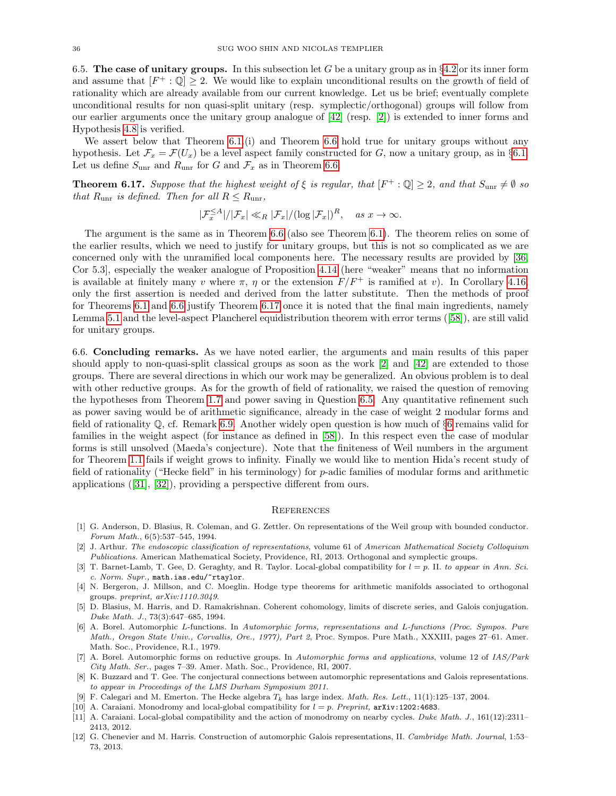<span id="page-35-10"></span>6.5. The case of unitary groups. In this subsection let G be a unitary group as in  $\S 4.2$  $\S 4.2$  or its inner form and assume that  $[F^+ : \mathbb{Q}] \geq 2$ . We would like to explain unconditional results on the growth of field of rationality which are already available from our current knowledge. Let us be brief; eventually complete unconditional results for non quasi-split unitary (resp. symplectic/orthogonal) groups will follow from our earlier arguments once the unitary group analogue of [\[42\]](#page-36-5) (resp. [\[2\]](#page-35-1)) is extended to inner forms and Hypothesis [4.8](#page-21-0) is verified.

We assert below that Theorem [6.1.](#page-29-0)(i) and Theorem [6.6](#page-30-0) hold true for unitary groups without any hypothesis. Let  $\mathcal{F}_x = \mathcal{F}(U_x)$  be a level aspect family constructed for G, now a unitary group, as in §[6.1.](#page-28-0) Let us define  $S_{\text{unr}}$  and  $R_{\text{unr}}$  for G and  $\mathcal{F}_x$  as in Theorem [6.6.](#page-30-0)

<span id="page-35-13"></span>**Theorem 6.17.** Suppose that the highest weight of  $\xi$  is regular, that  $[F^+ : \mathbb{Q}] \geq 2$ , and that  $S_{\text{unr}} \neq \emptyset$  so that  $R_{\text{unr}}$  is defined. Then for all  $R \leq R_{\text{unr}}$ ,

$$
|\mathcal{F}_x^{\leq A}|/|\mathcal{F}_x| \ll_R |\mathcal{F}_x|/(\log |\mathcal{F}_x|)^R, \quad \text{as } x \to \infty.
$$

The argument is the same as in Theorem [6.6](#page-30-0) (also see Theorem [6.1\)](#page-29-0). The theorem relies on some of the earlier results, which we need to justify for unitary groups, but this is not so complicated as we are concerned only with the unramified local components here. The necessary results are provided by [\[36,](#page-36-6) Cor 5.3], especially the weaker analogue of Proposition [4.14](#page-23-1) (here "weaker" means that no information is available at finitely many v where  $\pi$ ,  $\eta$  or the extension  $F/F^+$  is ramified at v). In Corollary [4.16,](#page-23-0) only the first assertion is needed and derived from the latter substitute. Then the methods of proof for Theorems [6.1](#page-29-0) and [6.6](#page-30-0) justify Theorem [6.17](#page-35-13) once it is noted that the final main ingredients, namely Lemma [5.1](#page-24-5) and the level-aspect Plancherel equidistribution theorem with error terms([\[58\]](#page-37-1)), are still valid for unitary groups.

6.6. Concluding remarks. As we have noted earlier, the arguments and main results of this paper should apply to non-quasi-split classical groups as soon as the work [\[2\]](#page-35-1) and [\[42\]](#page-36-5) are extended to those groups. There are several directions in which our work may be generalized. An obvious problem is to deal with other reductive groups. As for the growth of field of rationality, we raised the question of removing the hypotheses from Theorem [1.7](#page-3-0) and power saving in Question [6.5.](#page-30-1) Any quantitative refinement such as power saving would be of arithmetic significance, already in the case of weight 2 modular forms and field of rationality  $\mathbb{Q}$ , cf. Remark [6.9.](#page-31-4) Another widely open question is how much of §[6](#page-28-1) remains valid for families in the weight aspect (for instance as defined in [\[58\]](#page-37-1)). In this respect even the case of modular forms is still unsolved (Maeda's conjecture). Note that the finiteness of Weil numbers in the argument for Theorem [1.1](#page-0-1) fails if weight grows to infinity. Finally we would like to mention Hida's recent study of field of rationality ("Hecke field" in his terminology) for p-adic families of modular forms and arithmetic applications([\[31\]](#page-36-36), [\[32\]](#page-36-37)), providing a perspective different from ours.

### **REFERENCES**

- <span id="page-35-11"></span>[1] G. Anderson, D. Blasius, R. Coleman, and G. Zettler. On representations of the Weil group with bounded conductor. Forum Math., 6(5):537–545, 1994.
- <span id="page-35-1"></span>[2] J. Arthur. The endoscopic classification of representations, volume 61 of American Mathematical Society Colloquium Publications. American Mathematical Society, Providence, RI, 2013. Orthogonal and symplectic groups.
- <span id="page-35-6"></span>T. Barnet-Lamb, T. Gee, D. Geraghty, and R. Taylor. Local-global compatibility for  $l = p$ . II. to appear in Ann. Sci. c. Norm.  $Supr.$ , math.ias.edu/ $\tilde{\tau}$ rtaylor.
- <span id="page-35-2"></span>[4] N. Bergeron, J. Millson, and C. Moeglin. Hodge type theorems for arithmetic manifolds associated to orthogonal groups. preprint, arXiv:1110.3049.
- <span id="page-35-3"></span>[5] D. Blasius, M. Harris, and D. Ramakrishnan. Coherent cohomology, limits of discrete series, and Galois conjugation. Duke Math. J., 73(3):647–685, 1994.
- <span id="page-35-4"></span>[6] A. Borel. Automorphic L-functions. In Automorphic forms, representations and L-functions (Proc. Sympos. Pure Math., Oregon State Univ., Corvallis, Ore., 1977), Part 2, Proc. Sympos. Pure Math., XXXIII, pages 27–61. Amer. Math. Soc., Providence, R.I., 1979.
- <span id="page-35-12"></span>[7] A. Borel. Automorphic forms on reductive groups. In Automorphic forms and applications, volume 12 of IAS/Park City Math. Ser., pages 7–39. Amer. Math. Soc., Providence, RI, 2007.
- <span id="page-35-0"></span>[8] K. Buzzard and T. Gee. The conjectural connections between automorphic representations and Galois representations. to appear in Proceedings of the LMS Durham Symposium 2011.
- <span id="page-35-5"></span>[9] F. Calegari and M. Emerton. The Hecke algebra  $T_k$  has large index. Math. Res. Lett., 11(1):125–137, 2004.
- <span id="page-35-9"></span>[10] A. Caraiani. Monodromy and local-global compatibility for  $l = p$ . Preprint,  $arXiv:1202:4683$ .
- <span id="page-35-8"></span>[11] A. Caraiani. Local-global compatibility and the action of monodromy on nearby cycles. Duke Math. J., 161(12):2311– 2413, 2012.
- <span id="page-35-7"></span>[12] G. Chenevier and M. Harris. Construction of automorphic Galois representations, II. Cambridge Math. Journal, 1:53– 73, 2013.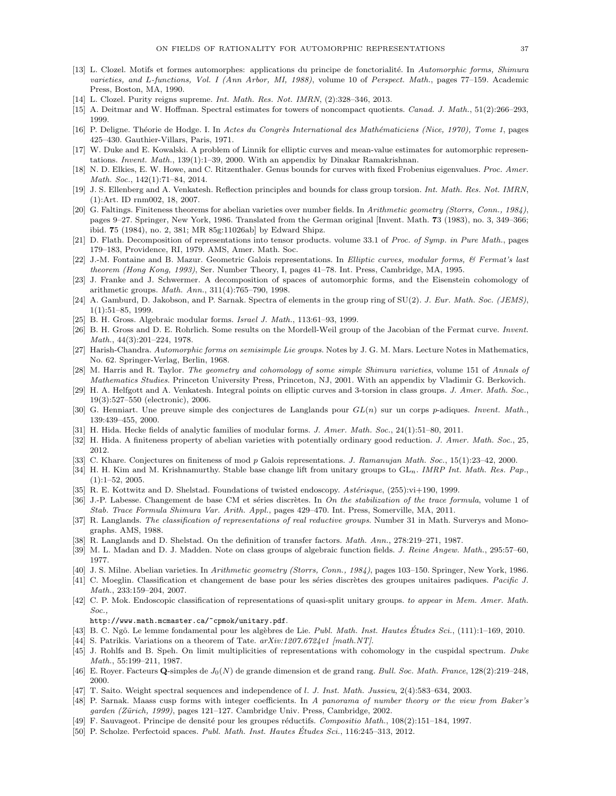- <span id="page-36-1"></span>[13] L. Clozel. Motifs et formes automorphes: applications du principe de fonctorialité. In Automorphic forms, Shimura varieties, and L-functions, Vol. I (Ann Arbor, MI, 1988), volume 10 of Perspect. Math., pages 77–159. Academic Press, Boston, MA, 1990.
- <span id="page-36-18"></span>[14] L. Clozel. Purity reigns supreme. Int. Math. Res. Not. IMRN, (2):328–346, 2013.
- <span id="page-36-26"></span>[15] A. Deitmar and W. Hoffman. Spectral estimates for towers of noncompact quotients. Canad. J. Math., 51(2):266–293, 1999.
- <span id="page-36-12"></span>[16] P. Deligne. Théorie de Hodge. I. In Actes du Congrès International des Mathématiciens (Nice, 1970), Tome 1, pages 425–430. Gauthier-Villars, Paris, 1971.
- <span id="page-36-29"></span>[17] W. Duke and E. Kowalski. A problem of Linnik for elliptic curves and mean-value estimates for automorphic representations. Invent. Math., 139(1):1–39, 2000. With an appendix by Dinakar Ramakrishnan.
- <span id="page-36-32"></span>[18] N. D. Elkies, E. W. Howe, and C. Ritzenthaler. Genus bounds for curves with fixed Frobenius eigenvalues. Proc. Amer. Math. Soc., 142(1):71–84, 2014.
- <span id="page-36-31"></span>[19] J. S. Ellenberg and A. Venkatesh. Reflection principles and bounds for class group torsion. Int. Math. Res. Not. IMRN, (1):Art. ID rnm002, 18, 2007.
- <span id="page-36-0"></span>[20] G. Faltings. Finiteness theorems for abelian varieties over number fields. In Arithmetic geometry (Storrs, Conn., 1984), pages 9–27. Springer, New York, 1986. Translated from the German original [Invent. Math. 73 (1983), no. 3, 349–366; ibid. 75 (1984), no. 2, 381; MR 85g:11026ab] by Edward Shipz.
- <span id="page-36-11"></span>[21] D. Flath. Decomposition of representations into tensor products. volume 33.1 of Proc. of Symp. in Pure Math., pages 179–183, Providence, RI, 1979. AMS, Amer. Math. Soc.
- <span id="page-36-4"></span>[22] J.-M. Fontaine and B. Mazur. Geometric Galois representations. In Elliptic curves, modular forms, & Fermat's last theorem (Hong Kong, 1993), Ser. Number Theory, I, pages 41–78. Int. Press, Cambridge, MA, 1995.
- <span id="page-36-10"></span>[23] J. Franke and J. Schwermer. A decomposition of spaces of automorphic forms, and the Eisenstein cohomology of arithmetic groups. Math. Ann., 311(4):765–790, 1998.
- <span id="page-36-8"></span>[24] A. Gamburd, D. Jakobson, and P. Sarnak. Spectra of elements in the group ring of SU(2). J. Eur. Math. Soc. (JEMS), 1(1):51–85, 1999.
- <span id="page-36-17"></span>[25] B. H. Gross. Algebraic modular forms. Israel J. Math., 113:61–93, 1999.
- <span id="page-36-33"></span>[26] B. H. Gross and D. E. Rohrlich. Some results on the Mordell-Weil group of the Jacobian of the Fermat curve. Invent. Math., 44(3):201–224, 1978.
- <span id="page-36-25"></span>[27] Harish-Chandra. Automorphic forms on semisimple Lie groups. Notes by J. G. M. Mars. Lecture Notes in Mathematics, No. 62. Springer-Verlag, Berlin, 1968.
- <span id="page-36-15"></span>[28] M. Harris and R. Taylor. The geometry and cohomology of some simple Shimura varieties, volume 151 of Annals of Mathematics Studies. Princeton University Press, Princeton, NJ, 2001. With an appendix by Vladimir G. Berkovich.
- <span id="page-36-30"></span>[29] H. A. Helfgott and A. Venkatesh. Integral points on elliptic curves and 3-torsion in class groups. J. Amer. Math. Soc., 19(3):527–550 (electronic), 2006.
- <span id="page-36-16"></span>[30] G. Henniart. Une preuve simple des conjectures de Langlands pour  $GL(n)$  sur un corps p-adiques. Invent. Math., 139:439–455, 2000.
- <span id="page-36-36"></span>[31] H. Hida. Hecke fields of analytic families of modular forms. J. Amer. Math. Soc., 24(1):51–80, 2011.
- <span id="page-36-37"></span>[32] H. Hida. A finiteness property of abelian varieties with potentially ordinary good reduction. J. Amer. Math. Soc., 25, 2012.
- <span id="page-36-24"></span>[33] C. Khare. Conjectures on finiteness of mod p Galois representations. J. Ramanujan Math. Soc., 15(1):23-42, 2000.
- <span id="page-36-22"></span>[34] H. H. Kim and M. Krishnamurthy. Stable base change lift from unitary groups to GL<sub>n</sub>. IMRP Int. Math. Res. Pap., (1):1–52, 2005.
- <span id="page-36-19"></span>[35] R. E. Kottwitz and D. Shelstad. Foundations of twisted endoscopy. Astérisque, (255):vi+190, 1999.
- <span id="page-36-6"></span>[36] J.-P. Labesse. Changement de base CM et séries discrètes. In On the stabilization of the trace formula, volume 1 of Stab. Trace Formula Shimura Var. Arith. Appl., pages 429–470. Int. Press, Somerville, MA, 2011.
- <span id="page-36-9"></span>[37] R. Langlands. The classification of representations of real reductive groups. Number 31 in Math. Surverys and Monographs. AMS, 1988.
- <span id="page-36-20"></span>[38] R. Langlands and D. Shelstad. On the definition of transfer factors. Math. Ann., 278:219–271, 1987.
- <span id="page-36-34"></span>[39] M. L. Madan and D. J. Madden. Note on class groups of algebraic function fields. J. Reine Angew. Math., 295:57–60, 1977.
- <span id="page-36-35"></span>[40] J. S. Milne. Abelian varieties. In Arithmetic geometry (Storrs, Conn., 1984), pages 103–150. Springer, New York, 1986.
- <span id="page-36-23"></span>[41] C. Moeglin. Classification et changement de base pour les séries discrètes des groupes unitaires padiques. Pacific J. Math., 233:159–204, 2007.
- <span id="page-36-5"></span>[42] C. P. Mok. Endoscopic classification of representations of quasi-split unitary groups. to appear in Mem. Amer. Math. Soc.,

http://www.math.mcmaster.ca/~cpmok/unitary.pdf.

- <span id="page-36-21"></span>[43] B. C. Ngô. Le lemme fondamental pour les algèbres de Lie. Publ. Math. Inst. Hautes Études Sci., (111):1–169, 2010.
- <span id="page-36-2"></span>[44] S. Patrikis. Variations on a theorem of Tate.  $arXiv:1207.6724v1$  [math.NT].
- <span id="page-36-28"></span>[45] J. Rohlfs and B. Speh. On limit multiplicities of representations with cohomology in the cuspidal spectrum. Duke Math., 55:199–211, 1987.
- <span id="page-36-7"></span>[46] E. Royer. Facteurs  $\mathbf{Q}$ -simples de  $J_0(N)$  de grande dimension et de grand rang. Bull. Soc. Math. France, 128(2):219–248, 2000.
- <span id="page-36-13"></span>[47] T. Saito. Weight spectral sequences and independence of l. J. Inst. Math. Jussieu, 2(4):583–634, 2003.
- <span id="page-36-3"></span>[48] P. Sarnak. Maass cusp forms with integer coefficients. In A panorama of number theory or the view from Baker's garden (Zürich, 1999), pages 121–127. Cambridge Univ. Press, Cambridge, 2002.
- <span id="page-36-27"></span>[49] F. Sauvageot. Principe de densité pour les groupes réductifs. Compositio Math., 108(2):151–184, 1997.
- <span id="page-36-14"></span>[50] P. Scholze. Perfectoid spaces. Publ. Math. Inst. Hautes Etudes Sci.,  $116:245-313$ ,  $2012$ .